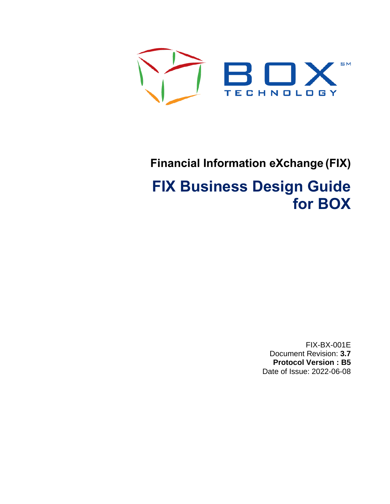

# **Financial Information eXchange (FIX)**

# **FIX Business Design Guide for BOX**

FIX-BX-001E Document Revision: **3.7 Protocol Version : B5** Date of Issue: 2022-06-08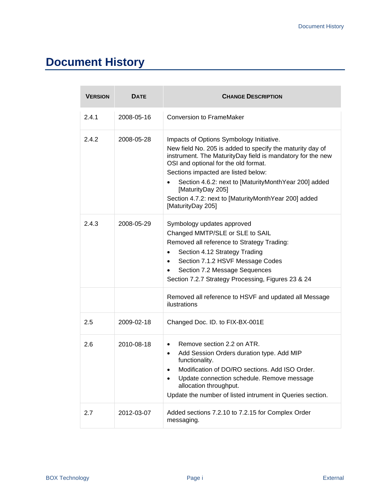# **Document History**

| <b>VERSION</b> | <b>DATE</b> | <b>CHANGE DESCRIPTION</b>                                                                                                                                                                                                                                                                                                                                                                                    |
|----------------|-------------|--------------------------------------------------------------------------------------------------------------------------------------------------------------------------------------------------------------------------------------------------------------------------------------------------------------------------------------------------------------------------------------------------------------|
| 2.4.1          | 2008-05-16  | <b>Conversion to FrameMaker</b>                                                                                                                                                                                                                                                                                                                                                                              |
| 2.4.2          | 2008-05-28  | Impacts of Options Symbology Initiative.<br>New field No. 205 is added to specify the maturity day of<br>instrument. The MaturityDay field is mandatory for the new<br>OSI and optional for the old format.<br>Sections impacted are listed below:<br>Section 4.6.2: next to [MaturityMonthYear 200] added<br>[MaturityDay 205]<br>Section 4.7.2: next to [MaturityMonthYear 200] added<br>[MaturityDay 205] |
| 2.4.3          | 2008-05-29  | Symbology updates approved<br>Changed MMTP/SLE or SLE to SAIL<br>Removed all reference to Strategy Trading:<br>Section 4.12 Strategy Trading<br>Section 7.1.2 HSVF Message Codes<br>$\bullet$<br>Section 7.2 Message Sequences<br>Section 7.2.7 Strategy Processing, Figures 23 & 24                                                                                                                         |
|                |             | Removed all reference to HSVF and updated all Message<br>ilustrations                                                                                                                                                                                                                                                                                                                                        |
| 2.5            | 2009-02-18  | Changed Doc. ID. to FIX-BX-001E                                                                                                                                                                                                                                                                                                                                                                              |
| 2.6            | 2010-08-18  | Remove section 2.2 on ATR.<br>٠<br>Add Session Orders duration type. Add MIP<br>$\bullet$<br>functionality.<br>Modification of DO/RO sections. Add ISO Order.<br>Update connection schedule. Remove message<br>allocation throughput.<br>Update the number of listed intrument in Queries section.                                                                                                           |
| 2.7            | 2012-03-07  | Added sections 7.2.10 to 7.2.15 for Complex Order<br>messaging.                                                                                                                                                                                                                                                                                                                                              |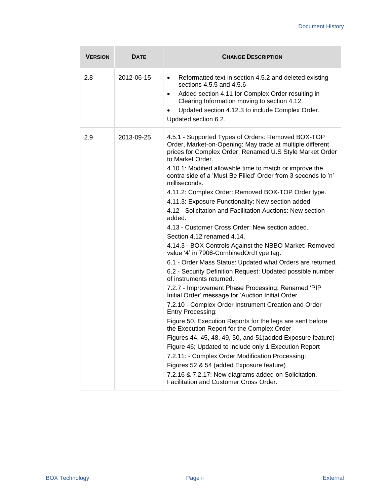| <b>VERSION</b> | <b>DATE</b> | <b>CHANGE DESCRIPTION</b>                                                                                                                                                                                                                                                                                                                                                                                                                                                                                                                                                                                                                                                                                                                                                                                                                                                                                                                                                                                                                                                                                                                                                                                                                                                                                                                                                                                                                                                                                   |
|----------------|-------------|-------------------------------------------------------------------------------------------------------------------------------------------------------------------------------------------------------------------------------------------------------------------------------------------------------------------------------------------------------------------------------------------------------------------------------------------------------------------------------------------------------------------------------------------------------------------------------------------------------------------------------------------------------------------------------------------------------------------------------------------------------------------------------------------------------------------------------------------------------------------------------------------------------------------------------------------------------------------------------------------------------------------------------------------------------------------------------------------------------------------------------------------------------------------------------------------------------------------------------------------------------------------------------------------------------------------------------------------------------------------------------------------------------------------------------------------------------------------------------------------------------------|
| 2.8            | 2012-06-15  | Reformatted text in section 4.5.2 and deleted existing<br>$\bullet$<br>sections 4.5.5 and 4.5.6<br>Added section 4.11 for Complex Order resulting in<br>$\bullet$<br>Clearing Information moving to section 4.12.<br>Updated section 4.12.3 to include Complex Order.<br>$\bullet$<br>Updated section 6.2.                                                                                                                                                                                                                                                                                                                                                                                                                                                                                                                                                                                                                                                                                                                                                                                                                                                                                                                                                                                                                                                                                                                                                                                                  |
| 2.9            | 2013-09-25  | 4.5.1 - Supported Types of Orders: Removed BOX-TOP<br>Order, Market-on-Opening: May trade at multiple different<br>prices for Complex Order, Renamed U.S Style Market Order<br>to Market Order.<br>4.10.1: Modified allowable time to match or improve the<br>contra side of a 'Must Be Filled' Order from 3 seconds to 'n'<br>milliseconds.<br>4.11.2: Complex Order: Removed BOX-TOP Order type.<br>4.11.3: Exposure Functionality: New section added.<br>4.12 - Solicitation and Facilitation Auctions: New section<br>added.<br>4.13 - Customer Cross Order: New section added.<br>Section 4.12 renamed 4.14.<br>4.14.3 - BOX Controls Against the NBBO Market: Removed<br>value '4' in 7906-CombinedOrdType tag.<br>6.1 - Order Mass Status: Updated what Orders are returned.<br>6.2 - Security Definition Request: Updated possible number<br>of instruments returned.<br>7.2.7 - Improvement Phase Processing: Renamed 'PIP<br>Initial Order' message for 'Auction Initial Order'<br>7.2.10 - Complex Order Instrument Creation and Order<br>Entry Processing:<br>Figure 50, Execution Reports for the legs are sent before<br>the Execution Report for the Complex Order<br>Figures 44, 45, 48, 49, 50, and 51 (added Exposure feature)<br>Figure 46; Updated to include only 1 Execution Report<br>7.2.11: - Complex Order Modification Processing:<br>Figures 52 & 54 (added Exposure feature)<br>7.2.16 & 7.2.17: New diagrams added on Solicitation,<br>Facilitation and Customer Cross Order. |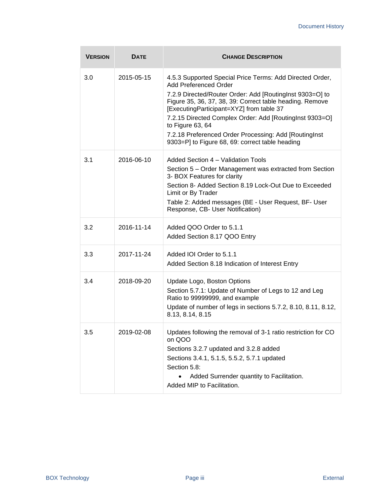| <b>VERSION</b> | <b>DATE</b> | <b>CHANGE DESCRIPTION</b>                                                                                                                                                                                                                                                                                                                                                                                                                        |
|----------------|-------------|--------------------------------------------------------------------------------------------------------------------------------------------------------------------------------------------------------------------------------------------------------------------------------------------------------------------------------------------------------------------------------------------------------------------------------------------------|
| 3.0            | 2015-05-15  | 4.5.3 Supported Special Price Terms: Add Directed Order,<br>Add Preferenced Order<br>7.2.9 Directed/Router Order: Add [RoutingInst 9303=O] to<br>Figure 35, 36, 37, 38, 39: Correct table heading. Remove<br>[ExecutingParticipant=XYZ] from table 37<br>7.2.15 Directed Complex Order: Add [RoutingInst 9303=O]<br>to Figure 63, 64<br>7.2.18 Preferenced Order Processing: Add [RoutingInst<br>9303=P] to Figure 68, 69: correct table heading |
| 3.1            | 2016-06-10  | Added Section 4 - Validation Tools<br>Section 5 – Order Management was extracted from Section<br>3- BOX Features for clarity<br>Section 8- Added Section 8.19 Lock-Out Due to Exceeded<br>Limit or By Trader<br>Table 2: Added messages (BE - User Request, BF- User<br>Response, CB- User Notification)                                                                                                                                         |
| 3.2            | 2016-11-14  | Added QOO Order to 5.1.1<br>Added Section 8.17 QOO Entry                                                                                                                                                                                                                                                                                                                                                                                         |
| 3.3            | 2017-11-24  | Added IOI Order to 5.1.1<br>Added Section 8.18 Indication of Interest Entry                                                                                                                                                                                                                                                                                                                                                                      |
| 3.4            | 2018-09-20  | Update Logo, Boston Options<br>Section 5.7.1: Update of Number of Legs to 12 and Leg<br>Ratio to 99999999, and example<br>Update of number of legs in sections 5.7.2, 8.10, 8.11, 8.12,<br>8.13, 8.14, 8.15                                                                                                                                                                                                                                      |
| 3.5            | 2019-02-08  | Updates following the removal of 3-1 ratio restriction for CO<br>on QOO<br>Sections 3.2.7 updated and 3.2.8 added<br>Sections 3.4.1, 5.1.5, 5.5.2, 5.7.1 updated<br>Section 5.8:<br>Added Surrender quantity to Facilitation.<br>Added MIP to Facilitation.                                                                                                                                                                                      |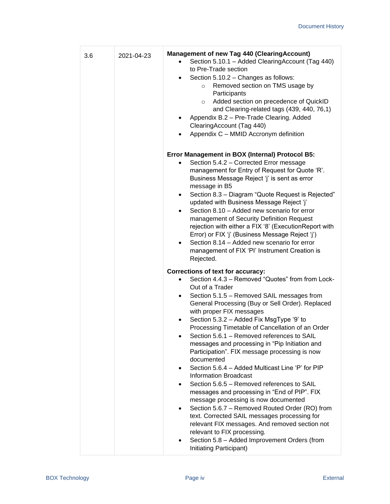| 3.6 | 2021-04-23 | <b>Management of new Tag 440 (ClearingAccount)</b><br>Section 5.10.1 - Added ClearingAccount (Tag 440)<br>to Pre-Trade section<br>Section 5.10.2 - Changes as follows:<br>Removed section on TMS usage by<br>$\circ$<br>Participants<br>Added section on precedence of QuickID<br>$\circ$<br>and Clearing-related tags (439, 440, 76,1)<br>Appendix B.2 - Pre-Trade Clearing. Added<br>ClearingAccount (Tag 440)<br>Appendix C - MMID Accronym definition                                                                                                                                                                                                                                                                                                                                                                                                                                                                                                                                                                                      |
|-----|------------|------------------------------------------------------------------------------------------------------------------------------------------------------------------------------------------------------------------------------------------------------------------------------------------------------------------------------------------------------------------------------------------------------------------------------------------------------------------------------------------------------------------------------------------------------------------------------------------------------------------------------------------------------------------------------------------------------------------------------------------------------------------------------------------------------------------------------------------------------------------------------------------------------------------------------------------------------------------------------------------------------------------------------------------------|
|     |            | Error Management in BOX (Internal) Protocol B5:<br>Section 5.4.2 - Corrected Error message<br>management for Entry of Request for Quote 'R'.<br>Business Message Reject 'j' is sent as error<br>message in B5<br>Section 8.3 - Diagram "Quote Request is Rejected"<br>$\bullet$<br>updated with Business Message Reject 'j'<br>Section 8.10 - Added new scenario for error<br>$\bullet$<br>management of Security Definition Request<br>rejection with either a FIX '8' (ExecutionReport with<br>Error) or FIX 'j' (Business Message Reject 'j')<br>Section 8.14 - Added new scenario for error<br>management of FIX 'PI' Instrument Creation is<br>Rejected.                                                                                                                                                                                                                                                                                                                                                                                  |
|     |            | Corrections of text for accuracy:<br>Section 4.4.3 - Removed "Quotes" from from Lock-<br>Out of a Trader<br>Section 5.1.5 - Removed SAIL messages from<br>$\bullet$<br>General Processing (Buy or Sell Order). Replaced<br>with proper FIX messages<br>Section 5.3.2 - Added Fix MsgType '9' to<br>٠<br>Processing Timetable of Cancellation of an Order<br>Section 5.6.1 - Removed references to SAIL<br>messages and processing in "Pip Initiation and<br>Participation". FIX message processing is now<br>documented<br>Section 5.6.4 - Added Multicast Line 'P' for PIP<br>$\bullet$<br><b>Information Broadcast</b><br>Section 5.6.5 - Removed references to SAIL<br>٠<br>messages and processing in "End of PIP". FIX<br>message processing is now documented<br>Section 5.6.7 - Removed Routed Order (RO) from<br>$\bullet$<br>text. Corrected SAIL messages processing for<br>relevant FIX messages. And removed section not<br>relevant to FIX processing.<br>Section 5.8 - Added Improvement Orders (from<br>Initiating Participant) |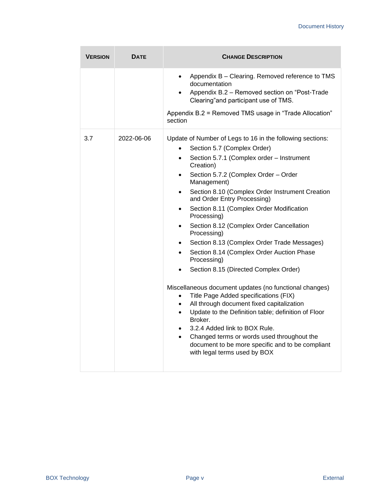| <b>VERSION</b> | <b>DATE</b> | <b>CHANGE DESCRIPTION</b>                                                                                                                                                                                                                                                                                                                                                                                                                                                                                                                                                                                                                                                                                                                                                                                                                                                                                                                                                                                                                                                                                              |
|----------------|-------------|------------------------------------------------------------------------------------------------------------------------------------------------------------------------------------------------------------------------------------------------------------------------------------------------------------------------------------------------------------------------------------------------------------------------------------------------------------------------------------------------------------------------------------------------------------------------------------------------------------------------------------------------------------------------------------------------------------------------------------------------------------------------------------------------------------------------------------------------------------------------------------------------------------------------------------------------------------------------------------------------------------------------------------------------------------------------------------------------------------------------|
|                |             | Appendix B - Clearing. Removed reference to TMS<br>$\bullet$<br>documentation<br>Appendix B.2 - Removed section on "Post-Trade<br>$\bullet$<br>Clearing"and participant use of TMS.                                                                                                                                                                                                                                                                                                                                                                                                                                                                                                                                                                                                                                                                                                                                                                                                                                                                                                                                    |
|                |             | Appendix B.2 = Removed TMS usage in "Trade Allocation"<br>section                                                                                                                                                                                                                                                                                                                                                                                                                                                                                                                                                                                                                                                                                                                                                                                                                                                                                                                                                                                                                                                      |
| 3.7            | 2022-06-06  | Update of Number of Legs to 16 in the following sections:<br>Section 5.7 (Complex Order)<br>Section 5.7.1 (Complex order - Instrument<br>$\bullet$<br>Creation)<br>Section 5.7.2 (Complex Order - Order<br>$\bullet$<br>Management)<br>Section 8.10 (Complex Order Instrument Creation<br>$\bullet$<br>and Order Entry Processing)<br>Section 8.11 (Complex Order Modification<br>$\bullet$<br>Processing)<br>Section 8.12 (Complex Order Cancellation<br>$\bullet$<br>Processing)<br>Section 8.13 (Complex Order Trade Messages)<br>$\bullet$<br>Section 8.14 (Complex Order Auction Phase<br>$\bullet$<br>Processing)<br>Section 8.15 (Directed Complex Order)<br>Miscellaneous document updates (no functional changes)<br>Title Page Added specifications (FIX)<br>$\bullet$<br>All through document fixed capitalization<br>$\bullet$<br>Update to the Definition table; definition of Floor<br>$\bullet$<br>Broker.<br>3.2.4 Added link to BOX Rule.<br>$\bullet$<br>Changed terms or words used throughout the<br>$\bullet$<br>document to be more specific and to be compliant<br>with legal terms used by BOX |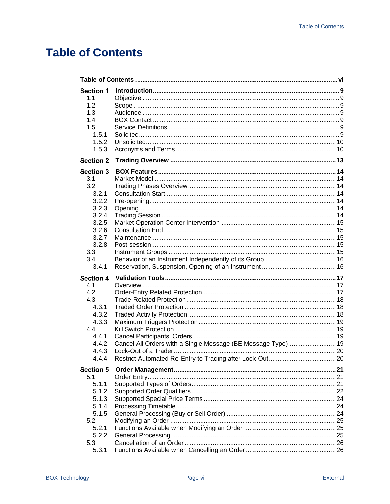# <span id="page-7-0"></span>**Table of Contents**

| <b>Section 1</b> |                                                              |  |
|------------------|--------------------------------------------------------------|--|
| 1.1              |                                                              |  |
| 1.2              |                                                              |  |
| 1.3              |                                                              |  |
| 1.4              |                                                              |  |
| 1.5              |                                                              |  |
| 1.5.1            |                                                              |  |
| 1.5.2            |                                                              |  |
| 1.5.3            |                                                              |  |
| <b>Section 2</b> |                                                              |  |
| Section 3        |                                                              |  |
| 3.1              |                                                              |  |
| 3.2              |                                                              |  |
| 3.2.1            |                                                              |  |
| 3.2.2            |                                                              |  |
| 3.2.3            |                                                              |  |
| 3.2.4            |                                                              |  |
| 3.2.5            |                                                              |  |
| 3.2.6            |                                                              |  |
| 3.2.7            |                                                              |  |
| 3.2.8            |                                                              |  |
| 3.3              |                                                              |  |
| 3.4              |                                                              |  |
| 3.4.1            |                                                              |  |
| <b>Section 4</b> |                                                              |  |
| 4.1              |                                                              |  |
| 4.2              |                                                              |  |
| 4.3              |                                                              |  |
| 4.3.1            |                                                              |  |
| 4.3.2            |                                                              |  |
| 4.3.3            |                                                              |  |
| 4.4              |                                                              |  |
| 4.4.1            |                                                              |  |
| 4.4.2            | Cancel All Orders with a Single Message (BE Message Type) 19 |  |
| 4.4.3            |                                                              |  |
| 4.4.4            |                                                              |  |
| <b>Section 5</b> |                                                              |  |
| 5.1              |                                                              |  |
| 5.1.1            |                                                              |  |
| 5.1.2            |                                                              |  |
| 5.1.3            |                                                              |  |
| 5.1.4            |                                                              |  |
| 5.1.5            |                                                              |  |
| 5.2              |                                                              |  |
| 5.2.1            |                                                              |  |
| 5.2.2            |                                                              |  |
| 5.3              |                                                              |  |
| 5.3.1            |                                                              |  |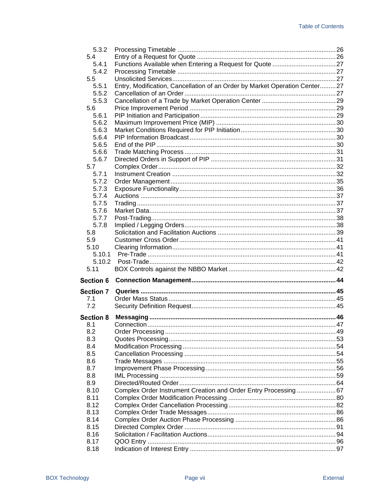| 5.3.2            |                                                                            |  |
|------------------|----------------------------------------------------------------------------|--|
| 5.4              |                                                                            |  |
| 5.4.1            |                                                                            |  |
| 5.4.2            |                                                                            |  |
| 5.5              |                                                                            |  |
| 5.5.1            | Entry, Modification, Cancellation of an Order by Market Operation Center27 |  |
| 5.5.2            |                                                                            |  |
| 5.5.3            |                                                                            |  |
| 5.6              |                                                                            |  |
| 5.6.1            |                                                                            |  |
| 5.6.2            |                                                                            |  |
| 5.6.3            |                                                                            |  |
| 5.6.4            |                                                                            |  |
| 5.6.5            |                                                                            |  |
|                  |                                                                            |  |
| 5.6.6            |                                                                            |  |
| 5.6.7            |                                                                            |  |
| 5.7              |                                                                            |  |
| 5.7.1            |                                                                            |  |
| 5.7.2            |                                                                            |  |
| 5.7.3            |                                                                            |  |
| 5.7.4            |                                                                            |  |
| 5.7.5            |                                                                            |  |
| 5.7.6            |                                                                            |  |
| 5.7.7            |                                                                            |  |
| 5.7.8            |                                                                            |  |
| 5.8              |                                                                            |  |
| 5.9              |                                                                            |  |
| 5.10             |                                                                            |  |
|                  |                                                                            |  |
| 5.10.1           |                                                                            |  |
| 5.10.2           |                                                                            |  |
| 5.11             |                                                                            |  |
|                  |                                                                            |  |
| <b>Section 6</b> |                                                                            |  |
| Section 7        |                                                                            |  |
| 7.1              |                                                                            |  |
| 7.2              |                                                                            |  |
|                  |                                                                            |  |
| <b>Section 8</b> |                                                                            |  |
| 8.1              |                                                                            |  |
| 8.2              |                                                                            |  |
| 8.3              |                                                                            |  |
| 8.4              |                                                                            |  |
| 8.5              |                                                                            |  |
| 8.6              |                                                                            |  |
| 8.7              |                                                                            |  |
| 8.8              |                                                                            |  |
| 8.9              |                                                                            |  |
| 8.10             | Complex Order Instrument Creation and Order Entry Processing  67           |  |
| 8.11             |                                                                            |  |
| 8.12             |                                                                            |  |
| 8.13             |                                                                            |  |
| 8.14             |                                                                            |  |
| 8.15             |                                                                            |  |
| 8.16             |                                                                            |  |
| 8.17             |                                                                            |  |
| 8.18             |                                                                            |  |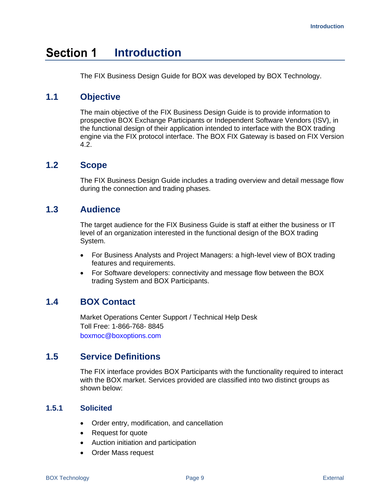#### <span id="page-10-0"></span>**Section 1 Introduction**

The FIX Business Design Guide for BOX was developed by BOX Technology.

# <span id="page-10-1"></span>**1.1 Objective**

The main objective of the FIX Business Design Guide is to provide information to prospective BOX Exchange Participants or Independent Software Vendors (ISV), in the functional design of their application intended to interface with the BOX trading engine via the FIX protocol interface. The BOX FIX Gateway is based on FIX Version 4.2.

# <span id="page-10-2"></span>**1.2 Scope**

The FIX Business Design Guide includes a trading overview and detail message flow during the connection and trading phases.

# <span id="page-10-3"></span>**1.3 Audience**

The target audience for the FIX Business Guide is staff at either the business or IT level of an organization interested in the functional design of the BOX trading System.

- For Business Analysts and Project Managers: a high-level view of BOX trading features and requirements.
- For Software developers: connectivity and message flow between the BOX trading System and BOX Participants.

# <span id="page-10-4"></span>**1.4 BOX Contact**

Market Operations Center Support / Technical Help Desk Toll Free: 1-866-768- 8845 boxmoc@boxoptions.com

# <span id="page-10-5"></span>**1.5 Service Definitions**

The FIX interface provides BOX Participants with the functionality required to interact with the BOX market. Services provided are classified into two distinct groups as shown below:

## <span id="page-10-6"></span>**1.5.1 Solicited**

- Order entry, modification, and cancellation
- Request for quote
- Auction initiation and participation
- Order Mass request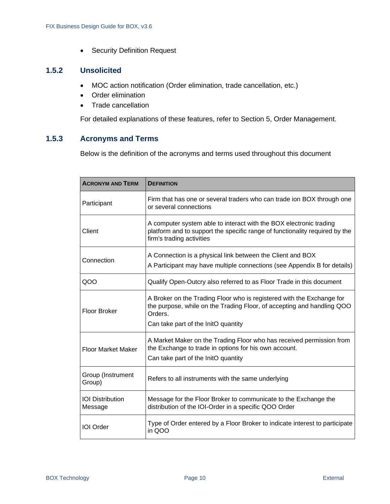• Security Definition Request

## <span id="page-11-0"></span>**1.5.2 Unsolicited**

- MOC action notification (Order elimination, trade cancellation, etc.)
- Order elimination
- Trade cancellation

For detailed explanations of these features, refer to Section 5, Order Management.

# <span id="page-11-1"></span>**1.5.3 Acronyms and Terms**

Below is the definition of the acronyms and terms used throughout this document

| <b>ACRONYM AND TERM</b>            | <b>DEFINITION</b>                                                                                                                                                                                 |
|------------------------------------|---------------------------------------------------------------------------------------------------------------------------------------------------------------------------------------------------|
| Participant                        | Firm that has one or several traders who can trade ion BOX through one<br>or several connections                                                                                                  |
| Client                             | A computer system able to interact with the BOX electronic trading<br>platform and to support the specific range of functionality required by the<br>firm's trading activities                    |
| Connection                         | A Connection is a physical link between the Client and BOX<br>A Participant may have multiple connections (see Appendix B for details)                                                            |
| QOO                                | Qualify Open-Outcry also referred to as Floor Trade in this document                                                                                                                              |
| Floor Broker                       | A Broker on the Trading Floor who is registered with the Exchange for<br>the purpose, while on the Trading Floor, of accepting and handling QOO<br>Orders.<br>Can take part of the InitO quantity |
| <b>Floor Market Maker</b>          | A Market Maker on the Trading Floor who has received permission from<br>the Exchange to trade in options for his own account.<br>Can take part of the InitO quantity                              |
| Group (Instrument<br>Group)        | Refers to all instruments with the same underlying                                                                                                                                                |
| <b>IOI</b> Distribution<br>Message | Message for the Floor Broker to communicate to the Exchange the<br>distribution of the IOI-Order in a specific QOO Order                                                                          |
| <b>IOI</b> Order                   | Type of Order entered by a Floor Broker to indicate interest to participate<br>in QOO                                                                                                             |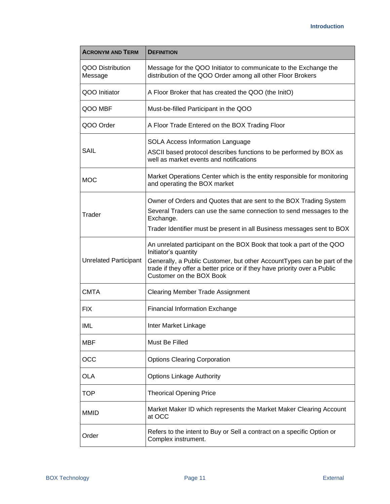| <b>ACRONYM AND TERM</b>                                                                                                                                        | <b>DEFINITION</b>                                                                                                                                                                                                                                                                |  |  |
|----------------------------------------------------------------------------------------------------------------------------------------------------------------|----------------------------------------------------------------------------------------------------------------------------------------------------------------------------------------------------------------------------------------------------------------------------------|--|--|
| QOO Distribution<br>Message for the QOO Initiator to communicate to the Exchange the<br>distribution of the QOO Order among all other Floor Brokers<br>Message |                                                                                                                                                                                                                                                                                  |  |  |
| QOO Initiator                                                                                                                                                  | A Floor Broker that has created the QOO (the InitO)                                                                                                                                                                                                                              |  |  |
| QOO MBF                                                                                                                                                        | Must-be-filled Participant in the QOO                                                                                                                                                                                                                                            |  |  |
| QOO Order                                                                                                                                                      | A Floor Trade Entered on the BOX Trading Floor                                                                                                                                                                                                                                   |  |  |
| SAIL                                                                                                                                                           | SOLA Access Information Language<br>ASCII based protocol describes functions to be performed by BOX as<br>well as market events and notifications                                                                                                                                |  |  |
| <b>MOC</b>                                                                                                                                                     | Market Operations Center which is the entity responsible for monitoring<br>and operating the BOX market                                                                                                                                                                          |  |  |
| Trader                                                                                                                                                         | Owner of Orders and Quotes that are sent to the BOX Trading System<br>Several Traders can use the same connection to send messages to the<br>Exchange.<br>Trader Identifier must be present in all Business messages sent to BOX                                                 |  |  |
| <b>Unrelated Participant</b>                                                                                                                                   | An unrelated participant on the BOX Book that took a part of the QOO<br>Initiator's quantity<br>Generally, a Public Customer, but other AccountTypes can be part of the<br>trade if they offer a better price or if they have priority over a Public<br>Customer on the BOX Book |  |  |
| <b>CMTA</b>                                                                                                                                                    | <b>Clearing Member Trade Assignment</b>                                                                                                                                                                                                                                          |  |  |
| <b>FIX</b>                                                                                                                                                     | <b>Financial Information Exchange</b>                                                                                                                                                                                                                                            |  |  |
| IML                                                                                                                                                            | Inter Market Linkage                                                                                                                                                                                                                                                             |  |  |
| <b>MBF</b>                                                                                                                                                     | Must Be Filled                                                                                                                                                                                                                                                                   |  |  |
| OCC                                                                                                                                                            | <b>Options Clearing Corporation</b>                                                                                                                                                                                                                                              |  |  |
| <b>Options Linkage Authority</b><br>OLA                                                                                                                        |                                                                                                                                                                                                                                                                                  |  |  |
| TOP                                                                                                                                                            | <b>Theorical Opening Price</b>                                                                                                                                                                                                                                                   |  |  |
| Market Maker ID which represents the Market Maker Clearing Account<br><b>MMID</b><br>at OCC                                                                    |                                                                                                                                                                                                                                                                                  |  |  |
| Order                                                                                                                                                          | Refers to the intent to Buy or Sell a contract on a specific Option or<br>Complex instrument.                                                                                                                                                                                    |  |  |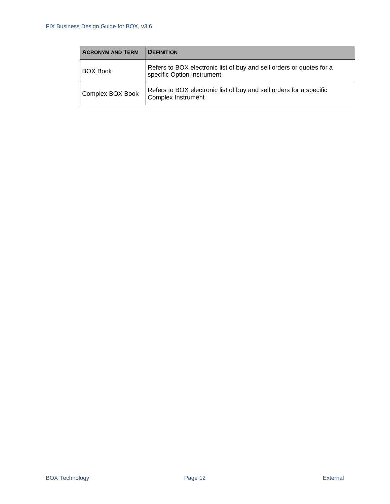| <b>ACRONYM AND TERM</b> | <b>DEFINITION</b>                                                                                  |  |
|-------------------------|----------------------------------------------------------------------------------------------------|--|
| <b>BOX Book</b>         | Refers to BOX electronic list of buy and sell orders or quotes for a<br>specific Option Instrument |  |
| Complex BOX Book        | Refers to BOX electronic list of buy and sell orders for a specific<br><b>Complex Instrument</b>   |  |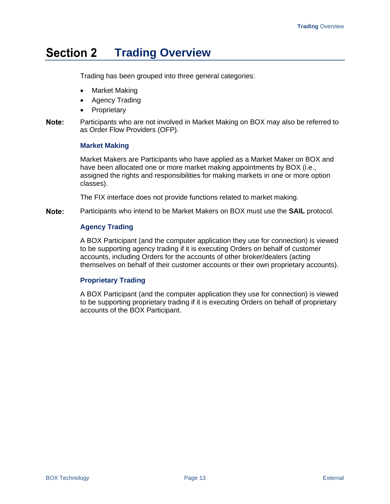#### <span id="page-14-0"></span>**Section 2 Trading Overview**

Trading has been grouped into three general categories:

- Market Making
- Agency Trading
- Proprietary
- Note: Participants who are not involved in Market Making on BOX may also be referred to as Order Flow Providers (OFP).

#### **Market Making**

Market Makers are Participants who have applied as a Market Maker on BOX and have been allocated one or more market making appointments by BOX (i.e., assigned the rights and responsibilities for making markets in one or more option classes).

The FIX interface does not provide functions related to market making.

Note: Participants who intend to be Market Makers on BOX must use the **SAIL** protocol.

#### **Agency Trading**

A BOX Participant (and the computer application they use for connection) is viewed to be supporting agency trading if it is executing Orders on behalf of customer accounts, including Orders for the accounts of other broker/dealers (acting themselves on behalf of their customer accounts or their own proprietary accounts).

### **Proprietary Trading**

A BOX Participant (and the computer application they use for connection) is viewed to be supporting proprietary trading if it is executing Orders on behalf of proprietary accounts of the BOX Participant.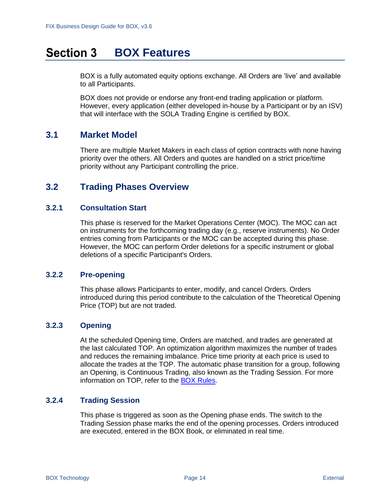#### <span id="page-15-0"></span>**Section 3 BOX Features**

BOX is a fully automated equity options exchange. All Orders are 'live' and available to all Participants.

BOX does not provide or endorse any front-end trading application or platform. However, every application (either developed in-house by a Participant or by an ISV) that will interface with the SOLA Trading Engine is certified by BOX.

# <span id="page-15-1"></span>**3.1 Market Model**

There are multiple Market Makers in each class of option contracts with none having priority over the others. All Orders and quotes are handled on a strict price/time priority without any Participant controlling the price.

# <span id="page-15-2"></span>**3.2 Trading Phases Overview**

## <span id="page-15-3"></span>**3.2.1 Consultation Start**

This phase is reserved for the Market Operations Center (MOC). The MOC can act on instruments for the forthcoming trading day (e.g., reserve instruments). No Order entries coming from Participants or the MOC can be accepted during this phase. However, the MOC can perform Order deletions for a specific instrument or global deletions of a specific Participant's Orders.

### <span id="page-15-4"></span>**3.2.2 Pre-opening**

This phase allows Participants to enter, modify, and cancel Orders. Orders introduced during this period contribute to the calculation of the Theoretical Opening Price (TOP) but are not traded.

## <span id="page-15-5"></span>**3.2.3 Opening**

At the scheduled Opening time, Orders are matched, and trades are generated at the last calculated TOP. An optimization algorithm maximizes the number of trades and reduces the remaining imbalance. Price time priority at each price is used to allocate the trades at the TOP. The automatic phase transition for a group, following an Opening, is Continuous Trading, also known as the Trading Session. For more information on TOP, refer to the [BOX Rules.](https://rules.boxoptions.com/browse)

## <span id="page-15-6"></span>**3.2.4 Trading Session**

This phase is triggered as soon as the Opening phase ends. The switch to the Trading Session phase marks the end of the opening processes. Orders introduced are executed, entered in the BOX Book, or eliminated in real time.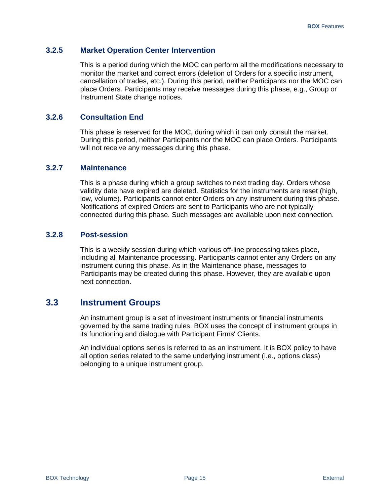### <span id="page-16-0"></span>**3.2.5 Market Operation Center Intervention**

This is a period during which the MOC can perform all the modifications necessary to monitor the market and correct errors (deletion of Orders for a specific instrument, cancellation of trades, etc.). During this period, neither Participants nor the MOC can place Orders. Participants may receive messages during this phase, e.g., Group or Instrument State change notices.

### <span id="page-16-1"></span>**3.2.6 Consultation End**

This phase is reserved for the MOC, during which it can only consult the market. During this period, neither Participants nor the MOC can place Orders. Participants will not receive any messages during this phase.

## <span id="page-16-2"></span>**3.2.7 Maintenance**

This is a phase during which a group switches to next trading day. Orders whose validity date have expired are deleted. Statistics for the instruments are reset (high, low, volume). Participants cannot enter Orders on any instrument during this phase. Notifications of expired Orders are sent to Participants who are not typically connected during this phase. Such messages are available upon next connection.

## <span id="page-16-3"></span>**3.2.8 Post-session**

This is a weekly session during which various off-line processing takes place, including all Maintenance processing. Participants cannot enter any Orders on any instrument during this phase. As in the Maintenance phase, messages to Participants may be created during this phase. However, they are available upon next connection.

# <span id="page-16-4"></span>**3.3 Instrument Groups**

An instrument group is a set of investment instruments or financial instruments governed by the same trading rules. BOX uses the concept of instrument groups in its functioning and dialogue with Participant Firms' Clients.

An individual options series is referred to as an instrument. It is BOX policy to have all option series related to the same underlying instrument (i.e., options class) belonging to a unique instrument group.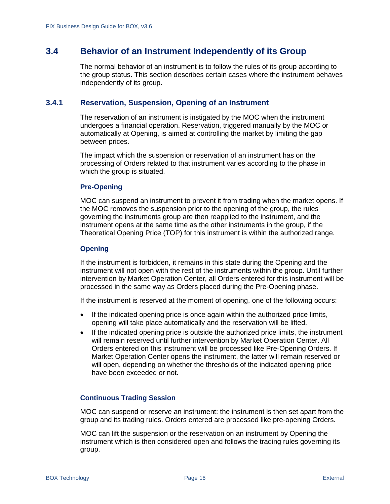# <span id="page-17-0"></span>**3.4 Behavior of an Instrument Independently of its Group**

The normal behavior of an instrument is to follow the rules of its group according to the group status. This section describes certain cases where the instrument behaves independently of its group.

#### <span id="page-17-1"></span>**3.4.1 Reservation, Suspension, Opening of an Instrument**

The reservation of an instrument is instigated by the MOC when the instrument undergoes a financial operation. Reservation, triggered manually by the MOC or automatically at Opening, is aimed at controlling the market by limiting the gap between prices.

The impact which the suspension or reservation of an instrument has on the processing of Orders related to that instrument varies according to the phase in which the group is situated.

#### **Pre-Opening**

MOC can suspend an instrument to prevent it from trading when the market opens. If the MOC removes the suspension prior to the opening of the group, the rules governing the instruments group are then reapplied to the instrument, and the instrument opens at the same time as the other instruments in the group, if the Theoretical Opening Price (TOP) for this instrument is within the authorized range.

#### **Opening**

If the instrument is forbidden, it remains in this state during the Opening and the instrument will not open with the rest of the instruments within the group. Until further intervention by Market Operation Center, all Orders entered for this instrument will be processed in the same way as Orders placed during the Pre-Opening phase.

If the instrument is reserved at the moment of opening, one of the following occurs:

- If the indicated opening price is once again within the authorized price limits, opening will take place automatically and the reservation will be lifted.
- If the indicated opening price is outside the authorized price limits, the instrument will remain reserved until further intervention by Market Operation Center. All Orders entered on this instrument will be processed like Pre-Opening Orders. If Market Operation Center opens the instrument, the latter will remain reserved or will open, depending on whether the thresholds of the indicated opening price have been exceeded or not.

#### **Continuous Trading Session**

MOC can suspend or reserve an instrument: the instrument is then set apart from the group and its trading rules. Orders entered are processed like pre-opening Orders.

MOC can lift the suspension or the reservation on an instrument by Opening the instrument which is then considered open and follows the trading rules governing its group.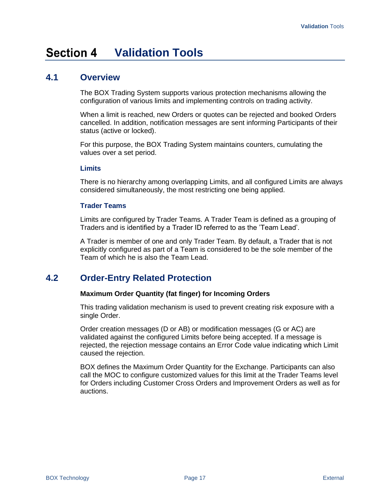#### <span id="page-18-0"></span>**Section 4 Validation Tools**

# <span id="page-18-1"></span>**4.1 Overview**

The BOX Trading System supports various protection mechanisms allowing the configuration of various limits and implementing controls on trading activity.

When a limit is reached, new Orders or quotes can be rejected and booked Orders cancelled. In addition, notification messages are sent informing Participants of their status (active or locked).

For this purpose, the BOX Trading System maintains counters, cumulating the values over a set period.

#### **Limits**

There is no hierarchy among overlapping Limits, and all configured Limits are always considered simultaneously, the most restricting one being applied.

#### **Trader Teams**

Limits are configured by Trader Teams. A Trader Team is defined as a grouping of Traders and is identified by a Trader ID referred to as the 'Team Lead'.

A Trader is member of one and only Trader Team. By default, a Trader that is not explicitly configured as part of a Team is considered to be the sole member of the Team of which he is also the Team Lead.

# <span id="page-18-2"></span>**4.2 Order-Entry Related Protection**

#### **Maximum Order Quantity (fat finger) for Incoming Orders**

This trading validation mechanism is used to prevent creating risk exposure with a single Order.

Order creation messages (D or AB) or modification messages (G or AC) are validated against the configured Limits before being accepted. If a message is rejected, the rejection message contains an Error Code value indicating which Limit caused the rejection.

BOX defines the Maximum Order Quantity for the Exchange. Participants can also call the MOC to configure customized values for this limit at the Trader Teams level for Orders including Customer Cross Orders and Improvement Orders as well as for auctions.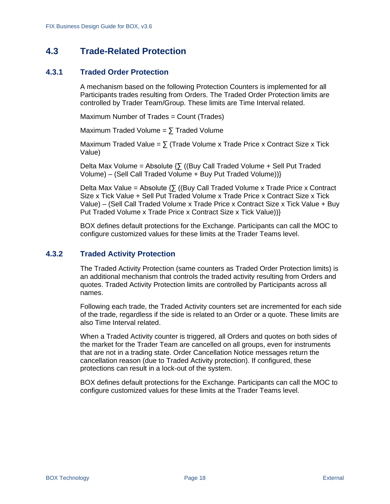# <span id="page-19-0"></span>**4.3 Trade-Related Protection**

### <span id="page-19-1"></span>**4.3.1 Traded Order Protection**

A mechanism based on the following Protection Counters is implemented for all Participants trades resulting from Orders. The Traded Order Protection limits are controlled by Trader Team/Group. These limits are Time Interval related.

Maximum Number of Trades = Count (Trades)

Maximum Traded Volume =  $\sum$  Traded Volume

Maximum Traded Value =  $\sum$  (Trade Volume x Trade Price x Contract Size x Tick Value)

Delta Max Volume = Absolute  $\{5 \}$  ((Buy Call Traded Volume + Sell Put Traded Volume) – (Sell Call Traded Volume + Buy Put Traded Volume))}

Delta Max Value = Absolute  $\{\sum$  ((Buy Call Traded Volume x Trade Price x Contract Size x Tick Value + Sell Put Traded Volume x Trade Price x Contract Size x Tick Value) – (Sell Call Traded Volume x Trade Price x Contract Size x Tick Value + Buy Put Traded Volume x Trade Price x Contract Size x Tick Value))}

BOX defines default protections for the Exchange. Participants can call the MOC to configure customized values for these limits at the Trader Teams level.

### <span id="page-19-2"></span>**4.3.2 Traded Activity Protection**

The Traded Activity Protection (same counters as Traded Order Protection limits) is an additional mechanism that controls the traded activity resulting from Orders and quotes. Traded Activity Protection limits are controlled by Participants across all names.

Following each trade, the Traded Activity counters set are incremented for each side of the trade, regardless if the side is related to an Order or a quote. These limits are also Time Interval related.

When a Traded Activity counter is triggered, all Orders and quotes on both sides of the market for the Trader Team are cancelled on all groups, even for instruments that are not in a trading state. Order Cancellation Notice messages return the cancellation reason (due to Traded Activity protection). If configured, these protections can result in a lock-out of the system.

BOX defines default protections for the Exchange. Participants can call the MOC to configure customized values for these limits at the Trader Teams level.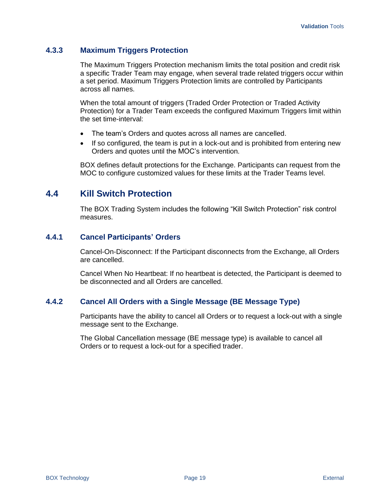## <span id="page-20-0"></span>**4.3.3 Maximum Triggers Protection**

The Maximum Triggers Protection mechanism limits the total position and credit risk a specific Trader Team may engage, when several trade related triggers occur within a set period. Maximum Triggers Protection limits are controlled by Participants across all names.

When the total amount of triggers (Traded Order Protection or Traded Activity Protection) for a Trader Team exceeds the configured Maximum Triggers limit within the set time-interval:

- The team's Orders and quotes across all names are cancelled.
- If so configured, the team is put in a lock-out and is prohibited from entering new Orders and quotes until the MOC's intervention.

BOX defines default protections for the Exchange. Participants can request from the MOC to configure customized values for these limits at the Trader Teams level.

# <span id="page-20-1"></span>**4.4 Kill Switch Protection**

The BOX Trading System includes the following "Kill Switch Protection" risk control measures.

## <span id="page-20-2"></span>**4.4.1 Cancel Participants' Orders**

Cancel-On-Disconnect: If the Participant disconnects from the Exchange, all Orders are cancelled.

Cancel When No Heartbeat: If no heartbeat is detected, the Participant is deemed to be disconnected and all Orders are cancelled.

## <span id="page-20-3"></span>**4.4.2 Cancel All Orders with a Single Message (BE Message Type)**

Participants have the ability to cancel all Orders or to request a lock-out with a single message sent to the Exchange.

The Global Cancellation message (BE message type) is available to cancel all Orders or to request a lock-out for a specified trader.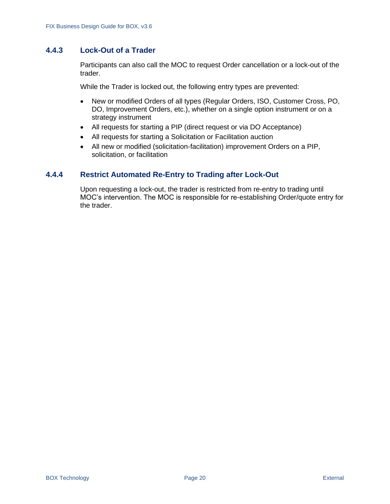## <span id="page-21-0"></span>**4.4.3 Lock-Out of a Trader**

Participants can also call the MOC to request Order cancellation or a lock-out of the trader.

While the Trader is locked out, the following entry types are prevented:

- New or modified Orders of all types (Regular Orders, ISO, Customer Cross, PO, DO, Improvement Orders, etc.), whether on a single option instrument or on a strategy instrument
- All requests for starting a PIP (direct request or via DO Acceptance)
- All requests for starting a Solicitation or Facilitation auction
- All new or modified (solicitation-facilitation) improvement Orders on a PIP, solicitation, or facilitation

## <span id="page-21-1"></span>**4.4.4 Restrict Automated Re-Entry to Trading after Lock-Out**

Upon requesting a lock-out, the trader is restricted from re-entry to trading until MOC's intervention. The MOC is responsible for re-establishing Order/quote entry for the trader.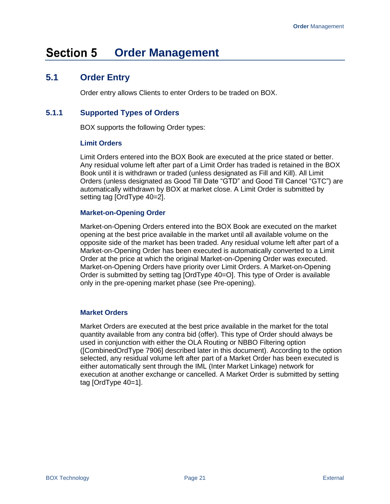#### <span id="page-22-0"></span>**Section 5 Order Management**

# <span id="page-22-1"></span>**5.1 Order Entry**

Order entry allows Clients to enter Orders to be traded on BOX.

## <span id="page-22-2"></span>**5.1.1 Supported Types of Orders**

BOX supports the following Order types:

#### **Limit Orders**

Limit Orders entered into the BOX Book are executed at the price stated or better. Any residual volume left after part of a Limit Order has traded is retained in the BOX Book until it is withdrawn or traded (unless designated as Fill and Kill). All Limit Orders (unless designated as Good Till Date "GTD" and Good Till Cancel "GTC") are automatically withdrawn by BOX at market close. A Limit Order is submitted by setting tag [OrdType 40=2].

#### **Market-on-Opening Order**

Market-on-Opening Orders entered into the BOX Book are executed on the market opening at the best price available in the market until all available volume on the opposite side of the market has been traded. Any residual volume left after part of a Market-on-Opening Order has been executed is automatically converted to a Limit Order at the price at which the original Market-on-Opening Order was executed. Market-on-Opening Orders have priority over Limit Orders. A Market-on-Opening Order is submitted by setting tag [OrdType 40=O]. This type of Order is available only in the pre-opening market phase (see Pre-opening).

### **Market Orders**

Market Orders are executed at the best price available in the market for the total quantity available from any contra bid (offer). This type of Order should always be used in conjunction with either the OLA Routing or NBBO Filtering option ([CombinedOrdType 7906] described later in this document). According to the option selected, any residual volume left after part of a Market Order has been executed is either automatically sent through the IML (Inter Market Linkage) network for execution at another exchange or cancelled. A Market Order is submitted by setting tag [OrdType 40=1].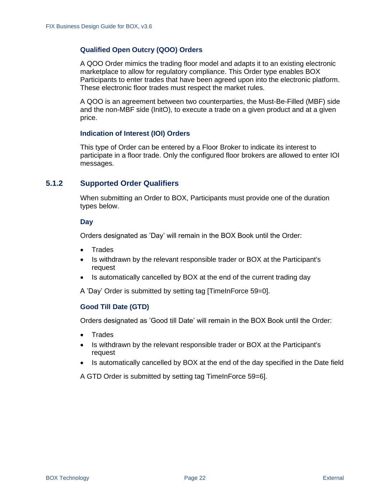#### **Qualified Open Outcry (QOO) Orders**

A QOO Order mimics the trading floor model and adapts it to an existing electronic marketplace to allow for regulatory compliance. This Order type enables BOX Participants to enter trades that have been agreed upon into the electronic platform. These electronic floor trades must respect the market rules.

A QOO is an agreement between two counterparties, the Must-Be-Filled (MBF) side and the non-MBF side (InitO), to execute a trade on a given product and at a given price.

#### **Indication of Interest (IOI) Orders**

This type of Order can be entered by a Floor Broker to indicate its interest to participate in a floor trade. Only the configured floor brokers are allowed to enter IOI messages.

#### <span id="page-23-0"></span>**5.1.2 Supported Order Qualifiers**

When submitting an Order to BOX, Participants must provide one of the duration types below.

#### **Day**

Orders designated as 'Day' will remain in the BOX Book until the Order:

- Trades
- Is withdrawn by the relevant responsible trader or BOX at the Participant's request
- Is automatically cancelled by BOX at the end of the current trading day

A 'Day' Order is submitted by setting tag [TimeInForce 59=0].

#### **Good Till Date (GTD)**

Orders designated as 'Good till Date' will remain in the BOX Book until the Order:

- Trades
- Is withdrawn by the relevant responsible trader or BOX at the Participant's request
- Is automatically cancelled by BOX at the end of the day specified in the Date field

A GTD Order is submitted by setting tag TimeInForce 59=6].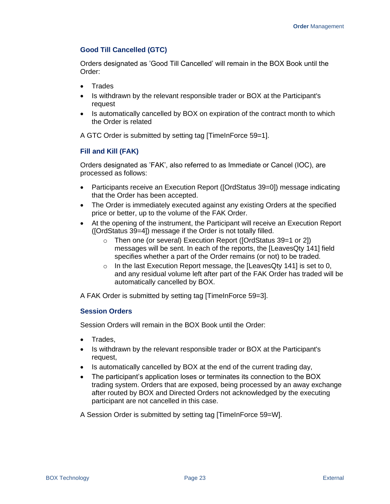#### **Good Till Cancelled (GTC)**

Orders designated as 'Good Till Cancelled' will remain in the BOX Book until the Order:

- Trades
- Is withdrawn by the relevant responsible trader or BOX at the Participant's request
- Is automatically cancelled by BOX on expiration of the contract month to which the Order is related

A GTC Order is submitted by setting tag [TimeInForce 59=1].

#### **Fill and Kill (FAK)**

Orders designated as 'FAK', also referred to as Immediate or Cancel (IOC), are processed as follows:

- Participants receive an Execution Report ([OrdStatus 39=0]) message indicating that the Order has been accepted.
- The Order is immediately executed against any existing Orders at the specified price or better, up to the volume of the FAK Order.
- At the opening of the instrument, the Participant will receive an Execution Report ([OrdStatus 39=4]) message if the Order is not totally filled.
	- o Then one (or several) Execution Report ([OrdStatus 39=1 or 2]) messages will be sent. In each of the reports, the [LeavesQty 141] field specifies whether a part of the Order remains (or not) to be traded.
	- $\circ$  In the last Execution Report message, the [LeavesQty 141] is set to 0, and any residual volume left after part of the FAK Order has traded will be automatically cancelled by BOX.

A FAK Order is submitted by setting tag [TimeInForce 59=3].

### **Session Orders**

Session Orders will remain in the BOX Book until the Order:

- Trades,
- Is withdrawn by the relevant responsible trader or BOX at the Participant's request,
- Is automatically cancelled by BOX at the end of the current trading day,
- The participant's application loses or terminates its connection to the BOX trading system. Orders that are exposed, being processed by an away exchange after routed by BOX and Directed Orders not acknowledged by the executing participant are not cancelled in this case.

A Session Order is submitted by setting tag [TimeInForce 59=W].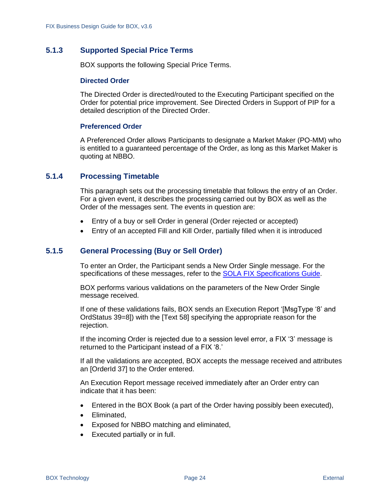## <span id="page-25-0"></span>**5.1.3 Supported Special Price Terms**

BOX supports the following Special Price Terms.

#### **Directed Order**

The Directed Order is directed/routed to the Executing Participant specified on the Order for potential price improvement. See [Directed Orders in Support of PIP](#page-32-1) for a detailed description of the Directed Order.

#### **Preferenced Order**

A Preferenced Order allows Participants to designate a Market Maker (PO-MM) who is entitled to a guaranteed percentage of the Order, as long as this Market Maker is quoting at NBBO.

#### <span id="page-25-1"></span>**5.1.4 Processing Timetable**

This paragraph sets out the processing timetable that follows the entry of an Order. For a given event, it describes the processing carried out by BOX as well as the Order of the messages sent. The events in question are:

- Entry of a buy or sell Order in general (Order rejected or accepted)
- Entry of an accepted Fill and Kill Order, partially filled when it is introduced

#### <span id="page-25-2"></span>**5.1.5 General Processing (Buy or Sell Order)**

To enter an Order, the Participant sends a New Order Single message. For the specifications of these messages, refer to the [SOLA FIX Specifications Guide.](https://boxoptions.com/assets/FIX-BX-002E-BOX-FIX-Specifications-Guide-v5.1.pdf)

BOX performs various validations on the parameters of the New Order Single message received.

If one of these validations fails, BOX sends an Execution Report '[MsgType '8' and OrdStatus 39=8]) with the [Text 58] specifying the appropriate reason for the rejection.

If the incoming Order is rejected due to a session level error, a FIX '3' message is returned to the Participant instead of a FIX '8.'

If all the validations are accepted, BOX accepts the message received and attributes an [OrderId 37] to the Order entered.

An Execution Report message received immediately after an Order entry can indicate that it has been:

- Entered in the BOX Book (a part of the Order having possibly been executed),
- Eliminated,
- Exposed for NBBO matching and eliminated,
- Executed partially or in full.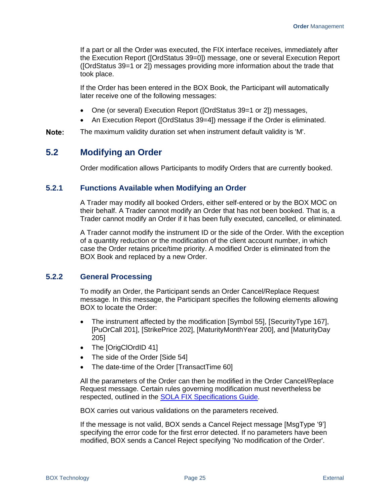If a part or all the Order was executed, the FIX interface receives, immediately after the Execution Report ([OrdStatus 39=0]) message, one or several Execution Report ([OrdStatus 39=1 or 2]) messages providing more information about the trade that took place.

If the Order has been entered in the BOX Book, the Participant will automatically later receive one of the following messages:

- One (or several) Execution Report ([OrdStatus 39=1 or 2]) messages,
- An Execution Report ([OrdStatus 39=4]) message if the Order is eliminated.
- Note: The maximum validity duration set when instrument default validity is 'M'.

# <span id="page-26-0"></span>**5.2 Modifying an Order**

Order modification allows Participants to modify Orders that are currently booked.

#### <span id="page-26-1"></span>**5.2.1 Functions Available when Modifying an Order**

A Trader may modify all booked Orders, either self-entered or by the BOX MOC on their behalf. A Trader cannot modify an Order that has not been booked. That is, a Trader cannot modify an Order if it has been fully executed, cancelled, or eliminated.

A Trader cannot modify the instrument ID or the side of the Order. With the exception of a quantity reduction or the modification of the client account number, in which case the Order retains price/time priority. A modified Order is eliminated from the BOX Book and replaced by a new Order.

#### <span id="page-26-2"></span>**5.2.2 General Processing**

To modify an Order, the Participant sends an Order Cancel/Replace Request message. In this message, the Participant specifies the following elements allowing BOX to locate the Order:

- The instrument affected by the modification [Symbol 55], [SecurityType 167], [PuOrCall 201], [StrikePrice 202], [MaturityMonthYear 200], and [MaturityDay 205]
- The [OrigClOrdID 41]
- The side of the Order [Side 54]
- The date-time of the Order [TransactTime 60]

All the parameters of the Order can then be modified in the Order Cancel/Replace Request message. Certain rules governing modification must nevertheless be respected, outlined in the [SOLA FIX Specifications Guide.](https://boxoptions.com/assets/FIX-BX-002E-BOX-FIX-Specifications-Guide-v5.1.pdf)

BOX carries out various validations on the parameters received.

If the message is not valid, BOX sends a Cancel Reject message [MsgType '9'] specifying the error code for the first error detected. If no parameters have been modified, BOX sends a Cancel Reject specifying 'No modification of the Order'.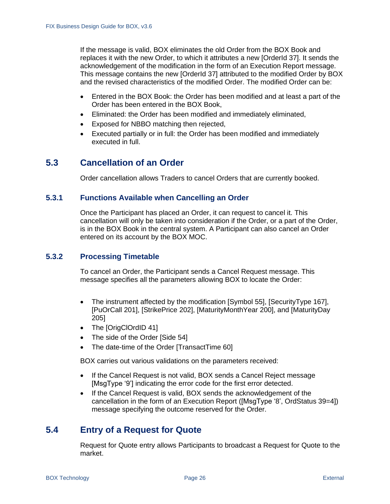If the message is valid, BOX eliminates the old Order from the BOX Book and replaces it with the new Order, to which it attributes a new [OrderId 37]. It sends the acknowledgement of the modification in the form of an Execution Report message. This message contains the new [OrderId 37] attributed to the modified Order by BOX and the revised characteristics of the modified Order. The modified Order can be:

- Entered in the BOX Book: the Order has been modified and at least a part of the Order has been entered in the BOX Book,
- Eliminated: the Order has been modified and immediately eliminated,
- Exposed for NBBO matching then rejected,
- Executed partially or in full: the Order has been modified and immediately executed in full.

# <span id="page-27-0"></span>**5.3 Cancellation of an Order**

Order cancellation allows Traders to cancel Orders that are currently booked.

### <span id="page-27-1"></span>**5.3.1 Functions Available when Cancelling an Order**

Once the Participant has placed an Order, it can request to cancel it. This cancellation will only be taken into consideration if the Order, or a part of the Order, is in the BOX Book in the central system. A Participant can also cancel an Order entered on its account by the BOX MOC.

## <span id="page-27-2"></span>**5.3.2 Processing Timetable**

To cancel an Order, the Participant sends a Cancel Request message. This message specifies all the parameters allowing BOX to locate the Order:

- The instrument affected by the modification [Symbol 55], [SecurityType 167], [PuOrCall 201], [StrikePrice 202], [MaturityMonthYear 200], and [MaturityDay 205]
- The [OrigClOrdID 41]
- The side of the Order [Side 54]
- The date-time of the Order [TransactTime 60]

BOX carries out various validations on the parameters received:

- If the Cancel Request is not valid, BOX sends a Cancel Reject message [MsgType '9'] indicating the error code for the first error detected.
- If the Cancel Request is valid, BOX sends the acknowledgement of the cancellation in the form of an Execution Report ([MsgType '8', OrdStatus 39=4]) message specifying the outcome reserved for the Order.

# <span id="page-27-3"></span>**5.4 Entry of a Request for Quote**

Request for Quote entry allows Participants to broadcast a Request for Quote to the market.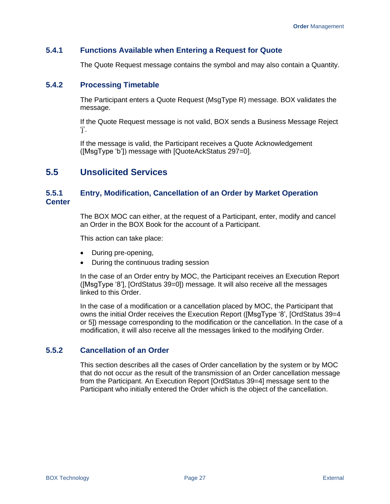## <span id="page-28-0"></span>**5.4.1 Functions Available when Entering a Request for Quote**

The Quote Request message contains the symbol and may also contain a Quantity.

#### <span id="page-28-1"></span>**5.4.2 Processing Timetable**

The Participant enters a Quote Request (MsgType R) message. BOX validates the message.

If the Quote Request message is not valid, BOX sends a Business Message Reject 'j'.

If the message is valid, the Participant receives a Quote Acknowledgement ([MsgType 'b']) message with [QuoteAckStatus 297=0].

# <span id="page-28-2"></span>**5.5 Unsolicited Services**

## <span id="page-28-3"></span>**5.5.1 Entry, Modification, Cancellation of an Order by Market Operation Center**

The BOX MOC can either, at the request of a Participant, enter, modify and cancel an Order in the BOX Book for the account of a Participant.

This action can take place:

- During pre-opening,
- During the continuous trading session

In the case of an Order entry by MOC, the Participant receives an Execution Report ([MsgType '8'], [OrdStatus 39=0]) message. It will also receive all the messages linked to this Order.

In the case of a modification or a cancellation placed by MOC, the Participant that owns the initial Order receives the Execution Report ([MsgType '8', [OrdStatus 39=4 or 5]) message corresponding to the modification or the cancellation. In the case of a modification, it will also receive all the messages linked to the modifying Order.

### <span id="page-28-4"></span>**5.5.2 Cancellation of an Order**

This section describes all the cases of Order cancellation by the system or by MOC that do not occur as the result of the transmission of an Order cancellation message from the Participant. An Execution Report [OrdStatus 39=4] message sent to the Participant who initially entered the Order which is the object of the cancellation.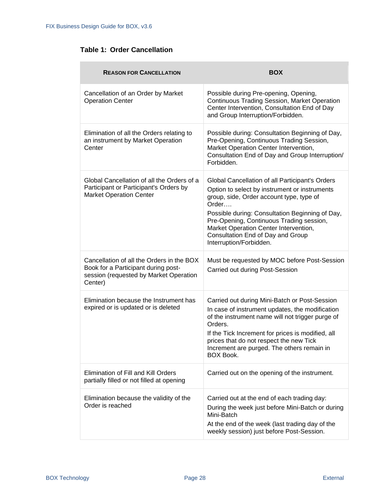# **Table 1: Order Cancellation**

| <b>REASON FOR CANCELLATION</b>                                                                                                        | <b>BOX</b>                                                                                                                                                                                                                                                                                                                                                    |
|---------------------------------------------------------------------------------------------------------------------------------------|---------------------------------------------------------------------------------------------------------------------------------------------------------------------------------------------------------------------------------------------------------------------------------------------------------------------------------------------------------------|
| Cancellation of an Order by Market<br><b>Operation Center</b>                                                                         | Possible during Pre-opening, Opening,<br>Continuous Trading Session, Market Operation<br>Center Intervention, Consultation End of Day<br>and Group Interruption/Forbidden.                                                                                                                                                                                    |
| Elimination of all the Orders relating to<br>an instrument by Market Operation<br>Center                                              | Possible during: Consultation Beginning of Day,<br>Pre-Opening, Continuous Trading Session,<br>Market Operation Center Intervention,<br>Consultation End of Day and Group Interruption/<br>Forbidden.                                                                                                                                                         |
| Global Cancellation of all the Orders of a<br>Participant or Participant's Orders by<br><b>Market Operation Center</b>                | Global Cancellation of all Participant's Orders<br>Option to select by instrument or instruments<br>group, side, Order account type, type of<br>Order<br>Possible during: Consultation Beginning of Day,<br>Pre-Opening, Continuous Trading session,<br>Market Operation Center Intervention,<br>Consultation End of Day and Group<br>Interruption/Forbidden. |
| Cancellation of all the Orders in the BOX<br>Book for a Participant during post-<br>session (requested by Market Operation<br>Center) | Must be requested by MOC before Post-Session<br>Carried out during Post-Session                                                                                                                                                                                                                                                                               |
| Elimination because the Instrument has<br>expired or is updated or is deleted                                                         | Carried out during Mini-Batch or Post-Session<br>In case of instrument updates, the modification<br>of the instrument name will not trigger purge of<br>Orders.<br>If the Tick Increment for prices is modified, all<br>prices that do not respect the new Tick<br>Increment are purged. The others remain in<br><b>BOX Book.</b>                             |
| Elimination of Fill and Kill Orders<br>partially filled or not filled at opening                                                      | Carried out on the opening of the instrument.                                                                                                                                                                                                                                                                                                                 |
| Elimination because the validity of the<br>Order is reached                                                                           | Carried out at the end of each trading day:<br>During the week just before Mini-Batch or during<br>Mini-Batch<br>At the end of the week (last trading day of the<br>weekly session) just before Post-Session.                                                                                                                                                 |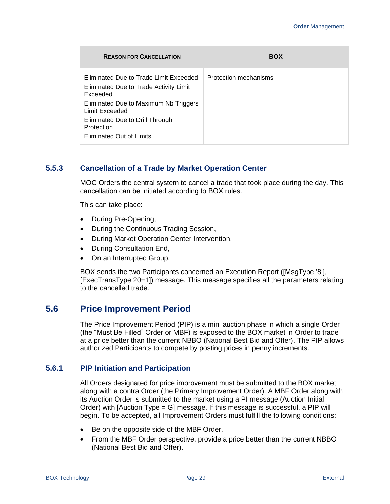| <b>REASON FOR CANCELLATION</b>                                                                                                                                                                                                              | <b>BOX</b>            |
|---------------------------------------------------------------------------------------------------------------------------------------------------------------------------------------------------------------------------------------------|-----------------------|
| Eliminated Due to Trade Limit Exceeded<br>Eliminated Due to Trade Activity Limit<br>Exceeded<br>Eliminated Due to Maximum Nb Triggers<br>Limit Exceeded<br>Eliminated Due to Drill Through<br>Protection<br><b>Eliminated Out of Limits</b> | Protection mechanisms |

### <span id="page-30-0"></span>**5.5.3 Cancellation of a Trade by Market Operation Center**

MOC Orders the central system to cancel a trade that took place during the day. This cancellation can be initiated according to BOX rules.

This can take place:

- During Pre-Opening,
- During the Continuous Trading Session,
- During Market Operation Center Intervention,
- During Consultation End,
- On an Interrupted Group.

BOX sends the two Participants concerned an Execution Report ([MsgType '8'], [ExecTransType 20=1]) message. This message specifies all the parameters relating to the cancelled trade.

# <span id="page-30-1"></span>**5.6 Price Improvement Period**

The Price Improvement Period (PIP) is a mini auction phase in which a single Order (the "Must Be Filled" Order or MBF) is exposed to the BOX market in Order to trade at a price better than the current NBBO (National Best Bid and Offer). The PIP allows authorized Participants to compete by posting prices in penny increments.

#### <span id="page-30-2"></span>**5.6.1 PIP Initiation and Participation**

All Orders designated for price improvement must be submitted to the BOX market along with a contra Order (the Primary Improvement Order). A MBF Order along with its Auction Order is submitted to the market using a PI message (Auction Initial Order) with [Auction Type = G] message. If this message is successful, a PIP will begin. To be accepted, all Improvement Orders must fulfill the following conditions:

- Be on the opposite side of the MBF Order,
- From the MBF Order perspective, provide a price better than the current NBBO (National Best Bid and Offer).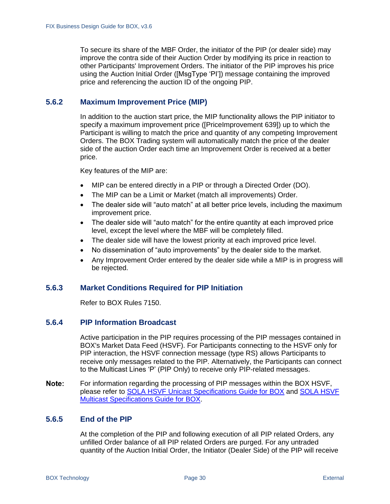To secure its share of the MBF Order, the initiator of the PIP (or dealer side) may improve the contra side of their Auction Order by modifying its price in reaction to other Participants' Improvement Orders. The initiator of the PIP improves his price using the Auction Initial Order ([MsgType 'PI']) message containing the improved price and referencing the auction ID of the ongoing PIP.

## <span id="page-31-0"></span>**5.6.2 Maximum Improvement Price (MIP)**

In addition to the auction start price, the MIP functionality allows the PIP initiator to specify a maximum improvement price ([PriceImprovement 639]) up to which the Participant is willing to match the price and quantity of any competing Improvement Orders. The BOX Trading system will automatically match the price of the dealer side of the auction Order each time an Improvement Order is received at a better price.

Key features of the MIP are:

- MIP can be entered directly in a PIP or through a Directed Order (DO).
- The MIP can be a Limit or Market (match all improvements) Order.
- The dealer side will "auto match" at all better price levels, including the maximum improvement price.
- The dealer side will "auto match" for the entire quantity at each improved price level, except the level where the MBF will be completely filled.
- The dealer side will have the lowest priority at each improved price level.
- No dissemination of "auto improvements" by the dealer side to the market.
- Any Improvement Order entered by the dealer side while a MIP is in progress will be rejected.

## <span id="page-31-1"></span>**5.6.3 Market Conditions Required for PIP Initiation**

Refer to BOX Rules 7150.

## <span id="page-31-2"></span>**5.6.4 PIP Information Broadcast**

Active participation in the PIP requires processing of the PIP messages contained in BOX's Market Data Feed (HSVF). For Participants connecting to the HSVF only for PIP interaction, the HSVF connection message (type RS) allows Participants to receive only messages related to the PIP. Alternatively, the Participants can connect to the Multicast Lines 'P' (PIP Only) to receive only PIP-related messages.

For information regarding the processing of PIP messages within the BOX HSVF, Note: please refer to SOLA HSVF [Unicast Specifications](https://boxoptions.com/technology/trading-interface-specifications/) Guide for BOX and [SOLA HSVF](https://boxoptions.com/technology/trading-interface-specifications/)  [Multicast Specifications Guide for BOX.](https://boxoptions.com/technology/trading-interface-specifications/)

### <span id="page-31-3"></span>**5.6.5 End of the PIP**

At the completion of the PIP and following execution of all PIP related Orders, any unfilled Order balance of all PIP related Orders are purged. For any untraded quantity of the Auction Initial Order, the Initiator (Dealer Side) of the PIP will receive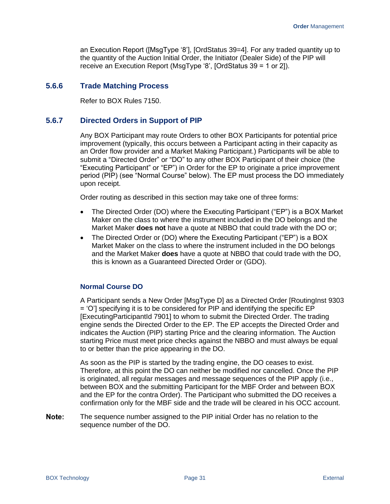an Execution Report ([MsgType '8'], [OrdStatus 39=4]. For any traded quantity up to the quantity of the Auction Initial Order, the Initiator (Dealer Side) of the PIP will receive an Execution Report (MsgType '8', [OrdStatus 39 = 1 or 2]).

#### <span id="page-32-0"></span>**5.6.6 Trade Matching Process**

Refer to BOX Rules 7150.

#### <span id="page-32-1"></span>**5.6.7 Directed Orders in Support of PIP**

Any BOX Participant may route Orders to other BOX Participants for potential price improvement (typically, this occurs between a Participant acting in their capacity as an Order flow provider and a Market Making Participant.) Participants will be able to submit a "Directed Order" or "DO" to any other BOX Participant of their choice (the "Executing Participant" or "EP") in Order for the EP to originate a price improvement period (PIP) (see "Normal Course" below). The EP must process the DO immediately upon receipt.

Order routing as described in this section may take one of three forms:

- The Directed Order (DO) where the Executing Participant ("EP") is a BOX Market Maker on the class to where the instrument included in the DO belongs and the Market Maker **does not** have a quote at NBBO that could trade with the DO or;
- The Directed Order or (DO) where the Executing Participant ("EP") is a BOX Market Maker on the class to where the instrument included in the DO belongs and the Market Maker **does** have a quote at NBBO that could trade with the DO, this is known as a Guaranteed Directed Order or (GDO).

#### **Normal Course DO**

A Participant sends a New Order [MsgType D] as a Directed Order [RoutingInst 9303 = 'O'] specifying it is to be considered for PIP and identifying the specific EP [ExecutingParticipantId 7901] to whom to submit the Directed Order. The trading engine sends the Directed Order to the EP. The EP accepts the Directed Order and indicates the Auction (PIP) starting Price and the clearing information. The Auction starting Price must meet price checks against the NBBO and must always be equal to or better than the price appearing in the DO.

As soon as the PIP is started by the trading engine, the DO ceases to exist. Therefore, at this point the DO can neither be modified nor cancelled. Once the PIP is originated, all regular messages and message sequences of the PIP apply (i.e., between BOX and the submitting Participant for the MBF Order and between BOX and the EP for the contra Order). The Participant who submitted the DO receives a confirmation only for the MBF side and the trade will be cleared in his OCC account.

The sequence number assigned to the PIP initial Order has no relation to the Note: sequence number of the DO.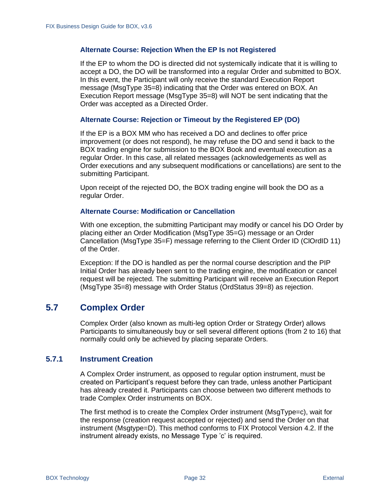#### **Alternate Course: Rejection When the EP Is not Registered**

If the EP to whom the DO is directed did not systemically indicate that it is willing to accept a DO, the DO will be transformed into a regular Order and submitted to BOX. In this event, the Participant will only receive the standard Execution Report message (MsgType 35=8) indicating that the Order was entered on BOX. An Execution Report message (MsgType 35=8) will NOT be sent indicating that the Order was accepted as a Directed Order.

#### **Alternate Course: Rejection or Timeout by the Registered EP (DO)**

If the EP is a BOX MM who has received a DO and declines to offer price improvement (or does not respond), he may refuse the DO and send it back to the BOX trading engine for submission to the BOX Book and eventual execution as a regular Order. In this case, all related messages (acknowledgements as well as Order executions and any subsequent modifications or cancellations) are sent to the submitting Participant.

Upon receipt of the rejected DO, the BOX trading engine will book the DO as a regular Order.

#### **Alternate Course: Modification or Cancellation**

With one exception, the submitting Participant may modify or cancel his DO Order by placing either an Order Modification (MsgType 35=G) message or an Order Cancellation (MsgType 35=F) message referring to the Client Order ID (ClOrdID 11) of the Order.

Exception: If the DO is handled as per the normal course description and the PIP Initial Order has already been sent to the trading engine, the modification or cancel request will be rejected. The submitting Participant will receive an Execution Report (MsgType 35=8) message with Order Status (OrdStatus 39=8) as rejection.

# <span id="page-33-0"></span>**5.7 Complex Order**

Complex Order (also known as multi-leg option Order or Strategy Order) allows Participants to simultaneously buy or sell several different options (from 2 to 16) that normally could only be achieved by placing separate Orders.

#### <span id="page-33-1"></span>**5.7.1 Instrument Creation**

A Complex Order instrument, as opposed to regular option instrument, must be created on Participant's request before they can trade, unless another Participant has already created it. Participants can choose between two different methods to trade Complex Order instruments on BOX.

The first method is to create the Complex Order instrument (MsgType=c), wait for the response (creation request accepted or rejected) and send the Order on that instrument (Msgtype=D). This method conforms to FIX Protocol Version 4.2. If the instrument already exists, no Message Type 'c' is required.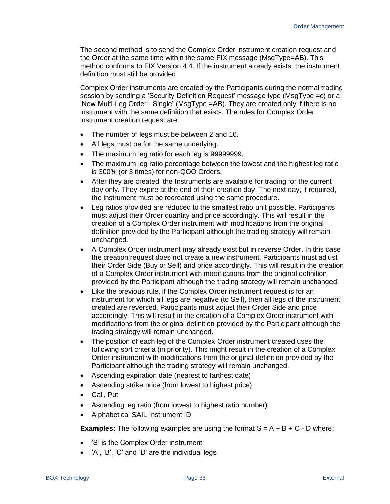The second method is to send the Complex Order instrument creation request and the Order at the same time within the same FIX message (MsgType=AB). This method conforms to FIX Version 4.4. If the instrument already exists, the instrument definition must still be provided.

Complex Order instruments are created by the Participants during the normal trading session by sending a 'Security Definition Request' message type (MsgType =c) or a 'New Multi-Leg Order - Single' (MsgType =AB). They are created only if there is no instrument with the same definition that exists. The rules for Complex Order instrument creation request are:

- The number of legs must be between 2 and 16.
- All legs must be for the same underlying.
- The maximum leg ratio for each leg is 99999999.
- The maximum leg ratio percentage between the lowest and the highest leg ratio is 300% (or 3 times) for non-QOO Orders.
- After they are created, the Instruments are available for trading for the current day only. They expire at the end of their creation day. The next day, if required, the instrument must be recreated using the same procedure.
- Leg ratios provided are reduced to the smallest ratio unit possible. Participants must adjust their Order quantity and price accordingly. This will result in the creation of a Complex Order instrument with modifications from the original definition provided by the Participant although the trading strategy will remain unchanged.
- A Complex Order instrument may already exist but in reverse Order. In this case the creation request does not create a new instrument. Participants must adjust their Order Side (Buy or Sell) and price accordingly. This will result in the creation of a Complex Order instrument with modifications from the original definition provided by the Participant although the trading strategy will remain unchanged.
- Like the previous rule, if the Complex Order instrument request is for an instrument for which all legs are negative (to Sell), then all legs of the instrument created are reversed. Participants must adjust their Order Side and price accordingly. This will result in the creation of a Complex Order instrument with modifications from the original definition provided by the Participant although the trading strategy will remain unchanged.
- The position of each leg of the Complex Order instrument created uses the following sort criteria (in priority). This might result in the creation of a Complex Order instrument with modifications from the original definition provided by the Participant although the trading strategy will remain unchanged.
- Ascending expiration date (nearest to farthest date)
- Ascending strike price (from lowest to highest price)
- Call, Put
- Ascending leg ratio (from lowest to highest ratio number)
- Alphabetical SAIL Instrument ID

**Examples:** The following examples are using the format  $S = A + B + C - D$  where:

- 'S' is the Complex Order instrument
- 'A', 'B', 'C' and 'D' are the individual legs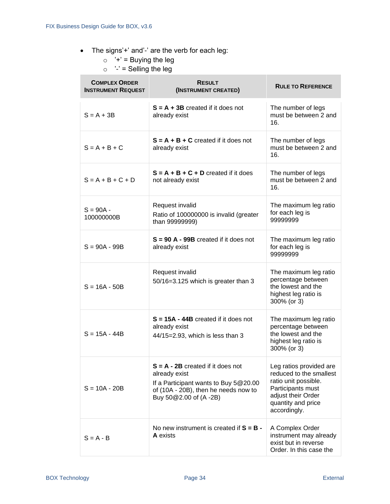- The signs'+' and'-' are the verb for each leg:
	- $\circ$  '+' = Buying the leg
	- $\circ$  '-' = Selling the leg

| <b>COMPLEX ORDER</b><br><b>INSTRUMENT REQUEST</b> | <b>RESULT</b><br>(INSTRUMENT CREATED)                                                                                                                          | <b>RULE TO REFERENCE</b>                                                                                                                                    |
|---------------------------------------------------|----------------------------------------------------------------------------------------------------------------------------------------------------------------|-------------------------------------------------------------------------------------------------------------------------------------------------------------|
| $S = A + 3B$                                      | $S = A + 3B$ created if it does not<br>already exist                                                                                                           | The number of legs<br>must be between 2 and<br>16.                                                                                                          |
| $S = A + B + C$                                   | $S = A + B + C$ created if it does not<br>already exist                                                                                                        | The number of legs<br>must be between 2 and<br>16.                                                                                                          |
| $S = A + B + C + D$                               | $S = A + B + C + D$ created if it does<br>not already exist                                                                                                    | The number of legs<br>must be between 2 and<br>16.                                                                                                          |
| $S = 90A -$<br>100000000B                         | Request invalid<br>Ratio of 100000000 is invalid (greater<br>than 99999999)                                                                                    | The maximum leg ratio<br>for each leg is<br>99999999                                                                                                        |
| $S = 90A - 99B$                                   | $S = 90 A - 99B$ created if it does not<br>already exist                                                                                                       | The maximum leg ratio<br>for each leg is<br>99999999                                                                                                        |
| $S = 16A - 50B$                                   | Request invalid<br>50/16=3.125 which is greater than 3                                                                                                         | The maximum leg ratio<br>percentage between<br>the lowest and the<br>highest leg ratio is<br>300% (or 3)                                                    |
| $S = 15A - 44B$                                   | $S = 15A - 44B$ created if it does not<br>already exist<br>44/15=2.93, which is less than 3                                                                    | The maximum leg ratio<br>percentage between<br>the lowest and the<br>highest leg ratio is<br>300% (or 3)                                                    |
| $S = 10A - 20B$                                   | $S = A - 2B$ created if it does not<br>already exist<br>If a Participant wants to Buy 5@20.00<br>of (10A - 20B), then he needs now to<br>Buy 50@2.00 of (A-2B) | Leg ratios provided are<br>reduced to the smallest<br>ratio unit possible.<br>Participants must<br>adjust their Order<br>quantity and price<br>accordingly. |
| $S = A - B$                                       | No new instrument is created if $S = B -$<br><b>A</b> exists                                                                                                   | A Complex Order<br>instrument may already<br>exist but in reverse<br>Order. In this case the                                                                |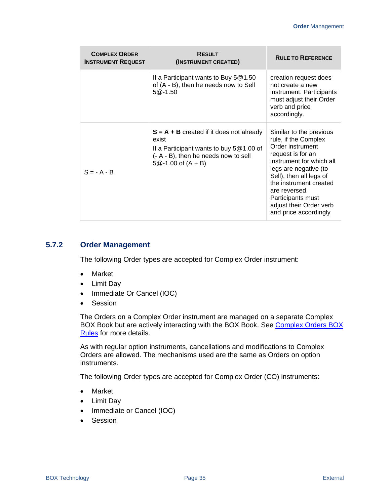| <b>COMPLEX ORDER</b><br><b>INSTRUMENT REQUEST</b> | <b>RESULT</b><br>(INSTRUMENT CREATED)                                                                                                                              | <b>RULE TO REFERENCE</b>                                                                                                                                                                                                                                                                     |
|---------------------------------------------------|--------------------------------------------------------------------------------------------------------------------------------------------------------------------|----------------------------------------------------------------------------------------------------------------------------------------------------------------------------------------------------------------------------------------------------------------------------------------------|
|                                                   | If a Participant wants to Buy $5@1.50$<br>of (A - B), then he needs now to Sell<br>$5@-1.50$                                                                       | creation request does<br>not create a new<br>instrument. Participants<br>must adjust their Order<br>verb and price<br>accordingly.                                                                                                                                                           |
| $S = -A - B$                                      | $S = A + B$ created if it does not already<br>exist<br>If a Participant wants to buy $5@1.00$ of<br>(- A - B), then he needs now to sell<br>$5@-1.00$ of $(A + B)$ | Similar to the previous<br>rule, if the Complex<br>Order instrument<br>request is for an<br>instrument for which all<br>legs are negative (to<br>Sell), then all legs of<br>the instrument created<br>are reversed.<br>Participants must<br>adjust their Order verb<br>and price accordingly |

### **5.7.2 Order Management**

The following Order types are accepted for Complex Order instrument:

- Market
- Limit Day
- Immediate Or Cancel (IOC)
- Session

The Orders on a Complex Order instrument are managed on a separate Complex BOX Book but are actively interacting with the BOX Book. See Complex Orders BOX [Rules](https://rules.boxoptions.com/browse/966253cc7b431000b38d001b7840a5b2032?searchid=2110070238407293bb6782bc11472395f9a80bccf29de1!0000000000!966253cc7b431000b38d001b7840a5b2032) for more details.

As with regular option instruments, cancellations and modifications to Complex Orders are allowed. The mechanisms used are the same as Orders on option instruments.

The following Order types are accepted for Complex Order (CO) instruments:

- Market
- Limit Day
- Immediate or Cancel (IOC)
- Session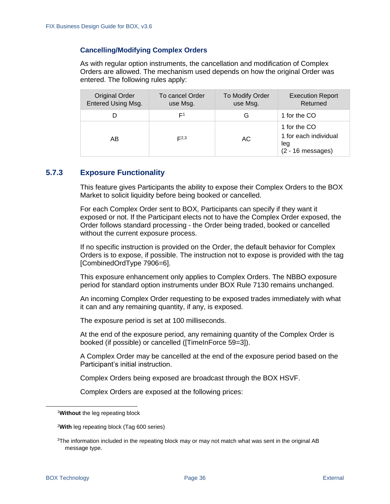#### **Cancelling/Modifying Complex Orders**

As with regular option instruments, the cancellation and modification of Complex Orders are allowed. The mechanism used depends on how the original Order was entered. The following rules apply:

| <b>Original Order</b><br>Entered Using Msg. | To cancel Order<br>use Msg. | To Modify Order<br>use Msg. | <b>Execution Report</b><br>Returned                                 |
|---------------------------------------------|-----------------------------|-----------------------------|---------------------------------------------------------------------|
|                                             | E1                          | G                           | 1 for the CO                                                        |
| AB                                          | E2,3                        | АC                          | 1 for the CO<br>1 for each individual<br>leg<br>$(2 - 16$ messages) |

### **5.7.3 Exposure Functionality**

This feature gives Participants the ability to expose their Complex Orders to the BOX Market to solicit liquidity before being booked or cancelled.

For each Complex Order sent to BOX, Participants can specify if they want it exposed or not. If the Participant elects not to have the Complex Order exposed, the Order follows standard processing - the Order being traded, booked or cancelled without the current exposure process.

If no specific instruction is provided on the Order, the default behavior for Complex Orders is to expose, if possible. The instruction not to expose is provided with the tag [CombinedOrdType 7906=6].

This exposure enhancement only applies to Complex Orders. The NBBO exposure period for standard option instruments under BOX Rule 7130 remains unchanged.

An incoming Complex Order requesting to be exposed trades immediately with what it can and any remaining quantity, if any, is exposed.

The exposure period is set at 100 milliseconds.

At the end of the exposure period, any remaining quantity of the Complex Order is booked (if possible) or cancelled ([TimeInForce 59=3]).

A Complex Order may be cancelled at the end of the exposure period based on the Participant's initial instruction.

Complex Orders being exposed are broadcast through the BOX HSVF.

Complex Orders are exposed at the following prices:

<sup>1</sup>**Without** the leg repeating block

<sup>2</sup>**With** leg repeating block (Tag 600 series)

 $3$ The information included in the repeating block may or may not match what was sent in the original AB message type.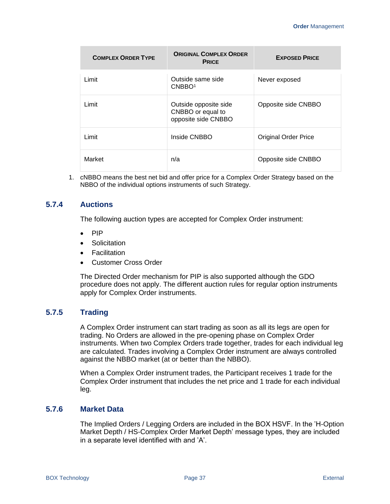| <b>COMPLEX ORDER TYPE</b> | <b>ORIGINAL COMPLEX ORDER</b><br><b>PRICE</b>                     | <b>EXPOSED PRICE</b>        |
|---------------------------|-------------------------------------------------------------------|-----------------------------|
| Limit                     | Outside same side<br>CNBBO <sup>1</sup>                           | Never exposed               |
| Limit                     | Outside opposite side<br>CNBBO or equal to<br>opposite side CNBBO | Opposite side CNBBO         |
| Limit                     | Inside CNBBO                                                      | <b>Original Order Price</b> |
| Market                    | n/a                                                               | Opposite side CNBBO         |

1. cNBBO means the best net bid and offer price for a Complex Order Strategy based on the NBBO of the individual options instruments of such Strategy.

### **5.7.4 Auctions**

The following auction types are accepted for Complex Order instrument:

- PIP
- Solicitation
- Facilitation
- Customer Cross Order

The Directed Order mechanism for PIP is also supported although the GDO procedure does not apply. The different auction rules for regular option instruments apply for Complex Order instruments.

### **5.7.5 Trading**

A Complex Order instrument can start trading as soon as all its legs are open for trading. No Orders are allowed in the pre-opening phase on Complex Order instruments. When two Complex Orders trade together, trades for each individual leg are calculated. Trades involving a Complex Order instrument are always controlled against the NBBO market (at or better than the NBBO).

When a Complex Order instrument trades, the Participant receives 1 trade for the Complex Order instrument that includes the net price and 1 trade for each individual leg.

### **5.7.6 Market Data**

The Implied Orders / Legging Orders are included in the BOX HSVF. In the 'H-Option Market Depth / HS-Complex Order Market Depth' message types, they are included in a separate level identified with and 'A'.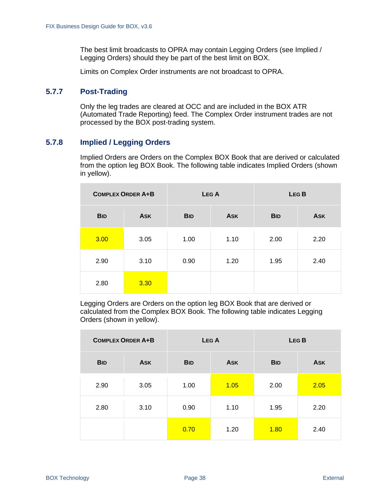The best limit broadcasts to OPRA may contain Legging Orders (see [Implied /](#page-39-0)  [Legging Orders\)](#page-39-0) should they be part of the best limit on BOX.

Limits on Complex Order instruments are not broadcast to OPRA.

### **5.7.7 Post-Trading**

Only the leg trades are cleared at OCC and are included in the BOX ATR (Automated Trade Reporting) feed. The Complex Order instrument trades are not processed by the BOX post-trading system.

### <span id="page-39-0"></span>**5.7.8 Implied / Legging Orders**

Implied Orders are Orders on the Complex BOX Book that are derived or calculated from the option leg BOX Book. The following table indicates Implied Orders (shown in yellow).

|            | <b>COMPLEX ORDER A+B</b> |            | LEG A      |            | LEG <sub>B</sub> |
|------------|--------------------------|------------|------------|------------|------------------|
| <b>BID</b> | <b>ASK</b>               | <b>BID</b> | <b>ASK</b> | <b>BID</b> | <b>ASK</b>       |
| 3.00       | 3.05                     | 1.00       | 1.10       | 2.00       | 2.20             |
| 2.90       | 3.10                     | 0.90       | 1.20       | 1.95       | 2.40             |
| 2.80       | 3.30                     |            |            |            |                  |

Legging Orders are Orders on the option leg BOX Book that are derived or calculated from the Complex BOX Book. The following table indicates Legging Orders (shown in yellow).

| <b>COMPLEX ORDER A+B</b> |            |            | LEG A      |            | LEG <sub>B</sub> |
|--------------------------|------------|------------|------------|------------|------------------|
| <b>BID</b>               | <b>ASK</b> | <b>BID</b> | <b>ASK</b> | <b>BID</b> | <b>ASK</b>       |
| 2.90                     | 3.05       | 1.00       | 1.05       | 2.00       | 2.05             |
| 2.80                     | 3.10       | 0.90       | 1.10       | 1.95       | 2.20             |
|                          |            | 0.70       | 1.20       | 1.80       | 2.40             |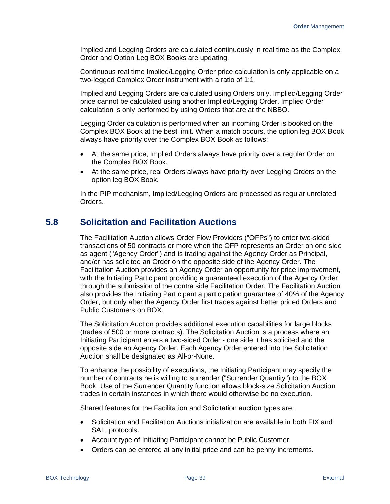Implied and Legging Orders are calculated continuously in real time as the Complex Order and Option Leg BOX Books are updating.

Continuous real time Implied/Legging Order price calculation is only applicable on a two-legged Complex Order instrument with a ratio of 1:1.

Implied and Legging Orders are calculated using Orders only. Implied/Legging Order price cannot be calculated using another Implied/Legging Order. Implied Order calculation is only performed by using Orders that are at the NBBO.

Legging Order calculation is performed when an incoming Order is booked on the Complex BOX Book at the best limit. When a match occurs, the option leg BOX Book always have priority over the Complex BOX Book as follows:

- At the same price, Implied Orders always have priority over a regular Order on the Complex BOX Book.
- At the same price, real Orders always have priority over Legging Orders on the option leg BOX Book.

In the PIP mechanism, Implied/Legging Orders are processed as regular unrelated Orders.

## **5.8 Solicitation and Facilitation Auctions**

The Facilitation Auction allows Order Flow Providers ("OFPs") to enter two-sided transactions of 50 contracts or more when the OFP represents an Order on one side as agent ("Agency Order") and is trading against the Agency Order as Principal, and/or has solicited an Order on the opposite side of the Agency Order. The Facilitation Auction provides an Agency Order an opportunity for price improvement, with the Initiating Participant providing a guaranteed execution of the Agency Order through the submission of the contra side Facilitation Order. The Facilitation Auction also provides the Initiating Participant a participation guarantee of 40% of the Agency Order, but only after the Agency Order first trades against better priced Orders and Public Customers on BOX.

The Solicitation Auction provides additional execution capabilities for large blocks (trades of 500 or more contracts). The Solicitation Auction is a process where an Initiating Participant enters a two-sided Order - one side it has solicited and the opposite side an Agency Order. Each Agency Order entered into the Solicitation Auction shall be designated as All-or-None.

To enhance the possibility of executions, the Initiating Participant may specify the number of contracts he is willing to surrender ("Surrender Quantity") to the BOX Book. Use of the Surrender Quantity function allows block-size Solicitation Auction trades in certain instances in which there would otherwise be no execution.

Shared features for the Facilitation and Solicitation auction types are:

- Solicitation and Facilitation Auctions initialization are available in both FIX and SAIL protocols.
- Account type of Initiating Participant cannot be Public Customer.
- Orders can be entered at any initial price and can be penny increments.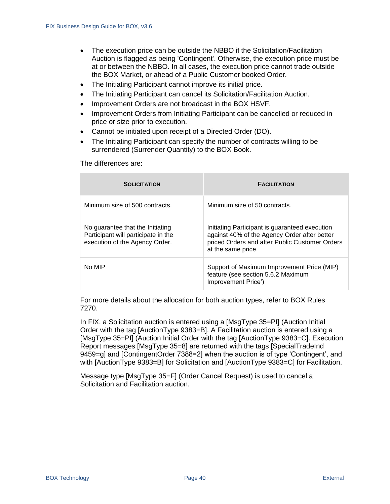- The execution price can be outside the NBBO if the Solicitation/Facilitation Auction is flagged as being 'Contingent'. Otherwise, the execution price must be at or between the NBBO. In all cases, the execution price cannot trade outside the BOX Market, or ahead of a Public Customer booked Order.
- The Initiating Participant cannot improve its initial price.
- The Initiating Participant can cancel its Solicitation/Facilitation Auction.
- Improvement Orders are not broadcast in the BOX HSVF.
- Improvement Orders from Initiating Participant can be cancelled or reduced in price or size prior to execution.
- Cannot be initiated upon receipt of a Directed Order (DO).
- The Initiating Participant can specify the number of contracts willing to be surrendered (Surrender Quantity) to the BOX Book.

The differences are:

| <b>SOLICITATION</b>                                                                                       | <b>FACILITATION</b>                                                                                                                                                    |
|-----------------------------------------------------------------------------------------------------------|------------------------------------------------------------------------------------------------------------------------------------------------------------------------|
| Minimum size of 500 contracts.                                                                            | Minimum size of 50 contracts.                                                                                                                                          |
| No quarantee that the Initiating<br>Participant will participate in the<br>execution of the Agency Order. | Initiating Participant is guaranteed execution<br>against 40% of the Agency Order after better<br>priced Orders and after Public Customer Orders<br>at the same price. |
| No MIP                                                                                                    | Support of Maximum Improvement Price (MIP)<br>feature (see section 5.6.2 Maximum<br>Improvement Price')                                                                |

For more details about the allocation for both auction types, refer to BOX Rules 7270.

In FIX, a Solicitation auction is entered using a [MsgType 35=PI] (Auction Initial Order with the tag [AuctionType 9383=B]. A Facilitation auction is entered using a [MsgType 35=PI] (Auction Initial Order with the tag [AuctionType 9383=C]. Execution Report messages [MsgType 35=8] are returned with the tags [SpecialTradeInd 9459=g] and [ContingentOrder 7388=2] when the auction is of type 'Contingent', and with [AuctionType 9383=B] for Solicitation and [AuctionType 9383=C] for Facilitation.

Message type [MsgType 35=F] (Order Cancel Request) is used to cancel a Solicitation and Facilitation auction.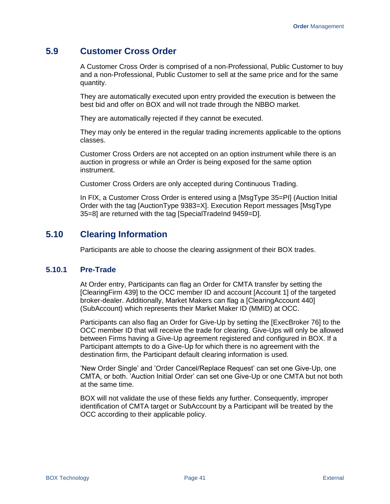# **5.9 Customer Cross Order**

A Customer Cross Order is comprised of a non-Professional, Public Customer to buy and a non-Professional, Public Customer to sell at the same price and for the same quantity.

They are automatically executed upon entry provided the execution is between the best bid and offer on BOX and will not trade through the NBBO market.

They are automatically rejected if they cannot be executed.

They may only be entered in the regular trading increments applicable to the options classes.

Customer Cross Orders are not accepted on an option instrument while there is an auction in progress or while an Order is being exposed for the same option instrument.

Customer Cross Orders are only accepted during Continuous Trading.

In FIX, a Customer Cross Order is entered using a [MsgType 35=PI] (Auction Initial Order with the tag [AuctionType 9383=X]. Execution Report messages [MsgType 35=8] are returned with the tag [SpecialTradeInd 9459=D].

# **5.10 Clearing Information**

Participants are able to choose the clearing assignment of their BOX trades.

### **5.10.1 Pre-Trade**

At Order entry, Participants can flag an Order for CMTA transfer by setting the [ClearingFirm 439] to the OCC member ID and account [Account 1] of the targeted broker-dealer. Additionally, Market Makers can flag a [ClearingAccount 440] (SubAccount) which represents their Market Maker ID (MMID) at OCC.

Participants can also flag an Order for Give-Up by setting the [ExecBroker 76] to the OCC member ID that will receive the trade for clearing. Give-Ups will only be allowed between Firms having a Give-Up agreement registered and configured in BOX. If a Participant attempts to do a Give-Up for which there is no agreement with the destination firm, the Participant default clearing information is used.

'New Order Single' and 'Order Cancel/Replace Request' can set one Give-Up, one CMTA, or both. 'Auction Initial Order' can set one Give-Up or one CMTA but not both at the same time.

BOX will not validate the use of these fields any further. Consequently, improper identification of CMTA target or SubAccount by a Participant will be treated by the OCC according to their applicable policy.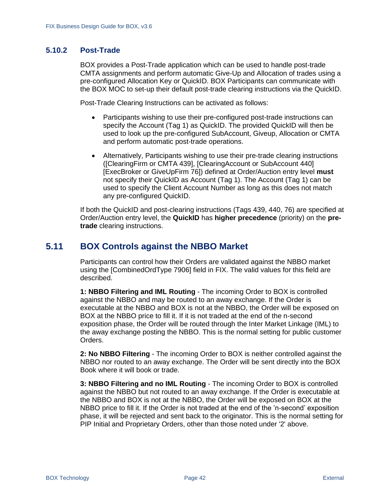### **5.10.2 Post-Trade**

BOX provides a Post-Trade application which can be used to handle post-trade CMTA assignments and perform automatic Give-Up and Allocation of trades using a pre-configured Allocation Key or QuickID. BOX Participants can communicate with the BOX MOC to set-up their default post-trade clearing instructions via the QuickID.

Post-Trade Clearing Instructions can be activated as follows:

- Participants wishing to use their pre-configured post-trade instructions can specify the Account (Tag 1) as QuickID. The provided QuickID will then be used to look up the pre-configured SubAccount, Giveup, Allocation or CMTA and perform automatic post-trade operations.
- Alternatively, Participants wishing to use their pre-trade clearing instructions ([ClearingFirm or CMTA 439], [ClearingAccount or SubAccount 440] [ExecBroker or GiveUpFirm 76]) defined at Order/Auction entry level **must** not specify their QuickID as Account (Tag 1). The Account (Tag 1) can be used to specify the Client Account Number as long as this does not match any pre-configured QuickID.

If both the QuickID and post-clearing instructions (Tags 439, 440, 76) are specified at Order/Auction entry level, the **QuickID** has **higher precedence** (priority) on the **pretrade** clearing instructions.

# **5.11 BOX Controls against the NBBO Market**

Participants can control how their Orders are validated against the NBBO market using the [CombinedOrdType 7906] field in FIX. The valid values for this field are described.

**1: NBBO Filtering and IML Routing** - The incoming Order to BOX is controlled against the NBBO and may be routed to an away exchange. If the Order is executable at the NBBO and BOX is not at the NBBO, the Order will be exposed on BOX at the NBBO price to fill it. If it is not traded at the end of the n-second exposition phase, the Order will be routed through the Inter Market Linkage (IML) to the away exchange posting the NBBO. This is the normal setting for public customer Orders.

**2: No NBBO Filtering** - The incoming Order to BOX is neither controlled against the NBBO nor routed to an away exchange. The Order will be sent directly into the BOX Book where it will book or trade.

**3: NBBO Filtering and no IML Routing** - The incoming Order to BOX is controlled against the NBBO but not routed to an away exchange. If the Order is executable at the NBBO and BOX is not at the NBBO, the Order will be exposed on BOX at the NBBO price to fill it. If the Order is not traded at the end of the 'n-second' exposition phase, it will be rejected and sent back to the originator. This is the normal setting for PIP Initial and Proprietary Orders, other than those noted under '2' above.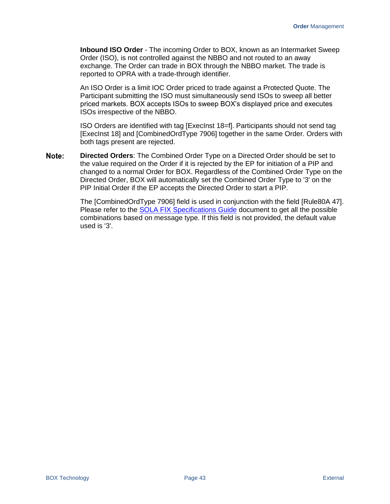**Inbound ISO Order** - The incoming Order to BOX, known as an Intermarket Sweep Order (ISO), is not controlled against the NBBO and not routed to an away exchange. The Order can trade in BOX through the NBBO market. The trade is reported to OPRA with a trade-through identifier.

An ISO Order is a limit IOC Order priced to trade against a Protected Quote. The Participant submitting the ISO must simultaneously send ISOs to sweep all better priced markets. BOX accepts ISOs to sweep BOX's displayed price and executes ISOs irrespective of the NBBO.

ISO Orders are identified with tag [ExecInst 18=f]. Participants should not send tag [ExecInst 18] and [CombinedOrdType 7906] together in the same Order. Orders with both tags present are rejected.

Note: **Directed Orders**: The Combined Order Type on a Directed Order should be set to the value required on the Order if it is rejected by the EP for initiation of a PIP and changed to a normal Order for BOX. Regardless of the Combined Order Type on the Directed Order, BOX will automatically set the Combined Order Type to '3' on the PIP Initial Order if the EP accepts the Directed Order to start a PIP.

> The [CombinedOrdType 7906] field is used in conjunction with the field [Rule80A 47]. Please refer to the [SOLA FIX Specifications Guide](https://boxoptions.com/assets/FIX-BX-002E-BOX-FIX-Specifications-Guide-v5.1.pdf) document to get all the possible combinations based on message type. If this field is not provided, the default value used is '3'.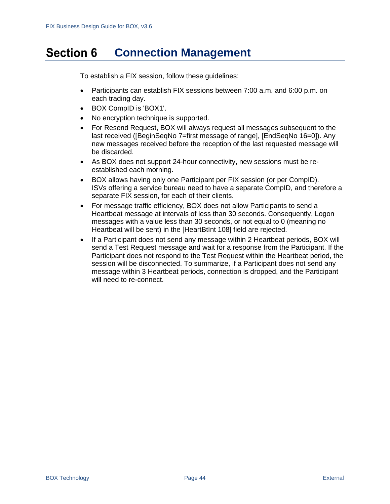#### **Section 6 Connection Management**

To establish a FIX session, follow these guidelines:

- Participants can establish FIX sessions between 7:00 a.m. and 6:00 p.m. on each trading day.
- BOX CompID is 'BOX1'.
- No encryption technique is supported.
- For Resend Request, BOX will always request all messages subsequent to the last received ([BeginSeqNo 7=first message of range], [EndSeqNo 16=0]). Any new messages received before the reception of the last requested message will be discarded.
- As BOX does not support 24-hour connectivity, new sessions must be reestablished each morning.
- BOX allows having only one Participant per FIX session (or per CompID). ISVs offering a service bureau need to have a separate CompID, and therefore a separate FIX session, for each of their clients.
- For message traffic efficiency, BOX does not allow Participants to send a Heartbeat message at intervals of less than 30 seconds. Consequently, Logon messages with a value less than 30 seconds, or not equal to 0 (meaning no Heartbeat will be sent) in the [HeartBtInt 108] field are rejected.
- If a Participant does not send any message within 2 Heartbeat periods, BOX will send a Test Request message and wait for a response from the Participant. If the Participant does not respond to the Test Request within the Heartbeat period, the session will be disconnected. To summarize, if a Participant does not send any message within 3 Heartbeat periods, connection is dropped, and the Participant will need to re-connect.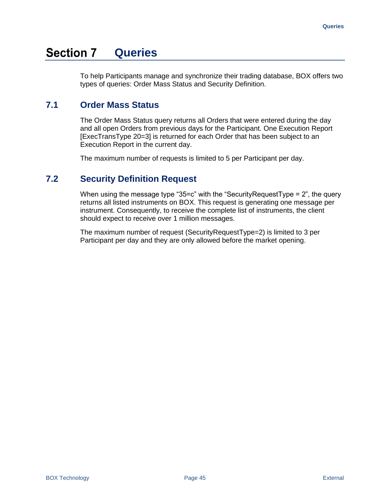#### **Section 7 Queries**

To help Participants manage and synchronize their trading database, BOX offers two types of queries: Order Mass Status and Security Definition.

# **7.1 Order Mass Status**

The Order Mass Status query returns all Orders that were entered during the day and all open Orders from previous days for the Participant. One Execution Report [ExecTransType 20=3] is returned for each Order that has been subject to an Execution Report in the current day.

The maximum number of requests is limited to 5 per Participant per day.

# **7.2 Security Definition Request**

When using the message type "35=c" with the "Security Request Type  $= 2$ ", the query returns all listed instruments on BOX. This request is generating one message per instrument. Consequently, to receive the complete list of instruments, the client should expect to receive over 1 million messages.

The maximum number of request (SecurityRequestType=2) is limited to 3 per Participant per day and they are only allowed before the market opening.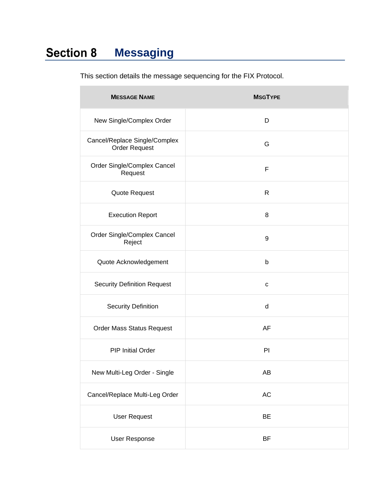#### **Section 8 Messaging**

| <b>MESSAGE NAME</b>                                   | <b>MSGTYPE</b> |
|-------------------------------------------------------|----------------|
| New Single/Complex Order                              | D              |
| Cancel/Replace Single/Complex<br><b>Order Request</b> | G              |
| Order Single/Complex Cancel<br>Request                | F              |
| Quote Request                                         | $\mathsf{R}$   |
| <b>Execution Report</b>                               | 8              |
| Order Single/Complex Cancel<br>Reject                 | 9              |
| Quote Acknowledgement                                 | b              |
| <b>Security Definition Request</b>                    | $\mathbf C$    |
| <b>Security Definition</b>                            | d              |
| Order Mass Status Request                             | AF             |
| <b>PIP Initial Order</b>                              | PI             |
| New Multi-Leg Order - Single                          | AB             |
| Cancel/Replace Multi-Leg Order                        | AC             |
| <b>User Request</b>                                   | BE             |
| <b>User Response</b>                                  | BF             |

This section details the message sequencing for the FIX Protocol.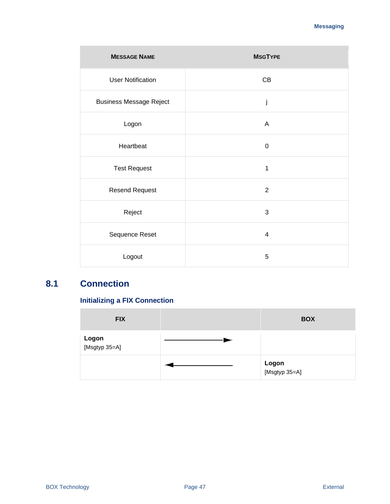| <b>MESSAGE NAME</b>            | <b>MSGTYPE</b> |
|--------------------------------|----------------|
| <b>User Notification</b>       | CB             |
| <b>Business Message Reject</b> | j              |
| Logon                          | A              |
| Heartbeat                      | $\mathbf 0$    |
| <b>Test Request</b>            | $\mathbf{1}$   |
| <b>Resend Request</b>          | 2              |
| Reject                         | 3              |
| Sequence Reset                 | 4              |
| Logout                         | 5              |

# **8.1 Connection**

# **Initializing a FIX Connection**

| <b>FIX</b>                    | <b>BOX</b>                    |
|-------------------------------|-------------------------------|
| <b>Logon</b><br>[Msgtyp 35=A] |                               |
|                               | <b>Logon</b><br>[Msgtyp 35=A] |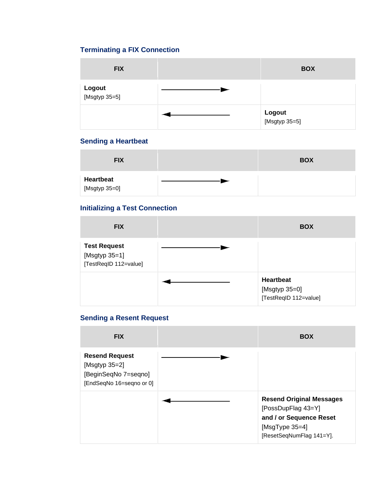# **Terminating a FIX Connection**

| <b>FIX</b>              | <b>BOX</b>              |
|-------------------------|-------------------------|
| Logout<br>[Msgtyp 35=5] |                         |
|                         | Logout<br>[Msgtyp 35=5] |

## **Sending a Heartbeat**

| <b>FIX</b>                        | <b>BOX</b> |
|-----------------------------------|------------|
| <b>Heartbeat</b><br>[Msgtyp 35=0] |            |

# **Initializing a Test Connection**

| <b>FIX</b>                                                    | <b>BOX</b>                                                 |
|---------------------------------------------------------------|------------------------------------------------------------|
| <b>Test Request</b><br>[Msgtyp 35=1]<br>[TestReqID 112=value] |                                                            |
|                                                               | <b>Heartbeat</b><br>[Msgtyp 35=0]<br>[TestReqID 112=value] |

## **Sending a Resent Request**

| <b>FIX</b>                                                                                    | <b>BOX</b>                                                                                                                         |
|-----------------------------------------------------------------------------------------------|------------------------------------------------------------------------------------------------------------------------------------|
| <b>Resend Request</b><br>[Msgtyp $35=2$ ]<br>[BeginSeqNo 7=seqno]<br>[EndSeqNo 16=seqno or 0] |                                                                                                                                    |
|                                                                                               | <b>Resend Original Messages</b><br>[PossDupFlag 43=Y]<br>and / or Sequence Reset<br>[ $MsgType 35=4$ ]<br>[ResetSeqNumFlag 141=Y]. |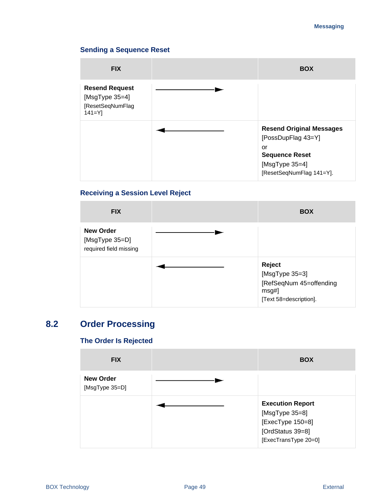#### **Messaging**

### **Sending a Sequence Reset**

| <b>FIX</b>                                                                     | <b>BOX</b>                                                                    |
|--------------------------------------------------------------------------------|-------------------------------------------------------------------------------|
| <b>Resend Request</b><br>[ $MsgType 35=4$ ]<br>[ResetSeqNumFlag<br>$141 = Y$ ] |                                                                               |
|                                                                                | <b>Resend Original Messages</b><br>[PossDupFlag 43=Y]                         |
|                                                                                | or<br><b>Sequence Reset</b><br>[ $MsgType 35=4$ ]<br>[ResetSeqNumFlag 141=Y]. |

### **Receiving a Session Level Reject**

| <b>FIX</b>                                                   | <b>BOX</b>                                                                             |
|--------------------------------------------------------------|----------------------------------------------------------------------------------------|
| <b>New Order</b><br>[MsgType 35=D]<br>required field missing |                                                                                        |
|                                                              | Reject<br>[MsgType 35=3]<br>[RefSeqNum 45=offending<br>msg#]<br>[Text 58=description]. |

# **8.2 Order Processing**

# **The Order Is Rejected**

| <b>FIX</b>                         | <b>BOX</b>                                                                                                |
|------------------------------------|-----------------------------------------------------------------------------------------------------------|
| <b>New Order</b><br>[MsgType 35=D] |                                                                                                           |
|                                    | <b>Execution Report</b><br>[MsgType 35=8]<br>[ExecType 150=8]<br>[OrdStatus 39=8]<br>[ExecTransType 20=0] |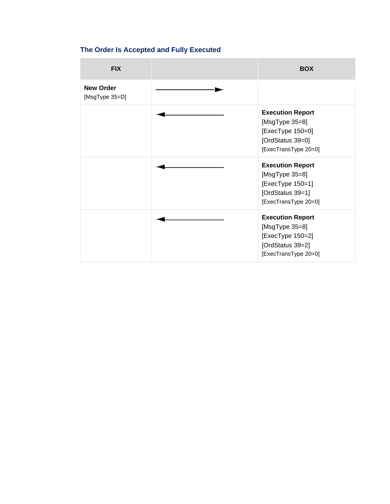# **The Order Is Accepted and Fully Executed**

| <b>FIX</b>                         | <b>BOX</b>                                                                                                    |
|------------------------------------|---------------------------------------------------------------------------------------------------------------|
| <b>New Order</b><br>[MsgType 35=D] |                                                                                                               |
|                                    | <b>Execution Report</b><br>[MsgType 35=8]<br>[ExecType 150=0]<br>[OrdStatus 39=0]<br>[ExecTransType 20=0]     |
|                                    | <b>Execution Report</b><br>[ $MsgType 35=8$ ]<br>[ExecType 150=1]<br>[OrdStatus 39=1]<br>[ExecTransType 20=0] |
|                                    | <b>Execution Report</b><br>[ $MsgType 35=8$ ]<br>[ExecType 150=2]<br>[OrdStatus 39=2]<br>[ExecTransType 20=0] |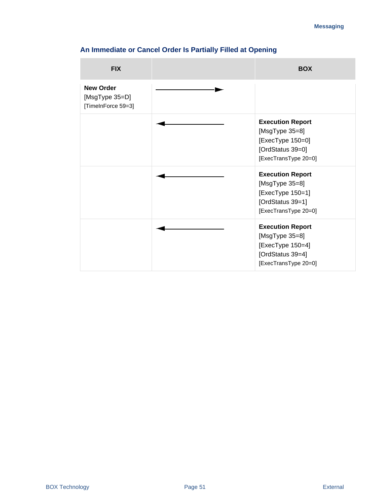| <b>FIX</b>                                               | <b>BOX</b>                                                                                                    |
|----------------------------------------------------------|---------------------------------------------------------------------------------------------------------------|
| <b>New Order</b><br>[MsgType 35=D]<br>[TimeInForce 59=3] |                                                                                                               |
|                                                          | <b>Execution Report</b><br>[MsgType 35=8]<br>[ExecType 150=0]<br>[OrdStatus 39=0]<br>[ExecTransType 20=0]     |
|                                                          | <b>Execution Report</b><br>[MsgType 35=8]<br>[ExecType 150=1]<br>[OrdStatus 39=1]<br>[ExecTransType 20=0]     |
|                                                          | <b>Execution Report</b><br>[ $MsgType 35=8$ ]<br>[ExecType 150=4]<br>[OrdStatus 39=4]<br>[ExecTransType 20=0] |

# **An Immediate or Cancel Order Is Partially Filled at Opening**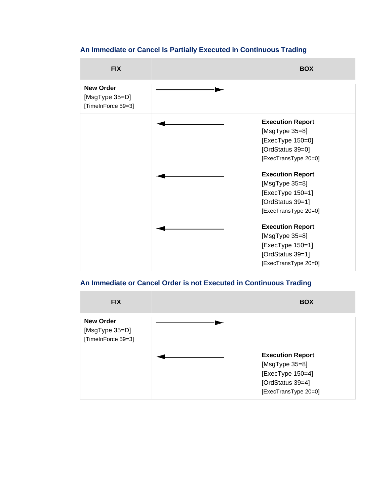# **An Immediate or Cancel Is Partially Executed in Continuous Trading**

| <b>FIX</b>                                               | <b>BOX</b>                                                                                                    |
|----------------------------------------------------------|---------------------------------------------------------------------------------------------------------------|
| <b>New Order</b><br>[MsgType 35=D]<br>[TimeInForce 59=3] |                                                                                                               |
|                                                          | <b>Execution Report</b><br>[ $MsgType 35=8$ ]<br>[ExecType 150=0]<br>[OrdStatus 39=0]<br>[ExecTransType 20=0] |
|                                                          | <b>Execution Report</b><br>[ $MsgType 35=8$ ]<br>[ExecType 150=1]<br>[OrdStatus 39=1]<br>[ExecTransType 20=0] |
|                                                          | <b>Execution Report</b><br>[ $MsgType 35=8$ ]<br>[ExecType 150=1]<br>[OrdStatus 39=1]<br>[ExecTransType 20=0] |

# **An Immediate or Cancel Order is not Executed in Continuous Trading**

| <b>FIX</b>                                               | <b>BOX</b>                                                                                                |
|----------------------------------------------------------|-----------------------------------------------------------------------------------------------------------|
| <b>New Order</b><br>[MsgType 35=D]<br>[TimeInForce 59=3] |                                                                                                           |
|                                                          | <b>Execution Report</b><br>[MsgType 35=8]<br>[ExecType 150=4]<br>[OrdStatus 39=4]<br>[ExecTransType 20=0] |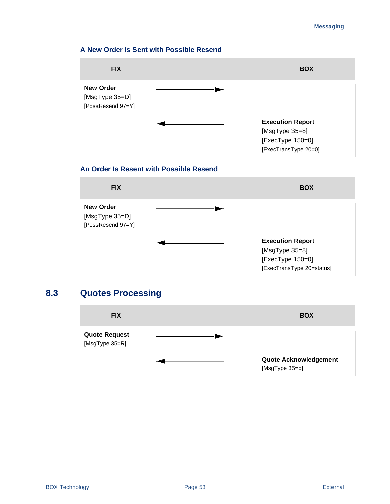#### **Messaging**

### **A New Order Is Sent with Possible Resend**

| <b>FIX</b>                                              | <b>BOX</b>                                                                            |
|---------------------------------------------------------|---------------------------------------------------------------------------------------|
| <b>New Order</b><br>[MsgType 35=D]<br>[PossResend 97=Y] |                                                                                       |
|                                                         | <b>Execution Report</b><br>[MsgType 35=8]<br>[ExecType 150=0]<br>[ExecTransType 20=0] |

## **An Order Is Resent with Possible Resend**

| <b>FIX</b>                                              | <b>BOX</b>                                                                                     |
|---------------------------------------------------------|------------------------------------------------------------------------------------------------|
| <b>New Order</b><br>[MsgType 35=D]<br>[PossResend 97=Y] |                                                                                                |
|                                                         | <b>Execution Report</b><br>[ $MsgType 35=8$ ]<br>[ExecType 150=0]<br>[ExecTransType 20=status] |

# **8.3 Quotes Processing**

| <b>FIX</b>                             | <b>BOX</b>                              |
|----------------------------------------|-----------------------------------------|
| <b>Quote Request</b><br>[MsgType 35=R] |                                         |
|                                        | Quote Acknowledgement<br>[MsgType 35=b] |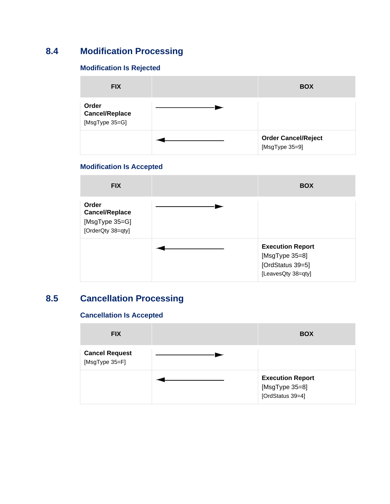# **8.4 Modification Processing**

## **Modification Is Rejected**

| <b>FIX</b>                                       | <b>BOX</b>                                   |
|--------------------------------------------------|----------------------------------------------|
| Order<br><b>Cancel/Replace</b><br>[MsgType 35=G] |                                              |
|                                                  | <b>Order Cancel/Reject</b><br>[MsgType 35=9] |

### **Modification Is Accepted**

| <b>FIX</b>                                                            | <b>BOX</b>                                                                          |
|-----------------------------------------------------------------------|-------------------------------------------------------------------------------------|
| Order<br><b>Cancel/Replace</b><br>[MsgType 35=G]<br>[OrderQty 38=qty] |                                                                                     |
|                                                                       | <b>Execution Report</b><br>[MsgType 35=8]<br>[OrdStatus 39=5]<br>[LeavesQty 38=qty] |

# **8.5 Cancellation Processing**

## **Cancellation Is Accepted**

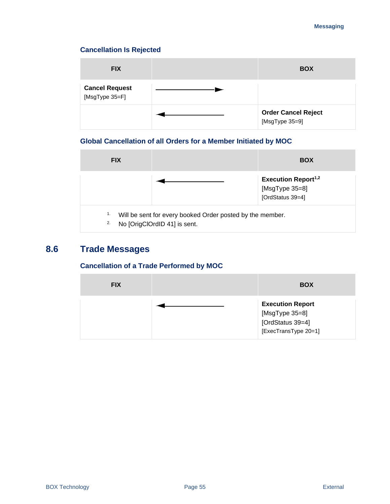### **Cancellation Is Rejected**

| <b>FIX</b>                              | <b>BOX</b>                                   |
|-----------------------------------------|----------------------------------------------|
| <b>Cancel Request</b><br>[MsgType 35=F] |                                              |
|                                         | <b>Order Cancel Reject</b><br>[MsgType 35=9] |

## **Global Cancellation of all Orders for a Member Initiated by MOC**



# **8.6 Trade Messages**

### **Cancellation of a Trade Performed by MOC**

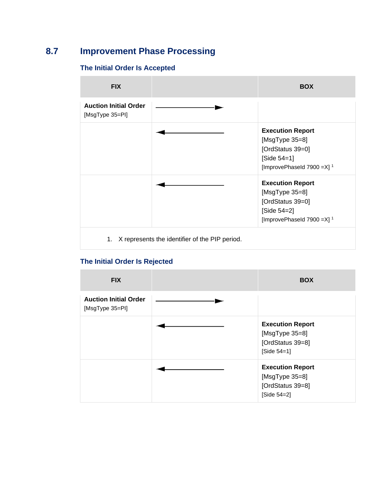# **8.7 Improvement Phase Processing**

### **The Initial Order Is Accepted**



### **The Initial Order Is Rejected**

| <b>FIX</b>                                      | <b>BOX</b>                                                                     |
|-------------------------------------------------|--------------------------------------------------------------------------------|
| <b>Auction Initial Order</b><br>[MsgType 35=PI] |                                                                                |
|                                                 | <b>Execution Report</b><br>[MsgType 35=8]<br>[OrdStatus 39=8]<br>$[Side 54=1]$ |
|                                                 | <b>Execution Report</b><br>[MsgType 35=8]<br>[OrdStatus 39=8]<br>[Side 54=2]   |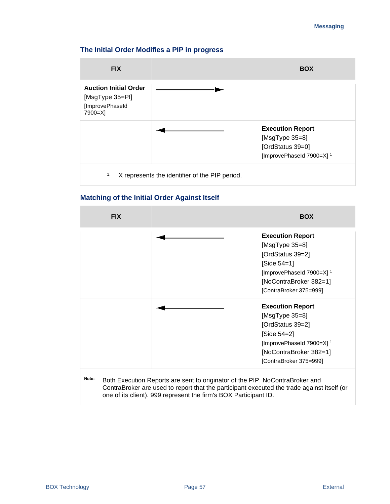#### **Messaging**

### **The Initial Order Modifies a PIP in progress**



### **Matching of the Initial Order Against Itself**

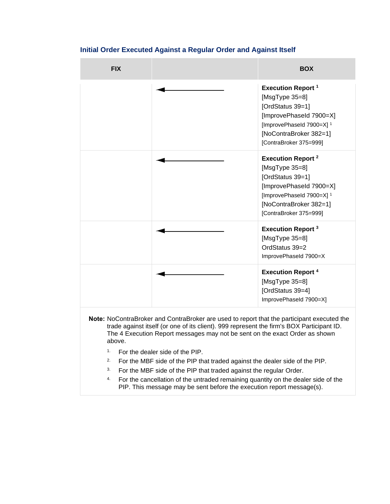

### **Initial Order Executed Against a Regular Order and Against Itself**

- <sup>3</sup>. For the MBF side of the PIP that traded against the regular Order.
- <sup>4</sup> For the cancellation of the untraded remaining quantity on the dealer side of the PIP. This message may be sent before the execution report message(s).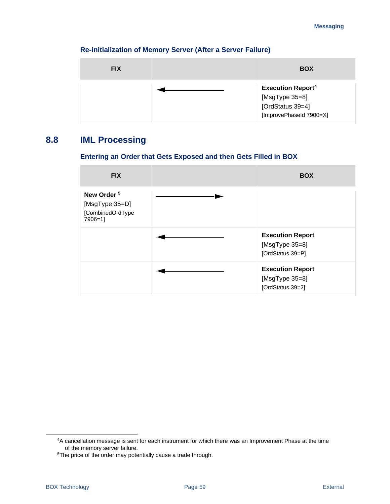### **Re-initialization of Memory Server (After a Server Failure)**



# **8.8 IML Processing**

### **Entering an Order that Gets Exposed and then Gets Filled in BOX**

| <b>FIX</b>                                                              | <b>BOX</b>                                                    |
|-------------------------------------------------------------------------|---------------------------------------------------------------|
| New Order <sup>5</sup><br>[MsgType 35=D]<br>[CombinedOrdType<br>7906=1] |                                                               |
|                                                                         | <b>Execution Report</b><br>[MsgType 35=8]<br>[OrdStatus 39=P] |
|                                                                         | <b>Execution Report</b><br>[MsgType 35=8]<br>[OrdStatus 39=2] |

<sup>4</sup>A cancellation message is sent for each instrument for which there was an Improvement Phase at the time of the memory server failure.

<sup>&</sup>lt;sup>5</sup>The price of the order may potentially cause a trade through.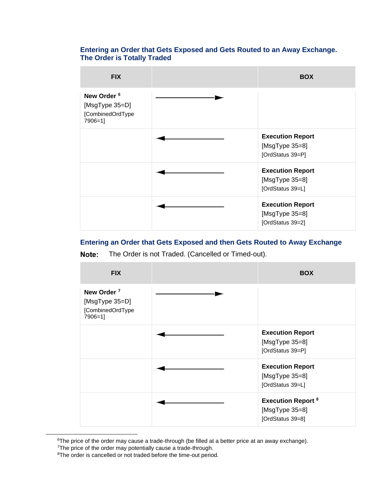### **Entering an Order that Gets Exposed and Gets Routed to an Away Exchange. The Order is Totally Traded**

| <b>FIX</b>                                                              | <b>BOX</b>                                                        |
|-------------------------------------------------------------------------|-------------------------------------------------------------------|
| New Order <sup>6</sup><br>[MsgType 35=D]<br>[CombinedOrdType<br>7906=1] |                                                                   |
|                                                                         | <b>Execution Report</b><br>[ $MsgType 35=8$ ]<br>[OrdStatus 39=P] |
|                                                                         | <b>Execution Report</b><br>[ $MsgType 35=8$ ]<br>[OrdStatus 39=L] |
|                                                                         | <b>Execution Report</b><br>[ $MsgType 35=8$ ]<br>[OrdStatus 39=2] |

### **Entering an Order that Gets Exposed and then Gets Routed to Away Exchange**

The Order is not Traded. (Cancelled or Timed-out). Note:

| <b>FIX</b>                                                              | <b>BOX</b>                                                          |
|-------------------------------------------------------------------------|---------------------------------------------------------------------|
| New Order <sup>7</sup><br>[MsgType 35=D]<br>[CombinedOrdType<br>7906=1] |                                                                     |
|                                                                         | <b>Execution Report</b><br>[MsgType 35=8]<br>[OrdStatus 39=P]       |
|                                                                         | <b>Execution Report</b><br>[ $MsgType 35=8$ ]<br>[OrdStatus 39=L]   |
|                                                                         | <b>Execution Report 8</b><br>[ $MsgType 35=8$ ]<br>[OrdStatus 39=8] |

<sup>&</sup>lt;sup>6</sup>The price of the order may cause a trade-through (be filled at a better price at an away exchange).

<sup>&</sup>lt;sup>7</sup>The price of the order may potentially cause a trade-through.

<sup>&</sup>lt;sup>8</sup>The order is cancelled or not traded before the time-out period.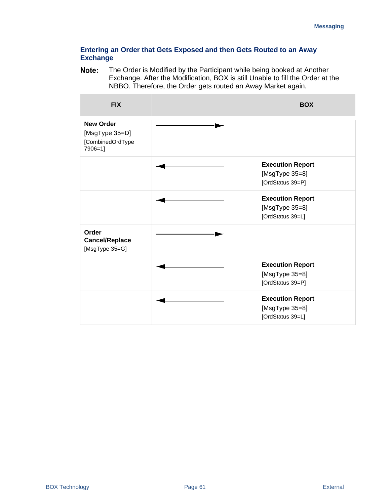### **Entering an Order that Gets Exposed and then Gets Routed to an Away Exchange**

Note: The Order is Modified by the Participant while being booked at Another Exchange. After the Modification, BOX is still Unable to fill the Order at the NBBO. Therefore, the Order gets routed an Away Market again.

| <b>FIX</b>                                                        | <b>BOX</b>                                                        |
|-------------------------------------------------------------------|-------------------------------------------------------------------|
| <b>New Order</b><br>[MsgType 35=D]<br>[CombinedOrdType<br>7906=1] |                                                                   |
|                                                                   | <b>Execution Report</b><br>[ $MsgType 35=8$ ]<br>[OrdStatus 39=P] |
|                                                                   | <b>Execution Report</b><br>[ $MsgType 35=8$ ]<br>[OrdStatus 39=L] |
| Order<br><b>Cancel/Replace</b><br>[MsgType 35=G]                  |                                                                   |
|                                                                   | <b>Execution Report</b><br>[ $MsgType 35=8$ ]<br>[OrdStatus 39=P] |
|                                                                   | <b>Execution Report</b><br>[MsgType 35=8]<br>[OrdStatus 39=L]     |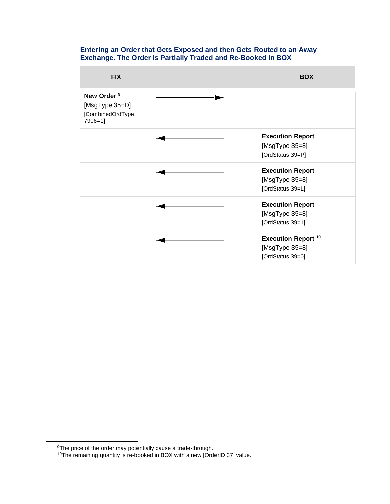#### **Entering an Order that Gets Exposed and then Gets Routed to an Away Exchange. The Order Is Partially Traded and Re-Booked in BOX**

| <b>FIX</b>                                                              | <b>BOX</b>                                                           |
|-------------------------------------------------------------------------|----------------------------------------------------------------------|
| New Order <sup>9</sup><br>[MsgType 35=D]<br>[CombinedOrdType<br>7906=1] |                                                                      |
|                                                                         | <b>Execution Report</b><br>[ $MsgType 35=8$ ]<br>[OrdStatus 39=P]    |
|                                                                         | <b>Execution Report</b><br>[ $MsgType 35=8$ ]<br>[OrdStatus 39=L]    |
|                                                                         | <b>Execution Report</b><br>[ $MsgType 35=8$ ]<br>[OrdStatus 39=1]    |
|                                                                         | <b>Execution Report 10</b><br>[ $MsgType 35=8$ ]<br>[OrdStatus 39=0] |

<sup>&</sup>lt;sup>9</sup>The price of the order may potentially cause a trade-through.

<sup>&</sup>lt;sup>10</sup>The remaining quantity is re-booked in BOX with a new [OrderID 37] value.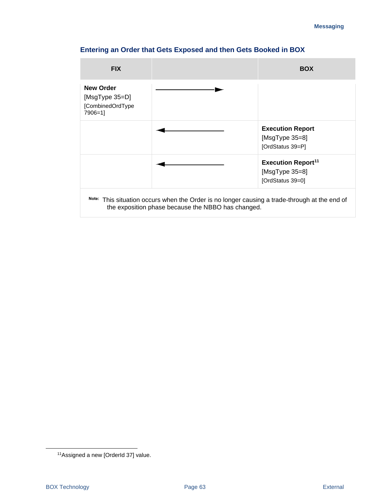# **Entering an Order that Gets Exposed and then Gets Booked in BOX**

| <b>FIX</b>                                                        |                                                                                                                                                     | <b>BOX</b>                                                                     |
|-------------------------------------------------------------------|-----------------------------------------------------------------------------------------------------------------------------------------------------|--------------------------------------------------------------------------------|
| <b>New Order</b><br>[MsgType 35=D]<br>[CombinedOrdType<br>7906=11 |                                                                                                                                                     |                                                                                |
|                                                                   |                                                                                                                                                     | <b>Execution Report</b><br>[ $MsgType 35=8$ ]<br>[OrdStatus 39=P]              |
|                                                                   |                                                                                                                                                     | <b>Execution Report<sup>11</sup></b><br>[ $MsgType 35=8$ ]<br>[OrdStatus 39=0] |
|                                                                   | Note: This situation occurs when the Order is no longer causing a trade-through at the end of<br>the exposition phase because the NBBO has changed. |                                                                                |

<sup>11</sup>Assigned a new [OrderId 37] value.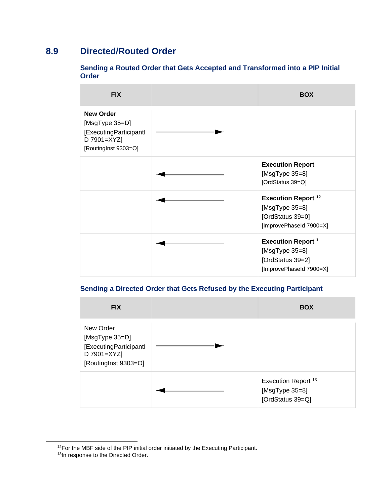# **8.9 Directed/Routed Order**

### **Sending a Routed Order that Gets Accepted and Transformed into a PIP Initial Order**

| <b>FIX</b>                                                                                          | <b>BOX</b>                                                                                      |
|-----------------------------------------------------------------------------------------------------|-------------------------------------------------------------------------------------------------|
| <b>New Order</b><br>[MsgType 35=D]<br>[ExecutingParticipantl<br>D 7901=XYZ]<br>[RoutingInst 9303=O] |                                                                                                 |
|                                                                                                     | <b>Execution Report</b><br>[ $MsgType 35=8$ ]<br>[OrdStatus 39=Q]                               |
|                                                                                                     | <b>Execution Report 12</b><br>[ $MsgType 35=8$ ]<br>[OrdStatus 39=0]<br>[ImprovePhaseId 7900=X] |
|                                                                                                     | <b>Execution Report 1</b><br>[ $MsgType 35=8$ ]<br>[OrdStatus 39=2]<br>[ImprovePhaseId 7900=X]  |

## **Sending a Directed Order that Gets Refused by the Executing Participant**

| <b>FIX</b>                                                                                   | <b>BOX</b>                                                    |
|----------------------------------------------------------------------------------------------|---------------------------------------------------------------|
| New Order<br>[MsgType 35=D]<br>[ExecutingParticipantl<br>D 7901=XYZ]<br>[RoutingInst 9303=O] |                                                               |
|                                                                                              | Execution Report 13<br>[ $MsgType 35=8$ ]<br>[OrdStatus 39=Q] |

<sup>&</sup>lt;sup>12</sup>For the MBF side of the PIP initial order initiated by the Executing Participant.

<sup>13</sup>In response to the Directed Order.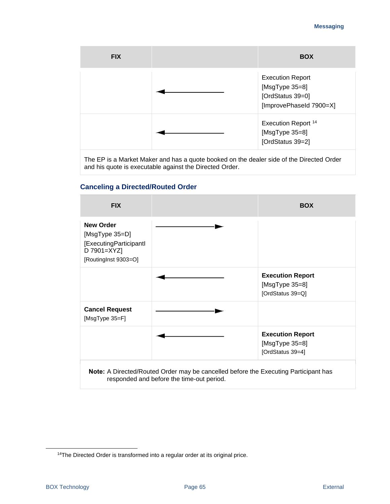#### **Messaging**

| <b>FIX</b> | <b>BOX</b>                                                                               |
|------------|------------------------------------------------------------------------------------------|
|            | <b>Execution Report</b><br>[MsgType 35=8]<br>[OrdStatus 39=0]<br>[ImprovePhaseId 7900=X] |
|            | Execution Report 14<br>[MsgType 35=8]<br>[OrdStatus 39=2]                                |

The EP is a Market Maker and has a quote booked on the dealer side of the Directed Order and his quote is executable against the Directed Order.

### **Canceling a Directed/Routed Order**



<sup>&</sup>lt;sup>14</sup>The Directed Order is transformed into a regular order at its original price.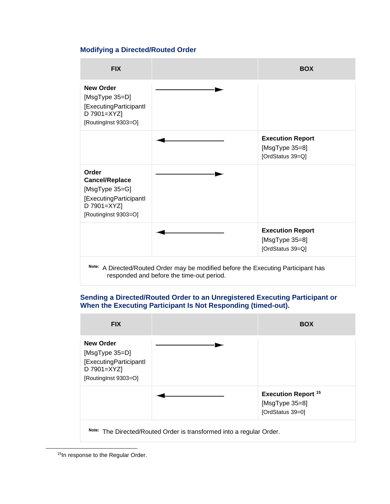### **Modifying a Directed/Routed Order**



### **Sending a Directed/Routed Order to an Unregistered Executing Participant or When the Executing Participant Is Not Responding (timed-out).**



<sup>15</sup>In response to the Regular Order.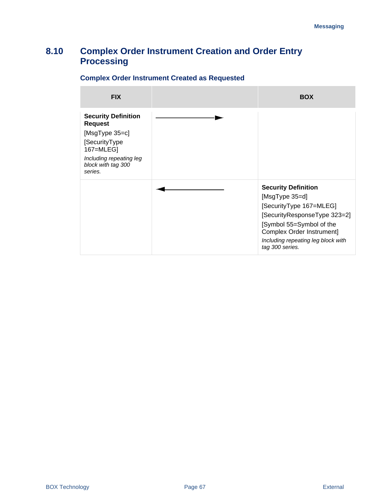# **8.10 Complex Order Instrument Creation and Order Entry Processing**

# **FIX BOX Security Definition Request** [MsgType 35=c] [SecurityType 167=MLEG] *Including repeating leg block with tag 300 series.* **Security Definition** [MsgType 35=d] [SecurityType 167=MLEG] [SecurityResponseType 323=2] [Symbol 55=Symbol of the Complex Order Instrument] *Including repeating leg block with tag 300 series.*

### **Complex Order Instrument Created as Requested**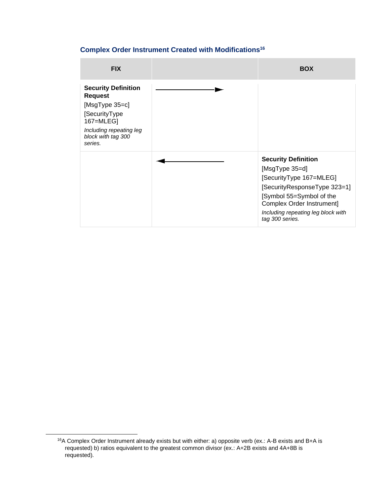### **Complex Order Instrument Created with Modifications<sup>16</sup>**

| <b>FIX</b>                                                                                                                                               | <b>BOX</b>                                                                                                                                                                                                                |
|----------------------------------------------------------------------------------------------------------------------------------------------------------|---------------------------------------------------------------------------------------------------------------------------------------------------------------------------------------------------------------------------|
| <b>Security Definition</b><br><b>Request</b><br>[MsgType 35=c]<br>[SecurityType<br>167=MLEG]<br>Including repeating leg<br>block with tag 300<br>series. |                                                                                                                                                                                                                           |
|                                                                                                                                                          | <b>Security Definition</b><br>[MsgType 35=d]<br>[SecurityType 167=MLEG]<br>[SecurityResponseType 323=1]<br>[Symbol 55=Symbol of the<br>Complex Order Instrument]<br>Including repeating leg block with<br>tag 300 series. |

<sup>16</sup>A Complex Order Instrument already exists but with either: a) opposite verb (ex.: A-B exists and B+A is requested) b) ratios equivalent to the greatest common divisor (ex.: A+2B exists and 4A+8B is requested).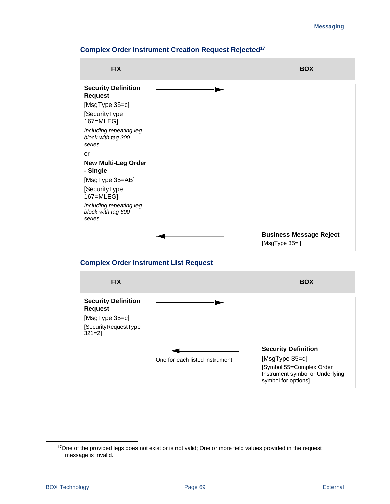| <b>FIX</b>                                                                      | <b>BOX</b>                                       |
|---------------------------------------------------------------------------------|--------------------------------------------------|
| <b>Security Definition</b><br><b>Request</b><br>[MsgType 35=c]<br>[SecurityType |                                                  |
| 167=MLEG]<br>Including repeating leg<br>block with tag 300<br>series.           |                                                  |
| or<br><b>New Multi-Leg Order</b><br>- Single                                    |                                                  |
| [MsgType 35=AB]<br>[SecurityType<br>167=MLEG]                                   |                                                  |
| Including repeating leg<br>block with tag 600<br>series.                        |                                                  |
|                                                                                 | <b>Business Message Reject</b><br>[MsgType 35=j] |

### **Complex Order Instrument Creation Request Rejected<sup>17</sup>**

### **Complex Order Instrument List Request**



<sup>&</sup>lt;sup>17</sup>One of the provided legs does not exist or is not valid; One or more field values provided in the request message is invalid.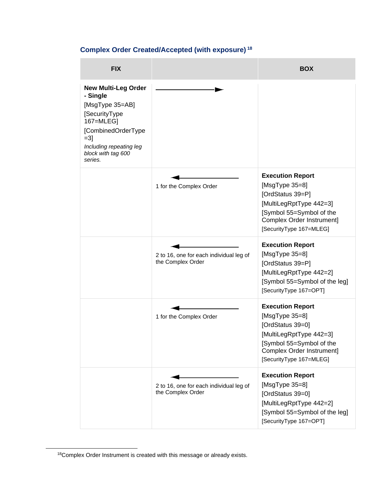# **Complex Order Created/Accepted (with exposure) <sup>18</sup>**

| <b>FIX</b>                                                                                                                                                                          |                                                              | <b>BOX</b>                                                                                                                                                                       |
|-------------------------------------------------------------------------------------------------------------------------------------------------------------------------------------|--------------------------------------------------------------|----------------------------------------------------------------------------------------------------------------------------------------------------------------------------------|
| <b>New Multi-Leg Order</b><br>- Single<br>[MsgType 35=AB]<br>[SecurityType<br>167=MLEG]<br>[CombinedOrderType<br>$=3$ ]<br>Including repeating leg<br>block with tag 600<br>series. |                                                              |                                                                                                                                                                                  |
|                                                                                                                                                                                     | 1 for the Complex Order                                      | <b>Execution Report</b><br>[ $MsgType 35=8$ ]<br>[OrdStatus 39=P]<br>[MultiLegRptType 442=3]<br>[Symbol 55=Symbol of the<br>Complex Order Instrument]<br>[SecurityType 167=MLEG] |
|                                                                                                                                                                                     | 2 to 16, one for each individual leg of<br>the Complex Order | <b>Execution Report</b><br>[ $MsgType 35=8$ ]<br>[OrdStatus 39=P]<br>[MultiLegRptType 442=2]<br>[Symbol 55=Symbol of the leg]<br>[SecurityType 167=OPT]                          |
|                                                                                                                                                                                     | 1 for the Complex Order                                      | <b>Execution Report</b><br>[ $MsgType 35=8$ ]<br>[OrdStatus 39=0]<br>[MultiLegRptType 442=3]<br>[Symbol 55=Symbol of the<br>Complex Order Instrument]<br>[SecurityType 167=MLEG] |
|                                                                                                                                                                                     | 2 to 16, one for each individual leg of<br>the Complex Order | <b>Execution Report</b><br>$[MsgType 35=8]$<br>[OrdStatus 39=0]<br>[MultiLegRptType 442=2]<br>[Symbol 55=Symbol of the leg]<br>[SecurityType 167=OPT]                            |

<sup>18</sup>Complex Order Instrument is created with this message or already exists.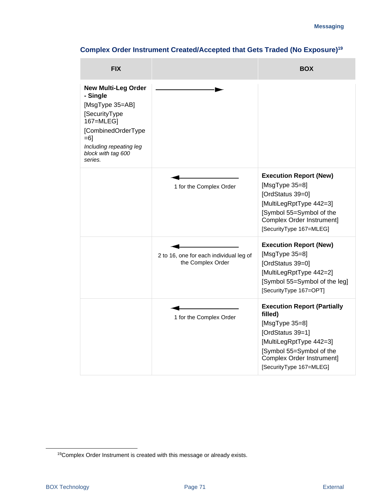| <b>FIX</b>                                                                                                                                                                           |                                                              | <b>BOX</b>                                                                                                                                                                                         |
|--------------------------------------------------------------------------------------------------------------------------------------------------------------------------------------|--------------------------------------------------------------|----------------------------------------------------------------------------------------------------------------------------------------------------------------------------------------------------|
| <b>New Multi-Leg Order</b><br>- Single<br>[MsgType 35=AB]<br>[SecurityType<br>167=MLEG]<br>[CombinedOrderType<br>$= 6$ ]<br>Including repeating leg<br>block with tag 600<br>series. |                                                              |                                                                                                                                                                                                    |
|                                                                                                                                                                                      | 1 for the Complex Order                                      | <b>Execution Report (New)</b><br>[ $MsgType 35=8$ ]<br>[OrdStatus 39=0]<br>[MultiLegRptType 442=3]<br>[Symbol 55=Symbol of the<br>Complex Order Instrument]<br>[SecurityType 167=MLEG]             |
|                                                                                                                                                                                      | 2 to 16, one for each individual leg of<br>the Complex Order | <b>Execution Report (New)</b><br>[ $MsgType 35=8$ ]<br>[OrdStatus 39=0]<br>[MultiLegRptType 442=2]<br>[Symbol 55=Symbol of the leg]<br>[SecurityType 167=OPT]                                      |
|                                                                                                                                                                                      | 1 for the Complex Order                                      | <b>Execution Report (Partially</b><br>filled)<br>[MsgType 35=8]<br>[OrdStatus 39=1]<br>[MultiLegRptType 442=3]<br>[Symbol 55=Symbol of the<br>Complex Order Instrument]<br>[SecurityType 167=MLEG] |

# **Complex Order Instrument Created/Accepted that Gets Traded (No Exposure)<sup>19</sup>**

<sup>19</sup>Complex Order Instrument is created with this message or already exists.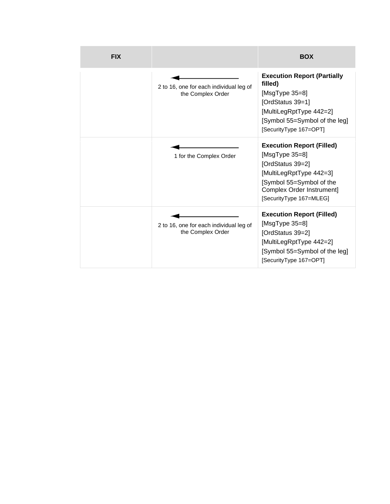| <b>FIX</b> |                                                              | <b>BOX</b>                                                                                                                                                                                |
|------------|--------------------------------------------------------------|-------------------------------------------------------------------------------------------------------------------------------------------------------------------------------------------|
|            | 2 to 16, one for each individual leg of<br>the Complex Order | <b>Execution Report (Partially</b><br>filled)<br>[MsgType 35=8]<br>[OrdStatus 39=1]<br>[MultiLegRptType 442=2]<br>[Symbol 55=Symbol of the leg]<br>[SecurityType 167=OPT]                 |
|            | 1 for the Complex Order                                      | <b>Execution Report (Filled)</b><br>[ $MsgType 35=8$ ]<br>[OrdStatus 39=2]<br>[MultiLegRptType 442=3]<br>[Symbol 55=Symbol of the<br>Complex Order Instrument]<br>[SecurityType 167=MLEG] |
|            | 2 to 16, one for each individual leg of<br>the Complex Order | <b>Execution Report (Filled)</b><br>[ $MsgType 35=8$ ]<br>[OrdStatus 39=2]<br>[MultiLegRptType 442=2]<br>[Symbol 55=Symbol of the leg]<br>[SecurityType 167=OPT]                          |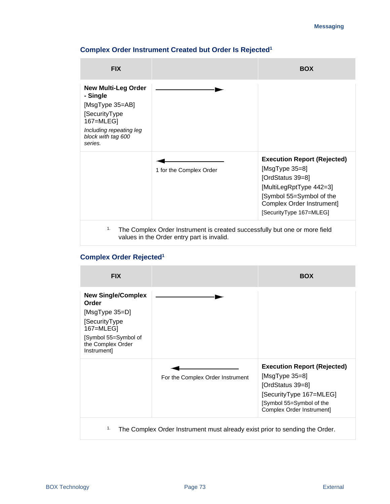### **FIX BOX New Multi-Leg Order - Single** [MsgType 35=AB] [SecurityType 167=MLEG] *Including repeating leg block with tag 600 series.* 1 for the Complex Order **Execution Report (Rejected)** [MsgType 35=8] [OrdStatus 39=8] [MultiLegRptType 442=3] [Symbol 55=Symbol of the Complex Order Instrument] [SecurityType 167=MLEG] <sup>1.</sup> The Complex Order Instrument is created successfully but one or more field values in the Order entry part is invalid.

#### **Complex Order Instrument Created but Order Is Rejected<sup>1</sup>**

#### **Complex Order Rejected<sup>1</sup>**

| <b>FIX</b>                                                                                                                                     |                                                                             | <b>BOX</b>                                                                                                                                                       |
|------------------------------------------------------------------------------------------------------------------------------------------------|-----------------------------------------------------------------------------|------------------------------------------------------------------------------------------------------------------------------------------------------------------|
| <b>New Single/Complex</b><br>Order<br>[MsgType 35=D]<br>[SecurityType<br>167=MLEG]<br>[Symbol 55=Symbol of<br>the Complex Order<br>Instrument] |                                                                             |                                                                                                                                                                  |
|                                                                                                                                                | For the Complex Order Instrument                                            | <b>Execution Report (Rejected)</b><br>[ $MsgType 35=8$ ]<br>[OrdStatus 39=8]<br>[SecurityType 167=MLEG]<br>[Symbol 55=Symbol of the<br>Complex Order Instrument] |
| 1.                                                                                                                                             | The Complex Order Instrument must already exist prior to sending the Order. |                                                                                                                                                                  |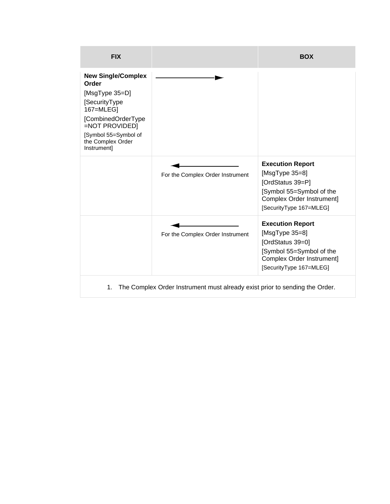| <b>FIX</b>                                                                                                                                                                             |                                                                             | <b>BOX</b>                                                                                                                                            |
|----------------------------------------------------------------------------------------------------------------------------------------------------------------------------------------|-----------------------------------------------------------------------------|-------------------------------------------------------------------------------------------------------------------------------------------------------|
| <b>New Single/Complex</b><br>Order<br>[MsgType 35=D]<br>[SecurityType<br>167=MLEG]<br>[CombinedOrderType<br>=NOT PROVIDED]<br>[Symbol 55=Symbol of<br>the Complex Order<br>Instrument] |                                                                             |                                                                                                                                                       |
|                                                                                                                                                                                        | For the Complex Order Instrument                                            | <b>Execution Report</b><br>[ $MsgType 35=8$ ]<br>[OrdStatus 39=P]<br>[Symbol 55=Symbol of the<br>Complex Order Instrument]<br>[SecurityType 167=MLEG] |
|                                                                                                                                                                                        | For the Complex Order Instrument                                            | <b>Execution Report</b><br>[ $MsgType 35=8$ ]<br>[OrdStatus 39=0]<br>[Symbol 55=Symbol of the<br>Complex Order Instrument]<br>[SecurityType 167=MLEG] |
| 1.                                                                                                                                                                                     | The Complex Order Instrument must already exist prior to sending the Order. |                                                                                                                                                       |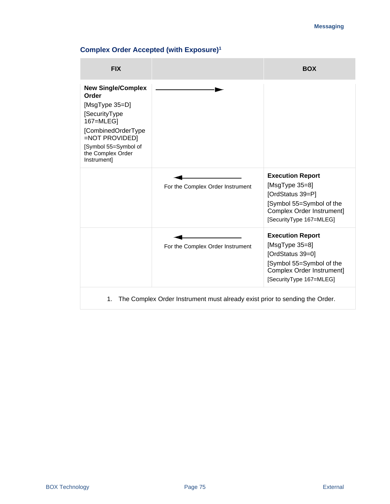# **Complex Order Accepted (with Exposure)<sup>1</sup>**

| <b>FIX</b>                                                                                                                                                                             |                                                                             | <b>BOX</b>                                                                                                                                            |
|----------------------------------------------------------------------------------------------------------------------------------------------------------------------------------------|-----------------------------------------------------------------------------|-------------------------------------------------------------------------------------------------------------------------------------------------------|
| <b>New Single/Complex</b><br>Order<br>[MsgType 35=D]<br>[SecurityType<br>167=MLEG]<br>[CombinedOrderType<br>=NOT PROVIDED]<br>[Symbol 55=Symbol of<br>the Complex Order<br>Instrument] |                                                                             |                                                                                                                                                       |
|                                                                                                                                                                                        | For the Complex Order Instrument                                            | <b>Execution Report</b><br>[ $MsgType 35=8$ ]<br>[OrdStatus 39=P]<br>[Symbol 55=Symbol of the<br>Complex Order Instrument]<br>[SecurityType 167=MLEG] |
|                                                                                                                                                                                        | For the Complex Order Instrument                                            | <b>Execution Report</b><br>[ $MsgType 35=8$ ]<br>[OrdStatus 39=0]<br>[Symbol 55=Symbol of the<br>Complex Order Instrument]<br>[SecurityType 167=MLEG] |
| 1.                                                                                                                                                                                     | The Complex Order Instrument must already exist prior to sending the Order. |                                                                                                                                                       |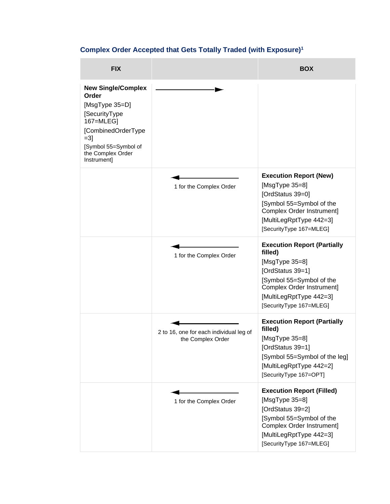# **Complex Order Accepted that Gets Totally Traded (with Exposure)<sup>1</sup>**

| <b>FIX</b>                                                                                                                                                                     |                                                              | <b>BOX</b>                                                                                                                                                                                             |
|--------------------------------------------------------------------------------------------------------------------------------------------------------------------------------|--------------------------------------------------------------|--------------------------------------------------------------------------------------------------------------------------------------------------------------------------------------------------------|
| <b>New Single/Complex</b><br>Order<br>[MsgType 35=D]<br>[SecurityType<br>167=MLEG]<br>[CombinedOrderType<br>$=3$ ]<br>[Symbol 55=Symbol of<br>the Complex Order<br>Instrument] |                                                              |                                                                                                                                                                                                        |
|                                                                                                                                                                                | 1 for the Complex Order                                      | <b>Execution Report (New)</b><br>[ $MsgType 35=8$ ]<br>[OrdStatus 39=0]<br>[Symbol 55=Symbol of the<br>Complex Order Instrument]<br>[MultiLegRptType 442=3]<br>[SecurityType 167=MLEG]                 |
|                                                                                                                                                                                | 1 for the Complex Order                                      | <b>Execution Report (Partially</b><br>filled)<br>[ $MsgType 35=8$ ]<br>[OrdStatus 39=1]<br>[Symbol 55=Symbol of the<br>Complex Order Instrument]<br>[MultiLegRptType 442=3]<br>[SecurityType 167=MLEG] |
|                                                                                                                                                                                | 2 to 16, one for each individual leg of<br>the Complex Order | <b>Execution Report (Partially</b><br>filled)<br>[ $MsgType 35=8$ ]<br>[OrdStatus 39=1]<br>[Symbol 55=Symbol of the leg]<br>[MultiLegRptType 442=2]<br>[SecurityType 167=OPT]                          |
|                                                                                                                                                                                | 1 for the Complex Order                                      | <b>Execution Report (Filled)</b><br>[ $MsgType 35=8$ ]<br>[OrdStatus 39=2]<br>[Symbol 55=Symbol of the<br><b>Complex Order Instrument]</b><br>[MultiLegRptType 442=3]<br>[SecurityType 167=MLEG]       |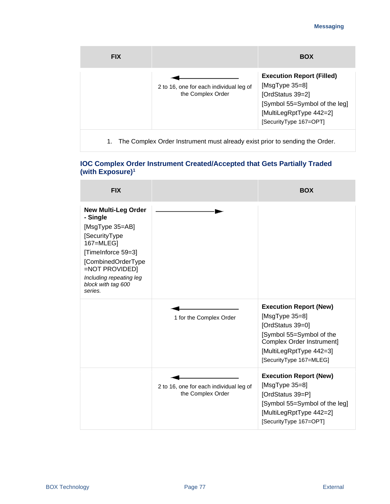| <b>FIX</b> |                                                                             | <b>BOX</b>                                                                                                                                                       |
|------------|-----------------------------------------------------------------------------|------------------------------------------------------------------------------------------------------------------------------------------------------------------|
|            | 2 to 16, one for each individual leg of<br>the Complex Order                | <b>Execution Report (Filled)</b><br>[ $MsgType 35=8$ ]<br>[OrdStatus 39=2]<br>[Symbol 55=Symbol of the leg]<br>[MultiLegRptType 442=2]<br>[SecurityType 167=OPT] |
| 1.         | The Complex Order Instrument must already exist prior to sending the Order. |                                                                                                                                                                  |

#### **IOC Complex Order Instrument Created/Accepted that Gets Partially Traded (with Exposure)<sup>1</sup>**

| <b>FIX</b>                                                                                                                                                                                                        |                                                              | <b>BOX</b>                                                                                                                                                    |
|-------------------------------------------------------------------------------------------------------------------------------------------------------------------------------------------------------------------|--------------------------------------------------------------|---------------------------------------------------------------------------------------------------------------------------------------------------------------|
| <b>New Multi-Leg Order</b><br>- Single<br>[MsgType 35=AB]<br>[SecurityType<br>167=MLEG]<br>[TimeInforce 59=3]<br>[CombinedOrderType<br>=NOT PROVIDED]<br>Including repeating leg<br>block with tag 600<br>series. | 1 for the Complex Order                                      | <b>Execution Report (New)</b><br>[ $MsgType 35=8$ ]<br>[OrdStatus 39=0]                                                                                       |
|                                                                                                                                                                                                                   |                                                              | [Symbol 55=Symbol of the<br>Complex Order Instrument]<br>[MultiLegRptType 442=3]<br>[SecurityType 167=MLEG]                                                   |
|                                                                                                                                                                                                                   | 2 to 16, one for each individual leg of<br>the Complex Order | <b>Execution Report (New)</b><br>[ $MsgType 35=8$ ]<br>[OrdStatus 39=P]<br>[Symbol 55=Symbol of the leg]<br>[MultiLegRptType 442=2]<br>[SecurityType 167=OPT] |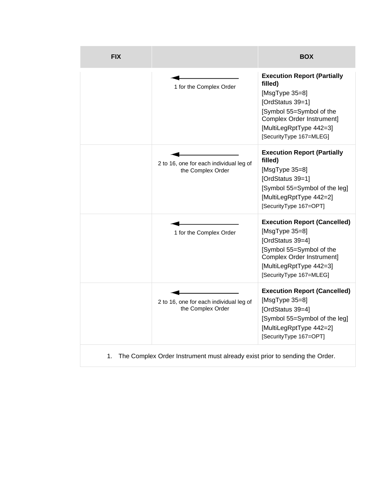| <b>FIX</b> |                                                                             | <b>BOX</b>                                                                                                                                                                                             |
|------------|-----------------------------------------------------------------------------|--------------------------------------------------------------------------------------------------------------------------------------------------------------------------------------------------------|
|            | 1 for the Complex Order                                                     | <b>Execution Report (Partially</b><br>filled)<br>[ $MsgType 35=8$ ]<br>[OrdStatus 39=1]<br>[Symbol 55=Symbol of the<br>Complex Order Instrument]<br>[MultiLegRptType 442=3]<br>[SecurityType 167=MLEG] |
|            | 2 to 16, one for each individual leg of<br>the Complex Order                | <b>Execution Report (Partially</b><br>filled)<br>[ $MsgType 35=8$ ]<br>[OrdStatus 39=1]<br>[Symbol 55=Symbol of the leg]<br>[MultiLegRptType 442=2]<br>[SecurityType 167=OPT]                          |
|            | 1 for the Complex Order                                                     | <b>Execution Report (Cancelled)</b><br>[ $MsgType 35=8$ ]<br>[OrdStatus 39=4]<br>[Symbol 55=Symbol of the<br>Complex Order Instrument]<br>[MultiLegRptType 442=3]<br>[SecurityType 167=MLEG]           |
|            | 2 to 16, one for each individual leg of<br>the Complex Order                | <b>Execution Report (Cancelled)</b><br>[ $MsgType 35=8$ ]<br>[OrdStatus 39=4]<br>[Symbol 55=Symbol of the leg]<br>[MultiLegRptType 442=2]<br>[SecurityType 167=OPT]                                    |
| 1.         | The Complex Order Instrument must already exist prior to sending the Order. |                                                                                                                                                                                                        |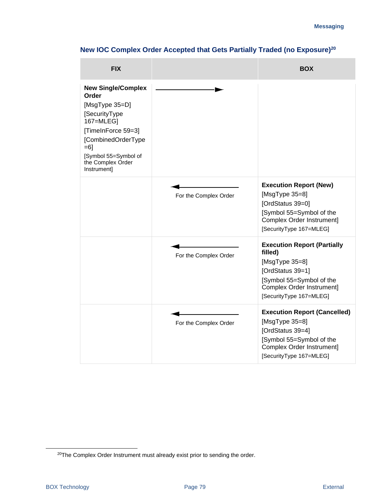| <b>FIX</b>                                                                                                                                                                                            |                       | <b>BOX</b>                                                                                                                                                                  |
|-------------------------------------------------------------------------------------------------------------------------------------------------------------------------------------------------------|-----------------------|-----------------------------------------------------------------------------------------------------------------------------------------------------------------------------|
| <b>New Single/Complex</b><br>Order<br>[MsgType 35=D]<br>[SecurityType<br>167=MLEG]<br>[TimeInForce 59=3]<br>[CombinedOrderType<br>$= 6$ ]<br>[Symbol 55=Symbol of<br>the Complex Order<br>Instrument] |                       |                                                                                                                                                                             |
|                                                                                                                                                                                                       | For the Complex Order | <b>Execution Report (New)</b><br>[ $MsgType 35=8$ ]<br>[OrdStatus 39=0]<br>[Symbol 55=Symbol of the<br>Complex Order Instrument]<br>[SecurityType 167=MLEG]                 |
|                                                                                                                                                                                                       | For the Complex Order | <b>Execution Report (Partially</b><br>filled)<br>[ $MsgType 35=8$ ]<br>[OrdStatus 39=1]<br>[Symbol 55=Symbol of the<br>Complex Order Instrument]<br>[SecurityType 167=MLEG] |
|                                                                                                                                                                                                       | For the Complex Order | <b>Execution Report (Cancelled)</b><br>[ $MsgType 35=8$ ]<br>[OrdStatus 39=4]<br>[Symbol 55=Symbol of the<br>Complex Order Instrument]<br>[SecurityType 167=MLEG]           |

# **New IOC Complex Order Accepted that Gets Partially Traded (no Exposure)<sup>20</sup>**

<sup>&</sup>lt;sup>20</sup>The Complex Order Instrument must already exist prior to sending the order.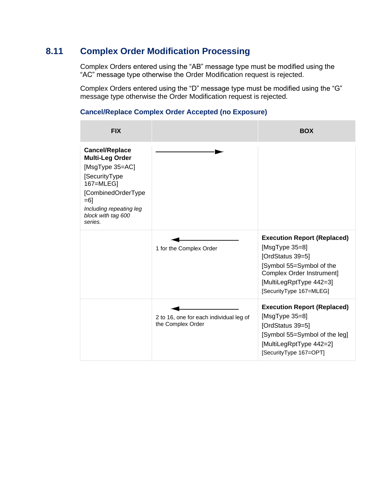### **8.11 Complex Order Modification Processing**

Complex Orders entered using the "AB" message type must be modified using the "AC" message type otherwise the Order Modification request is rejected.

Complex Orders entered using the "D" message type must be modified using the "G" message type otherwise the Order Modification request is rejected.

#### **FIX BOX Cancel/Replace Multi-Leg Order** [MsgType 35=AC] [SecurityType 167=MLEG] [CombinedOrderType =6] *Including repeating leg block with tag 600 series.* 1 for the Complex Order **Execution Report (Replaced)** [MsgType 35=8] [OrdStatus 39=5] [Symbol 55=Symbol of the Complex Order Instrument] [MultiLegRptType 442=3] [SecurityType 167=MLEG] 2 to 16, one for each individual leg of the Complex Order **Execution Report (Replaced)** [MsgType 35=8] [OrdStatus 39=5] [Symbol 55=Symbol of the leg] [MultiLegRptType 442=2] [SecurityType 167=OPT]

#### **Cancel/Replace Complex Order Accepted (no Exposure)**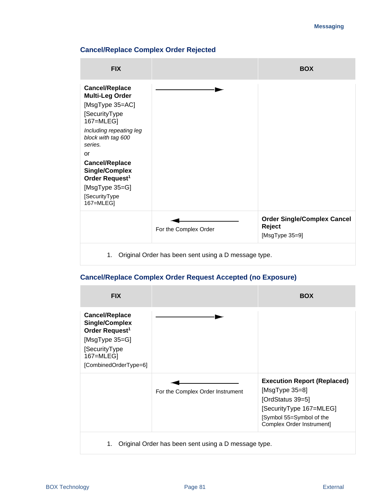#### **Cancel/Replace Complex Order Rejected**



#### **Cancel/Replace Complex Order Request Accepted (no Exposure)**

| <b>FIX</b>                                                                                                                                            |                                                      | <b>BOX</b>                                                                                                                                                      |
|-------------------------------------------------------------------------------------------------------------------------------------------------------|------------------------------------------------------|-----------------------------------------------------------------------------------------------------------------------------------------------------------------|
| <b>Cancel/Replace</b><br><b>Single/Complex</b><br>Order Request <sup>1</sup><br>[MsgType 35=G]<br>[SecurityType<br>167=MLEG]<br>[CombinedOrderType=6] |                                                      |                                                                                                                                                                 |
|                                                                                                                                                       | For the Complex Order Instrument                     | <b>Execution Report (Replaced)</b><br>[MsgType $35=8$ ]<br>[OrdStatus 39=5]<br>[SecurityType 167=MLEG]<br>[Symbol 55=Symbol of the<br>Complex Order Instrument] |
| 1.                                                                                                                                                    | Original Order has been sent using a D message type. |                                                                                                                                                                 |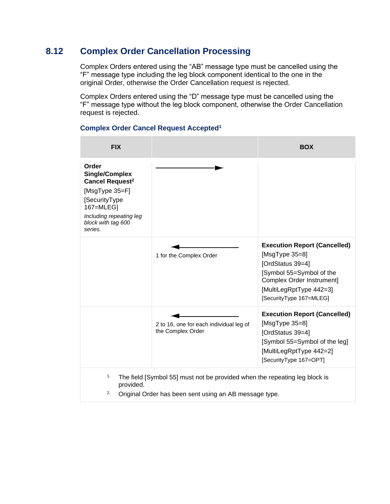# **8.12 Complex Order Cancellation Processing**

Complex Orders entered using the "AB" message type must be cancelled using the "F" message type including the leg block component identical to the one in the original Order, otherwise the Order Cancellation request is rejected.

Complex Orders entered using the "D" message type must be cancelled using the "F" message type without the leg block component, otherwise the Order Cancellation request is rejected.

| <b>FIX</b>                                                                                                                                                                |                                                                                                                                      | <b>BOX</b>                                                                                                                                                                                   |
|---------------------------------------------------------------------------------------------------------------------------------------------------------------------------|--------------------------------------------------------------------------------------------------------------------------------------|----------------------------------------------------------------------------------------------------------------------------------------------------------------------------------------------|
| Order<br><b>Single/Complex</b><br>Cancel Request <sup>2</sup><br>[MsgType 35=F]<br>[SecurityType<br>167=MLEG]<br>Including repeating leg<br>block with tag 600<br>series. |                                                                                                                                      |                                                                                                                                                                                              |
|                                                                                                                                                                           | 1 for the Complex Order                                                                                                              | <b>Execution Report (Cancelled)</b><br>[ $MsgType 35=8$ ]<br>[OrdStatus 39=4]<br>[Symbol 55=Symbol of the<br>Complex Order Instrument]<br>[MultiLegRptType 442=3]<br>[SecurityType 167=MLEG] |
|                                                                                                                                                                           | 2 to 16, one for each individual leg of<br>the Complex Order                                                                         | <b>Execution Report (Cancelled)</b><br>[ $MsgType 35=8$ ]<br>[OrdStatus 39=4]<br>[Symbol 55=Symbol of the leg]<br>[MultiLegRptType 442=2]<br>[SecurityType 167=OPT]                          |
| 1.<br>provided.<br>2.                                                                                                                                                     | The field [Symbol 55] must not be provided when the repeating leg block is<br>Original Order has been sent using an AB message type. |                                                                                                                                                                                              |

#### **Complex Order Cancel Request Accepted<sup>1</sup>**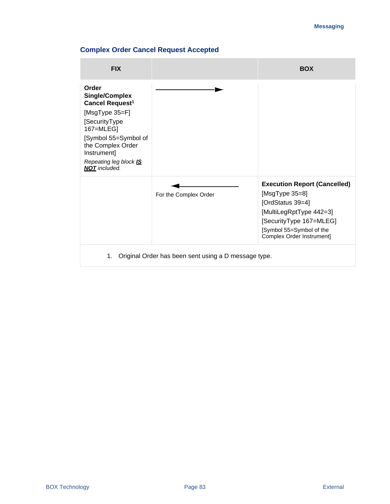### **Complex Order Cancel Request Accepted**

| <b>FIX</b>                                                                                                                                                                                                                  |                                                      | <b>BOX</b>                                                                                                                                                                                   |
|-----------------------------------------------------------------------------------------------------------------------------------------------------------------------------------------------------------------------------|------------------------------------------------------|----------------------------------------------------------------------------------------------------------------------------------------------------------------------------------------------|
| Order<br><b>Single/Complex</b><br>Cancel Request <sup>1</sup><br>[MsgType 35=F]<br>[SecurityType<br>167=MLEG]<br>[Symbol 55=Symbol of<br>the Complex Order<br>Instrument]<br>Repeating leg block IS<br><b>NOT</b> included. |                                                      |                                                                                                                                                                                              |
|                                                                                                                                                                                                                             | For the Complex Order                                | <b>Execution Report (Cancelled)</b><br>[ $MsgType 35=8$ ]<br>[OrdStatus 39=4]<br>[MultiLegRptType 442=3]<br>[SecurityType 167=MLEG]<br>[Symbol 55=Symbol of the<br>Complex Order Instrument] |
| 1.                                                                                                                                                                                                                          | Original Order has been sent using a D message type. |                                                                                                                                                                                              |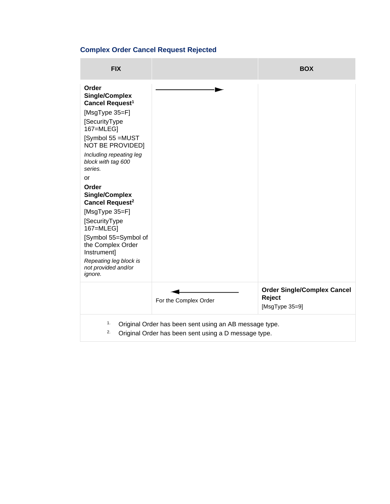# **Complex Order Cancel Request Rejected**

| <b>FIX</b>                                                                                                                                                                                                                                                                                                                                                                                                                                                               |                       | <b>BOX</b>                                                         |
|--------------------------------------------------------------------------------------------------------------------------------------------------------------------------------------------------------------------------------------------------------------------------------------------------------------------------------------------------------------------------------------------------------------------------------------------------------------------------|-----------------------|--------------------------------------------------------------------|
| Order<br><b>Single/Complex</b><br>Cancel Request <sup>1</sup><br>[MsgType 35=F]<br>[SecurityType<br>167=MLEG]<br>[Symbol 55 = MUST<br><b>NOT BE PROVIDED]</b><br>Including repeating leg<br>block with tag 600<br>series.<br>or<br>Order<br><b>Single/Complex</b><br>Cancel Request <sup>2</sup><br>[MsgType 35=F]<br>[SecurityType<br>167=MLEG]<br>[Symbol 55=Symbol of<br>the Complex Order<br>Instrument]<br>Repeating leg block is<br>not provided and/or<br>ignore. |                       |                                                                    |
|                                                                                                                                                                                                                                                                                                                                                                                                                                                                          | For the Complex Order | <b>Order Single/Complex Cancel</b><br>Reject<br>[ $MsgType 35=9$ ] |
| 1.<br>Original Order has been sent using an AB message type.<br>2.<br>Original Order has been sent using a D message type.                                                                                                                                                                                                                                                                                                                                               |                       |                                                                    |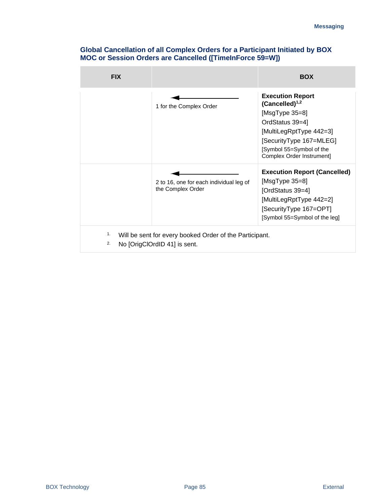| <b>FIX</b> |                                                                                         | <b>BOX</b>                                                                                                                                                                                             |
|------------|-----------------------------------------------------------------------------------------|--------------------------------------------------------------------------------------------------------------------------------------------------------------------------------------------------------|
|            | 1 for the Complex Order                                                                 | <b>Execution Report</b><br>$(Cancelled)^{1,2}$<br>[ $MsgType 35=8$ ]<br>OrdStatus 39=4]<br>[MultiLegRptType 442=3]<br>[SecurityType 167=MLEG]<br>[Symbol 55=Symbol of the<br>Complex Order Instrument] |
|            | 2 to 16, one for each individual leg of<br>the Complex Order                            | <b>Execution Report (Cancelled)</b><br>[ $MsgType 35=8$ ]<br>[OrdStatus 39=4]<br>[MultiLegRptType 442=2]<br>[SecurityType 167=OPT]<br>[Symbol 55=Symbol of the leg]                                    |
| 1.<br>2.   | Will be sent for every booked Order of the Participant.<br>No [OrigClOrdID 41] is sent. |                                                                                                                                                                                                        |

#### **Global Cancellation of all Complex Orders for a Participant Initiated by BOX MOC or Session Orders are Cancelled ([TimeInForce 59=W])**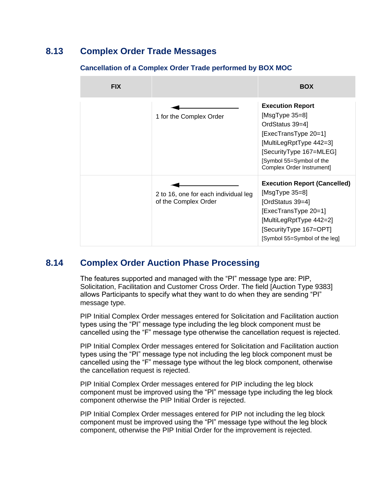### **8.13 Complex Order Trade Messages**

### **FIX BOX** 1 for the Complex Order **Execution Report** [MsgType 35=8] OrdStatus 39=4] [ExecTransType 20=1] [MultiLegRptType 442=3] [SecurityType 167=MLEG] [Symbol 55=Symbol of the Complex Order Instrument] 2 to 16, one for each individual leg of the Complex Order **Execution Report (Cancelled)** [MsgType 35=8] [OrdStatus 39=4] [ExecTransType 20=1] [MultiLegRptType 442=2] [SecurityType 167=OPT] [Symbol 55=Symbol of the leg]

#### **Cancellation of a Complex Order Trade performed by BOX MOC**

# **8.14 Complex Order Auction Phase Processing**

The features supported and managed with the "PI" message type are: PIP, Solicitation, Facilitation and Customer Cross Order. The field [Auction Type 9383] allows Participants to specify what they want to do when they are sending "PI" message type.

PIP Initial Complex Order messages entered for Solicitation and Facilitation auction types using the "PI" message type including the leg block component must be cancelled using the "F" message type otherwise the cancellation request is rejected.

PIP Initial Complex Order messages entered for Solicitation and Facilitation auction types using the "PI" message type not including the leg block component must be cancelled using the "F" message type without the leg block component, otherwise the cancellation request is rejected.

PIP Initial Complex Order messages entered for PIP including the leg block component must be improved using the "PI" message type including the leg block component otherwise the PIP Initial Order is rejected.

PIP Initial Complex Order messages entered for PIP not including the leg block component must be improved using the "PI" message type without the leg block component, otherwise the PIP Initial Order for the improvement is rejected.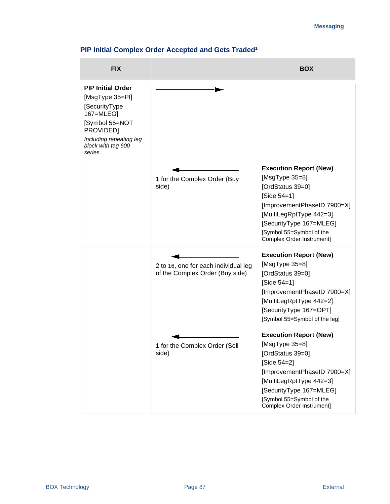### **PIP Initial Complex Order Accepted and Gets Traded<sup>1</sup>**

| <b>FIX</b>                                                                                                                                                           |                                                                         | <b>BOX</b>                                                                                                                                                                                                                           |
|----------------------------------------------------------------------------------------------------------------------------------------------------------------------|-------------------------------------------------------------------------|--------------------------------------------------------------------------------------------------------------------------------------------------------------------------------------------------------------------------------------|
| <b>PIP Initial Order</b><br>[MsgType 35=PI]<br>[SecurityType<br>167=MLEG]<br>[Symbol 55=NOT<br>PROVIDED]<br>Including repeating leg<br>block with tag 600<br>series. |                                                                         |                                                                                                                                                                                                                                      |
|                                                                                                                                                                      | 1 for the Complex Order (Buy<br>side)                                   | <b>Execution Report (New)</b><br>[ $MsgType 35=8$ ]<br>[OrdStatus 39=0]<br>[Side 54=1]<br>[ImprovementPhaseID 7900=X]<br>[MultiLegRptType 442=3]<br>[SecurityType 167=MLEG]<br>[Symbol 55=Symbol of the<br>Complex Order Instrument] |
|                                                                                                                                                                      | 2 to 16, one for each individual leg<br>of the Complex Order (Buy side) | <b>Execution Report (New)</b><br>[ $MsgType 35=8$ ]<br>[OrdStatus 39=0]<br>[Side $54 = 1$ ]<br>[ImprovementPhaseID 7900=X]<br>[MultiLegRptType 442=2]<br>[SecurityType 167=OPT]<br>[Symbol 55=Symbol of the leg]                     |
|                                                                                                                                                                      | 1 for the Complex Order (Sell<br>side)                                  | <b>Execution Report (New)</b><br>[MsgType 35=8]<br>[OrdStatus 39=0]<br>[Side 54=2]<br>[ImprovementPhaseID 7900=X]<br>[MultiLegRptType 442=3]<br>[SecurityType 167=MLEG]<br>[Symbol 55=Symbol of the<br>Complex Order Instrument]     |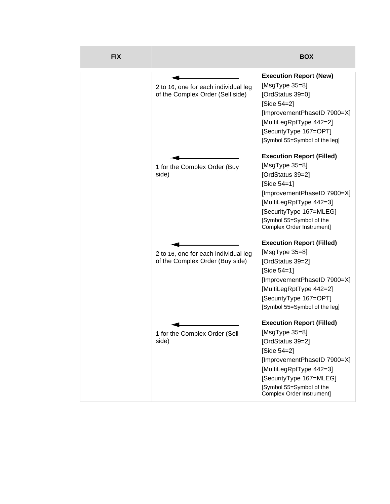| <b>FIX</b> |                                                                          | <b>BOX</b>                                                                                                                                                                                                                              |
|------------|--------------------------------------------------------------------------|-----------------------------------------------------------------------------------------------------------------------------------------------------------------------------------------------------------------------------------------|
|            | 2 to 16, one for each individual leg<br>of the Complex Order (Sell side) | <b>Execution Report (New)</b><br>[ $MsgType 35=8$ ]<br>[OrdStatus 39=0]<br>[Side 54=2]<br>[ImprovementPhaseID 7900=X]<br>[MultiLegRptType 442=2]<br>[SecurityType 167=OPT]<br>[Symbol 55=Symbol of the leg]                             |
|            | 1 for the Complex Order (Buy<br>side)                                    | <b>Execution Report (Filled)</b><br>[ $MsgType 35=8$ ]<br>[OrdStatus 39=2]<br>[Side 54=1]<br>[ImprovementPhaseID 7900=X]<br>[MultiLegRptType 442=3]<br>[SecurityType 167=MLEG]<br>[Symbol 55=Symbol of the<br>Complex Order Instrument] |
|            | 2 to 16, one for each individual leg<br>of the Complex Order (Buy side)  | <b>Execution Report (Filled)</b><br>[ $MsgType 35=8$ ]<br>[OrdStatus 39=2]<br>[Side $54 = 1$ ]<br>[ImprovementPhaseID 7900=X]<br>[MultiLegRptType 442=2]<br>[SecurityType 167=OPT]<br>[Symbol 55=Symbol of the leg]                     |
|            | 1 for the Complex Order (Sell<br>side)                                   | <b>Execution Report (Filled)</b><br>[MsgType 35=8]<br>[OrdStatus 39=2]<br>[Side 54=2]<br>[ImprovementPhaseID 7900=X]<br>[MultiLegRptType 442=3]<br>[SecurityType 167=MLEG]<br>[Symbol 55=Symbol of the<br>Complex Order Instrument]     |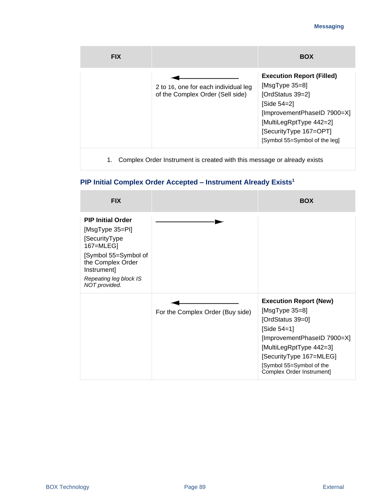| <b>FIX</b> |                                                                          | <b>BOX</b>                                                                                                                                                                                                    |
|------------|--------------------------------------------------------------------------|---------------------------------------------------------------------------------------------------------------------------------------------------------------------------------------------------------------|
|            | 2 to 16, one for each individual leg<br>of the Complex Order (Sell side) | <b>Execution Report (Filled)</b><br>[MsgType $35=8$ ]<br>[OrdStatus 39=2]<br>[Side 54=2]<br>[ImprovementPhaseID 7900=X]<br>[MultiLegRptType 442=2]<br>[SecurityType 167=OPT]<br>[Symbol 55=Symbol of the leg] |
|            | Complex Order Instrument is created with this message or already exists  |                                                                                                                                                                                                               |

# **PIP Initial Complex Order Accepted – Instrument Already Exists<sup>1</sup>**

| <b>FIX</b>                                                                                                                                                                       |                                  | <b>BOX</b>                                                                                                                                                                                                                                |
|----------------------------------------------------------------------------------------------------------------------------------------------------------------------------------|----------------------------------|-------------------------------------------------------------------------------------------------------------------------------------------------------------------------------------------------------------------------------------------|
| <b>PIP Initial Order</b><br>[MsgType 35=PI]<br>[SecurityType<br>167=MLEG]<br>[Symbol 55=Symbol of<br>the Complex Order<br>Instrument]<br>Repeating leg block IS<br>NOT provided. |                                  |                                                                                                                                                                                                                                           |
|                                                                                                                                                                                  | For the Complex Order (Buy side) | <b>Execution Report (New)</b><br>[ $MsgType 35=8$ ]<br>[OrdStatus 39=0]<br>[Side $54 = 1$ ]<br>[ImprovementPhaseID 7900=X]<br>[MultiLegRptType 442=3]<br>[SecurityType 167=MLEG]<br>[Symbol 55=Symbol of the<br>Complex Order Instrument] |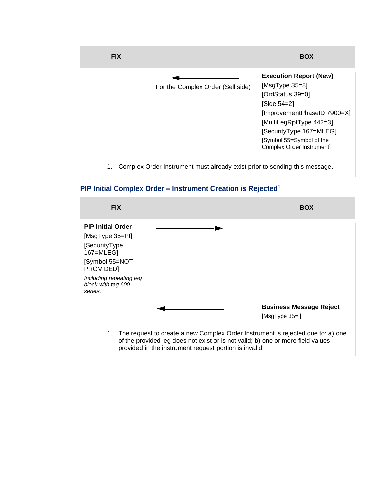| <b>FIX</b> |                                                                            | <b>BOX</b>                                                                                                                                                                                                                          |
|------------|----------------------------------------------------------------------------|-------------------------------------------------------------------------------------------------------------------------------------------------------------------------------------------------------------------------------------|
|            | For the Complex Order (Sell side)                                          | <b>Execution Report (New)</b><br>[MsgType $35=8$ ]<br>[OrdStatus 39=0]<br>[Side 54=2]<br>[ImprovementPhaseID 7900=X]<br>[MultiLegRptType 442=3]<br>[SecurityType 167=MLEG]<br>[Symbol 55=Symbol of the<br>Complex Order Instrument] |
| 1.         | Complex Order Instrument must already exist prior to sending this message. |                                                                                                                                                                                                                                     |

### **PIP Initial Complex Order – Instrument Creation is Rejected<sup>1</sup>**

| <b>FIX</b>                                                                                                                                                          |                                                                                                                                                                                                                                 | <b>BOX</b>                                         |
|---------------------------------------------------------------------------------------------------------------------------------------------------------------------|---------------------------------------------------------------------------------------------------------------------------------------------------------------------------------------------------------------------------------|----------------------------------------------------|
| <b>PIP Initial Order</b><br>[MsgType 35=PI]<br>[SecurityType<br>167=MLEG]<br>Symbol 55=NOT<br>PROVIDED]<br>Including repeating leg<br>block with tag 600<br>series. |                                                                                                                                                                                                                                 |                                                    |
|                                                                                                                                                                     |                                                                                                                                                                                                                                 | <b>Business Message Reject</b><br>$[MsgType 35=i]$ |
|                                                                                                                                                                     | 1. The request to create a new Complex Order Instrument is rejected due to: a) one<br>of the provided leg does not exist or is not valid; b) one or more field values<br>provided in the instrument request portion is invalid. |                                                    |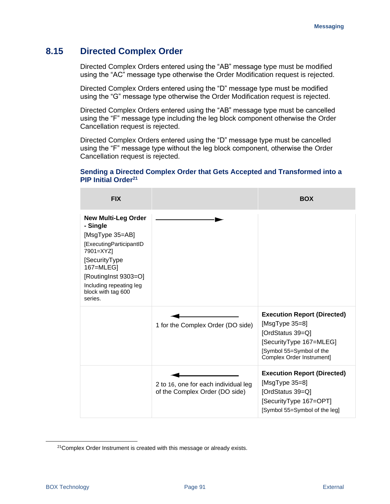### **8.15 Directed Complex Order**

Directed Complex Orders entered using the "AB" message type must be modified using the "AC" message type otherwise the Order Modification request is rejected.

Directed Complex Orders entered using the "D" message type must be modified using the "G" message type otherwise the Order Modification request is rejected.

Directed Complex Orders entered using the "AB" message type must be cancelled using the "F" message type including the leg block component otherwise the Order Cancellation request is rejected.

Directed Complex Orders entered using the "D" message type must be cancelled using the "F" message type without the leg block component, otherwise the Order Cancellation request is rejected.

#### **Sending a Directed Complex Order that Gets Accepted and Transformed into a PIP Initial Order<sup>21</sup>**

| <b>FIX</b>                                                                                                                                                                                                           |                                                                        | <b>BOX</b>                                                                                                                                                      |
|----------------------------------------------------------------------------------------------------------------------------------------------------------------------------------------------------------------------|------------------------------------------------------------------------|-----------------------------------------------------------------------------------------------------------------------------------------------------------------|
| <b>New Multi-Leg Order</b><br>- Single<br>[MsgType 35=AB]<br>[ExecutingParticipantID<br>7901=XYZ]<br>[SecurityType]<br>167=MLEG]<br>[RoutingInst 9303=O]<br>Including repeating leg<br>block with tag 600<br>series. |                                                                        |                                                                                                                                                                 |
|                                                                                                                                                                                                                      | 1 for the Complex Order (DO side)                                      | <b>Execution Report (Directed)</b><br>[MsgType $35=8$ ]<br>[OrdStatus 39=Q]<br>[SecurityType 167=MLEG]<br>[Symbol 55=Symbol of the<br>Complex Order Instrument] |
|                                                                                                                                                                                                                      | 2 to 16, one for each individual leg<br>of the Complex Order (DO side) | <b>Execution Report (Directed)</b><br>[ $MsgType 35=8$ ]<br>[OrdStatus 39=Q]<br>[SecurityType 167=OPT]<br>[Symbol 55=Symbol of the leg]                         |

<sup>&</sup>lt;sup>21</sup>Complex Order Instrument is created with this message or already exists.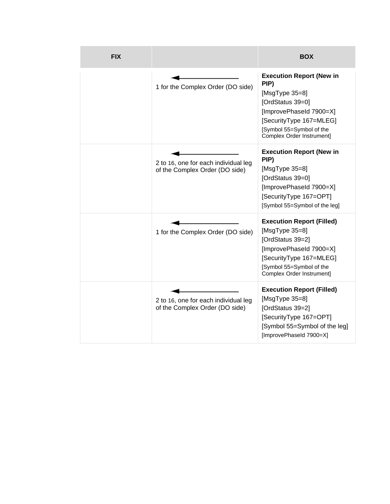| <b>FIX</b> |                                                                        | <b>BOX</b>                                                                                                                                                                                       |
|------------|------------------------------------------------------------------------|--------------------------------------------------------------------------------------------------------------------------------------------------------------------------------------------------|
|            | 1 for the Complex Order (DO side)                                      | <b>Execution Report (New in</b><br>PIP)<br>[ $MsgType 35=8$ ]<br>[OrdStatus 39=0]<br>[ImprovePhaseId 7900=X]<br>[SecurityType 167=MLEG]<br>[Symbol 55=Symbol of the<br>Complex Order Instrument] |
|            | 2 to 16, one for each individual leg<br>of the Complex Order (DO side) | <b>Execution Report (New in</b><br>PIP)<br>[ $MsgType 35=8$ ]<br>[OrdStatus 39=0]<br>[ImprovePhaseId 7900=X]<br>[SecurityType 167=OPT]<br>[Symbol 55=Symbol of the leg]                          |
|            | 1 for the Complex Order (DO side)                                      | <b>Execution Report (Filled)</b><br>[ $MsgType 35=8$ ]<br>[OrdStatus 39=2]<br>[ImprovePhaseId 7900=X]<br>[SecurityType 167=MLEG]<br>[Symbol 55=Symbol of the<br>Complex Order Instrument]        |
|            | 2 to 16, one for each individual leg<br>of the Complex Order (DO side) | <b>Execution Report (Filled)</b><br>[ $MsgType 35=8$ ]<br>[OrdStatus 39=2]<br>[SecurityType 167=OPT]<br>[Symbol 55=Symbol of the leg]<br>[ImprovePhaseId 7900=X]                                 |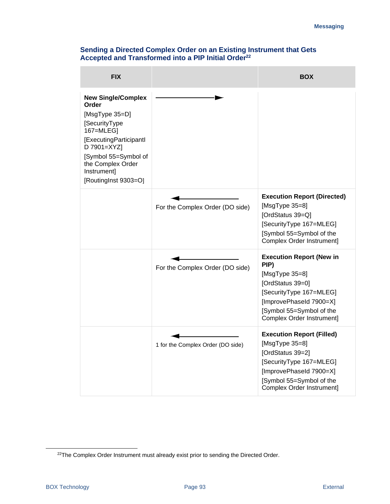| <b>FIX</b>                                                                                                                                                                                                          |                                   | <b>BOX</b>                                                                                                                                                                                       |
|---------------------------------------------------------------------------------------------------------------------------------------------------------------------------------------------------------------------|-----------------------------------|--------------------------------------------------------------------------------------------------------------------------------------------------------------------------------------------------|
| <b>New Single/Complex</b><br>Order<br>[ $MsgType 35=D$ ]<br>[SecurityType<br>167=MLEG]<br>[ExecutingParticipantl<br>D 7901=XYZ]<br>[Symbol 55=Symbol of<br>the Complex Order<br>Instrument]<br>[RoutingInst 9303=O] |                                   |                                                                                                                                                                                                  |
|                                                                                                                                                                                                                     | For the Complex Order (DO side)   | <b>Execution Report (Directed)</b><br>[ $MsgType 35=8$ ]<br>[OrdStatus 39=Q]<br>[SecurityType 167=MLEG]<br>[Symbol 55=Symbol of the<br>Complex Order Instrument]                                 |
|                                                                                                                                                                                                                     | For the Complex Order (DO side)   | <b>Execution Report (New in</b><br>PIP)<br>[ $MsgType 35=8$ ]<br>[OrdStatus 39=0]<br>[SecurityType 167=MLEG]<br>[ImprovePhaseId 7900=X]<br>[Symbol 55=Symbol of the<br>Complex Order Instrument] |
|                                                                                                                                                                                                                     | 1 for the Complex Order (DO side) | <b>Execution Report (Filled)</b><br>[ $MsgType 35=8$ ]<br>[OrdStatus 39=2]<br>[SecurityType 167=MLEG]<br>[ImprovePhaseId 7900=X]<br>[Symbol 55=Symbol of the<br>Complex Order Instrument]        |

#### **Sending a Directed Complex Order on an Existing Instrument that Gets Accepted and Transformed into a PIP Initial Order<sup>22</sup>**

<sup>&</sup>lt;sup>22</sup>The Complex Order Instrument must already exist prior to sending the Directed Order.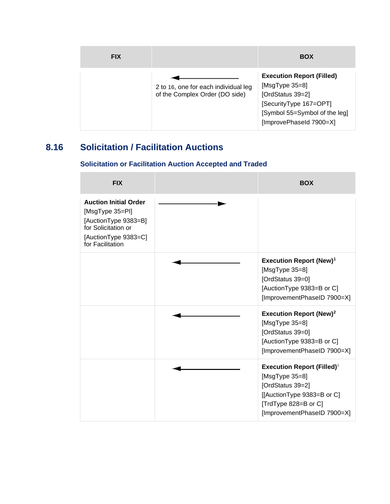| <b>FIX</b> |                                                                        | <b>BOX</b>                                                                                                                                                       |
|------------|------------------------------------------------------------------------|------------------------------------------------------------------------------------------------------------------------------------------------------------------|
|            | 2 to 16, one for each individual leg<br>of the Complex Order (DO side) | <b>Execution Report (Filled)</b><br>[ $MsgType 35=8$ ]<br>[OrdStatus 39=2]<br>[SecurityType 167=OPT]<br>[Symbol 55=Symbol of the leg]<br>[ImprovePhaseId 7900=X] |

# **8.16 Solicitation / Facilitation Auctions**

### **Solicitation or Facilitation Auction Accepted and Traded**

| <b>FIX</b>                                                                                                                                 | <b>BOX</b>                                                                                                                                                                   |
|--------------------------------------------------------------------------------------------------------------------------------------------|------------------------------------------------------------------------------------------------------------------------------------------------------------------------------|
| <b>Auction Initial Order</b><br>[MsgType 35=PI]<br>[AuctionType 9383=B]<br>for Solicitation or<br>[AuctionType 9383=C]<br>for Facilitation |                                                                                                                                                                              |
|                                                                                                                                            | <b>Execution Report (New)<sup>1</sup></b><br>[ $MsgType 35=8$ ]<br>[OrdStatus 39=0]<br>[AuctionType 9383=B or C]<br>[ImprovementPhaseID 7900=X]                              |
|                                                                                                                                            | <b>Execution Report (New)<sup>2</sup></b><br>[ $MsgType 35=8$ ]<br>[OrdStatus 39=0]<br>[AuctionType 9383=B or C]<br>[ImprovementPhaseID 7900=X]                              |
|                                                                                                                                            | <b>Execution Report (Filled)</b> <sup>1</sup><br>[ $MsgType 35=8$ ]<br>[OrdStatus 39=2]<br>[[AuctionType 9383=B or C]<br>[TrdType 828=B or C]<br>[ImprovementPhaseID 7900=X] |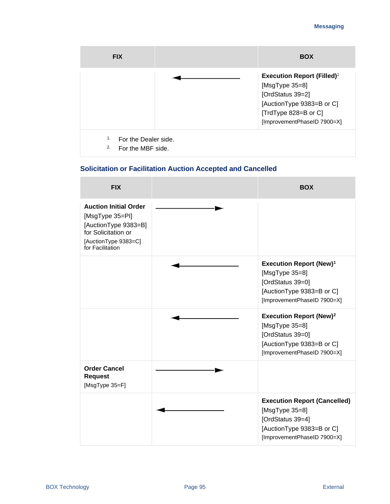| <b>FIX</b>                                            | <b>BOX</b>                                                                                                                                                                  |
|-------------------------------------------------------|-----------------------------------------------------------------------------------------------------------------------------------------------------------------------------|
|                                                       | <b>Execution Report (Filled)</b> <sup>2</sup><br>[ $MsgType 35=8$ ]<br>[OrdStatus 39=2]<br>[AuctionType 9383=B or C]<br>[TrdType 828=B or C]<br>[ImprovementPhaseID 7900=X] |
| 1.<br>For the Dealer side.<br>2.<br>For the MBF side. |                                                                                                                                                                             |

### **Solicitation or Facilitation Auction Accepted and Cancelled**

| <b>FIX</b>                                                                                                                                 | <b>BOX</b>                                                                                                                                      |
|--------------------------------------------------------------------------------------------------------------------------------------------|-------------------------------------------------------------------------------------------------------------------------------------------------|
| <b>Auction Initial Order</b><br>[MsgType 35=PI]<br>[AuctionType 9383=B]<br>for Solicitation or<br>[AuctionType 9383=C]<br>for Facilitation |                                                                                                                                                 |
|                                                                                                                                            | <b>Execution Report (New)<sup>1</sup></b><br>[ $MsgType 35=8$ ]<br>[OrdStatus 39=0]<br>[AuctionType 9383=B or C]<br>[ImprovementPhaseID 7900=X] |
|                                                                                                                                            | <b>Execution Report (New)<sup>2</sup></b><br>[ $MsgType 35=8$ ]<br>[OrdStatus 39=0]<br>[AuctionType 9383=B or C]<br>[ImprovementPhaseID 7900=X] |
| <b>Order Cancel</b><br><b>Request</b><br>[MsgType 35=F]                                                                                    |                                                                                                                                                 |
|                                                                                                                                            | <b>Execution Report (Cancelled)</b><br>[ $MsgType 35=8$ ]<br>[OrdStatus 39=4]<br>[AuctionType 9383=B or C]<br>[ImprovementPhaseID 7900=X]       |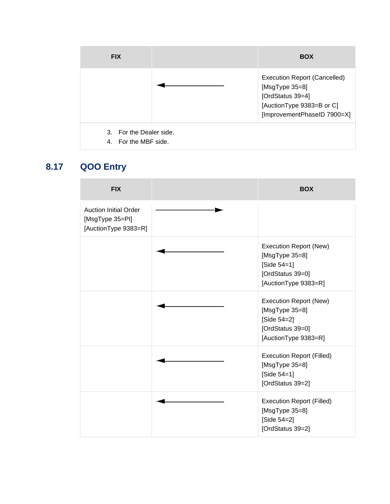| <b>FIX</b>                                      | <b>BOX</b>                                                                                                                                |
|-------------------------------------------------|-------------------------------------------------------------------------------------------------------------------------------------------|
|                                                 | <b>Execution Report (Cancelled)</b><br>[ $MsgType 35=8$ ]<br>[OrdStatus 39=4]<br>[AuctionType 9383=B or C]<br>[ImprovementPhaseID 7900=X] |
| 3. For the Dealer side.<br>4. For the MBF side. |                                                                                                                                           |

# **8.17 QOO Entry**

| <b>FIX</b>                                                              | <b>BOX</b>                                                                                                     |
|-------------------------------------------------------------------------|----------------------------------------------------------------------------------------------------------------|
| <b>Auction Initial Order</b><br>[MsgType 35=PI]<br>[AuctionType 9383=R] |                                                                                                                |
|                                                                         | Execution Report (New)<br>[ $MsgType 35=8$ ]<br>[Side $54=1$ ]<br>[OrdStatus 39=0]<br>[AuctionType 9383=R]     |
|                                                                         | <b>Execution Report (New)</b><br>[ $MsgType 35=8$ ]<br>[Side 54=2]<br>[OrdStatus 39=0]<br>[AuctionType 9383=R] |
|                                                                         | <b>Execution Report (Filled)</b><br>[ $MsgType 35=8$ ]<br>[Side $54=1$ ]<br>[OrdStatus 39=2]                   |
|                                                                         | <b>Execution Report (Filled)</b><br>[MsgType 35=8]<br>[Side 54=2]<br>[OrdStatus 39=2]                          |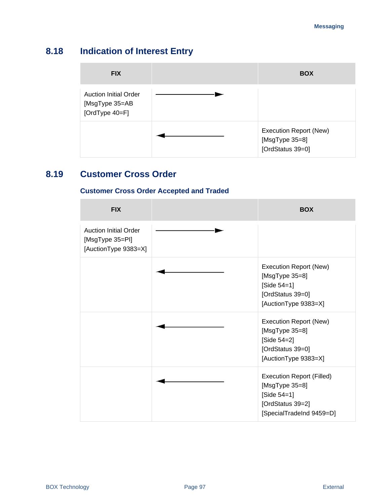# **8.18 Indication of Interest Entry**

| <b>FIX</b>                                                            | <b>BOX</b>                                                   |
|-----------------------------------------------------------------------|--------------------------------------------------------------|
| <b>Auction Initial Order</b><br>[MsgType 35=AB<br>[OrdType $40 = F$ ] |                                                              |
|                                                                       | Execution Report (New)<br>[MsgType 35=8]<br>[OrdStatus 39=0] |

# **8.19 Customer Cross Order**

### **Customer Cross Order Accepted and Traded**

| <b>FIX</b>                                                              | <b>BOX</b>                                                                                                                 |
|-------------------------------------------------------------------------|----------------------------------------------------------------------------------------------------------------------------|
| <b>Auction Initial Order</b><br>[MsgType 35=PI]<br>[AuctionType 9383=X] |                                                                                                                            |
|                                                                         | Execution Report (New)<br>[ $MsgType 35=8$ ]<br>[Side $54 = 1$ ]<br>[OrdStatus 39=0]<br>[AuctionType 9383=X]               |
|                                                                         | Execution Report (New)<br>[ $MsgType 35=8$ ]<br>[Side 54=2]<br>[OrdStatus 39=0]<br>[AuctionType 9383=X]                    |
|                                                                         | <b>Execution Report (Filled)</b><br>[ $MsgType 35=8$ ]<br>[Side $54 = 1$ ]<br>[OrdStatus 39=2]<br>[SpecialTradeInd 9459=D] |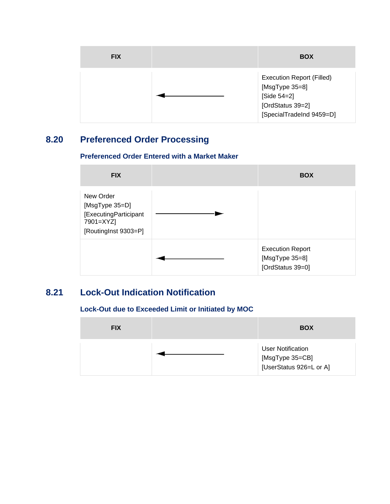| <b>FIX</b> | <b>BOX</b>                                                                                                        |
|------------|-------------------------------------------------------------------------------------------------------------------|
|            | <b>Execution Report (Filled)</b><br>[MsgType 35=8]<br>[Side 54=2]<br>[OrdStatus 39=2]<br>[SpecialTradeInd 9459=D] |

# **8.20 Preferenced Order Processing**



| <b>FIX</b>                                                                                | <b>BOX</b>                                                    |
|-------------------------------------------------------------------------------------------|---------------------------------------------------------------|
| New Order<br>[MsgType 35=D]<br>[ExecutingParticipant<br>7901=XYZ]<br>[RoutingInst 9303=P] |                                                               |
|                                                                                           | <b>Execution Report</b><br>[MsgType 35=8]<br>[OrdStatus 39=0] |

# **8.21 Lock-Out Indication Notification**

### **Lock-Out due to Exceeded Limit or Initiated by MOC**

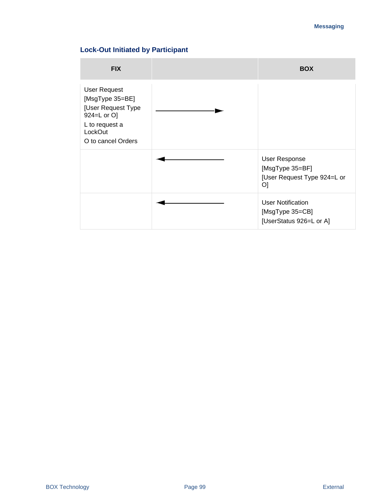### **Lock-Out Initiated by Participant**

| <b>FIX</b>                                                                                                                     | <b>BOX</b>                                                             |
|--------------------------------------------------------------------------------------------------------------------------------|------------------------------------------------------------------------|
| <b>User Request</b><br>[MsgType 35=BE]<br>[User Request Type<br>924=L or O]<br>L to request a<br>LockOut<br>O to cancel Orders |                                                                        |
|                                                                                                                                | User Response<br>[MsgType 35=BF]<br>[User Request Type 924=L or<br>O]  |
|                                                                                                                                | <b>User Notification</b><br>[MsgType 35=CB]<br>[UserStatus 926=L or A] |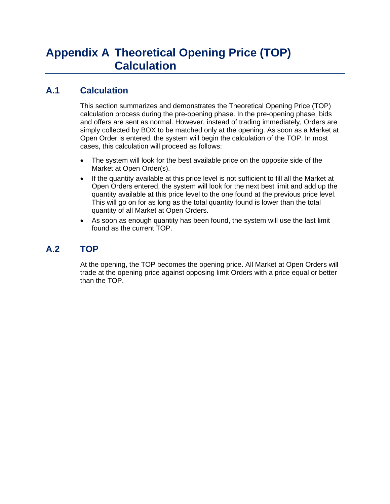# **A.1 Calculation**

This section summarizes and demonstrates the Theoretical Opening Price (TOP) calculation process during the pre-opening phase. In the pre-opening phase, bids and offers are sent as normal. However, instead of trading immediately, Orders are simply collected by BOX to be matched only at the opening. As soon as a Market at Open Order is entered, the system will begin the calculation of the TOP. In most cases, this calculation will proceed as follows:

- The system will look for the best available price on the opposite side of the Market at Open Order(s).
- If the quantity available at this price level is not sufficient to fill all the Market at Open Orders entered, the system will look for the next best limit and add up the quantity available at this price level to the one found at the previous price level. This will go on for as long as the total quantity found is lower than the total quantity of all Market at Open Orders.
- As soon as enough quantity has been found, the system will use the last limit found as the current TOP.

# **A.2 TOP**

At the opening, the TOP becomes the opening price. All Market at Open Orders will trade at the opening price against opposing limit Orders with a price equal or better than the TOP.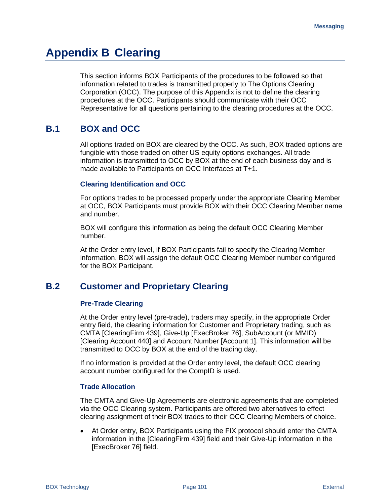# **Appendix B Clearing**

This section informs BOX Participants of the procedures to be followed so that information related to trades is transmitted properly to The Options Clearing Corporation (OCC). The purpose of this Appendix is not to define the clearing procedures at the OCC. Participants should communicate with their OCC Representative for all questions pertaining to the clearing procedures at the OCC.

## **B.1 BOX and OCC**

All options traded on BOX are cleared by the OCC. As such, BOX traded options are fungible with those traded on other US equity options exchanges. All trade information is transmitted to OCC by BOX at the end of each business day and is made available to Participants on OCC Interfaces at T+1.

#### **Clearing Identification and OCC**

For options trades to be processed properly under the appropriate Clearing Member at OCC, BOX Participants must provide BOX with their OCC Clearing Member name and number.

BOX will configure this information as being the default OCC Clearing Member number.

At the Order entry level, if BOX Participants fail to specify the Clearing Member information, BOX will assign the default OCC Clearing Member number configured for the BOX Participant.

### **B.2 Customer and Proprietary Clearing**

#### **Pre-Trade Clearing**

At the Order entry level (pre-trade), traders may specify, in the appropriate Order entry field, the clearing information for Customer and Proprietary trading, such as CMTA [ClearingFirm 439], Give-Up [ExecBroker 76], SubAccount (or MMID) [Clearing Account 440] and Account Number [Account 1]. This information will be transmitted to OCC by BOX at the end of the trading day.

If no information is provided at the Order entry level, the default OCC clearing account number configured for the CompID is used.

#### **Trade Allocation**

The CMTA and Give-Up Agreements are electronic agreements that are completed via the OCC Clearing system. Participants are offered two alternatives to effect clearing assignment of their BOX trades to their OCC Clearing Members of choice.

• At Order entry, BOX Participants using the FIX protocol should enter the CMTA information in the [ClearingFirm 439] field and their Give-Up information in the [ExecBroker 76] field.